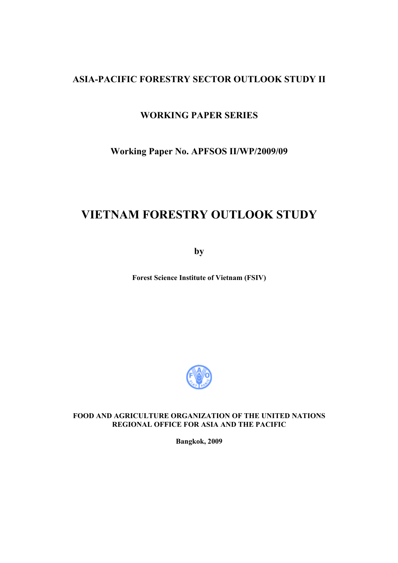# **ASIA-PACIFIC FORESTRY SECTOR OUTLOOK STUDY II**

## **WORKING PAPER SERIES**

**Working Paper No. APFSOS II/WP/2009/09** 

# **VIETNAM FORESTRY OUTLOOK STUDY**

**by** 

**Forest Science Institute of Vietnam (FSIV)** 



### **FOOD AND AGRICULTURE ORGANIZATION OF THE UNITED NATIONS REGIONAL OFFICE FOR ASIA AND THE PACIFIC**

**Bangkok, 2009**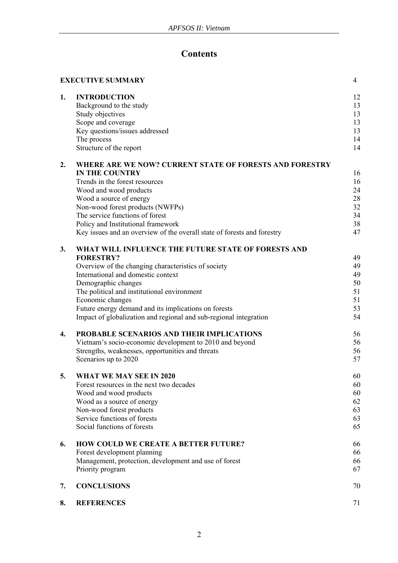# **Contents**

|    | <b>EXECUTIVE SUMMARY</b>                                                                                                                                             | $\overline{4}$                         |
|----|----------------------------------------------------------------------------------------------------------------------------------------------------------------------|----------------------------------------|
| 1. | <b>INTRODUCTION</b><br>Background to the study<br>Study objectives<br>Scope and coverage<br>Key questions/issues addressed<br>The process<br>Structure of the report | 12<br>13<br>13<br>13<br>13<br>14<br>14 |
| 2. | WHERE ARE WE NOW? CURRENT STATE OF FORESTS AND FORESTRY                                                                                                              |                                        |
|    | <b>IN THE COUNTRY</b>                                                                                                                                                | 16                                     |
|    | Trends in the forest resources                                                                                                                                       | 16                                     |
|    | Wood and wood products                                                                                                                                               | 24                                     |
|    | Wood a source of energy                                                                                                                                              | 28                                     |
|    | Non-wood forest products (NWFPs)                                                                                                                                     | 32                                     |
|    | The service functions of forest                                                                                                                                      | 34                                     |
|    | Policy and Institutional framework                                                                                                                                   | 38                                     |
|    | Key issues and an overview of the overall state of forests and forestry                                                                                              | 47                                     |
| 3. | WHAT WILL INFLUENCE THE FUTURE STATE OF FORESTS AND                                                                                                                  |                                        |
|    | <b>FORESTRY?</b>                                                                                                                                                     | 49                                     |
|    | Overview of the changing characteristics of society                                                                                                                  | 49                                     |
|    | International and domestic context                                                                                                                                   | 49                                     |
|    | Demographic changes                                                                                                                                                  | 50                                     |
|    | The political and institutional environment                                                                                                                          | 51                                     |
|    | Economic changes                                                                                                                                                     | 51                                     |
|    | Future energy demand and its implications on forests                                                                                                                 | 53                                     |
|    | Impact of globalization and regional and sub-regional integration                                                                                                    | 54                                     |
| 4. | PROBABLE SCENARIOS AND THEIR IMPLICATIONS                                                                                                                            | 56                                     |
|    | Vietnam's socio-economic development to 2010 and beyond                                                                                                              | 56                                     |
|    | Strengths, weaknesses, opportunities and threats                                                                                                                     | 56                                     |
|    | Scenarios up to 2020                                                                                                                                                 | 57                                     |
| 5. | <b>WHAT WE MAY SEE IN 2020</b>                                                                                                                                       | 60                                     |
|    | Forest resources in the next two decades                                                                                                                             | 60                                     |
|    | Wood and wood products                                                                                                                                               | 60                                     |
|    | Wood as a source of energy                                                                                                                                           | 62                                     |
|    | Non-wood forest products                                                                                                                                             | 63                                     |
|    | Service functions of forests                                                                                                                                         | 63                                     |
|    | Social functions of forests                                                                                                                                          | 65                                     |
| 6. | <b>HOW COULD WE CREATE A BETTER FUTURE?</b>                                                                                                                          | 66                                     |
|    | Forest development planning                                                                                                                                          | 66                                     |
|    | Management, protection, development and use of forest                                                                                                                | 66                                     |
|    | Priority program                                                                                                                                                     | 67                                     |
| 7. | <b>CONCLUSIONS</b>                                                                                                                                                   | 70                                     |
| 8. | <b>REFERENCES</b>                                                                                                                                                    | 71                                     |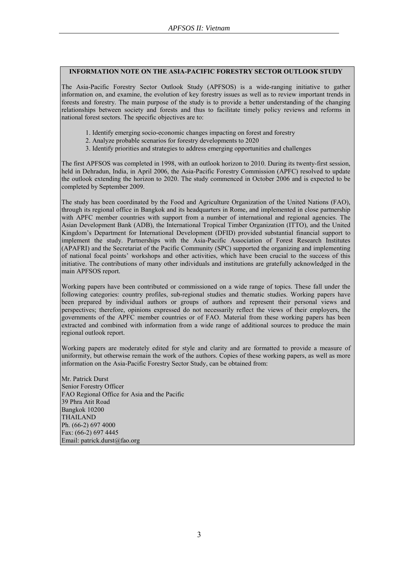### **INFORMATION NOTE ON THE ASIA-PACIFIC FORESTRY SECTOR OUTLOOK STUDY**

The Asia-Pacific Forestry Sector Outlook Study (APFSOS) is a wide-ranging initiative to gather information on, and examine, the evolution of key forestry issues as well as to review important trends in forests and forestry. The main purpose of the study is to provide a better understanding of the changing relationships between society and forests and thus to facilitate timely policy reviews and reforms in national forest sectors. The specific objectives are to:

- 1. Identify emerging socio-economic changes impacting on forest and forestry
- 2. Analyze probable scenarios for forestry developments to 2020
- 3. Identify priorities and strategies to address emerging opportunities and challenges

The first APFSOS was completed in 1998, with an outlook horizon to 2010. During its twenty-first session, held in Dehradun, India, in April 2006, the Asia-Pacific Forestry Commission (APFC) resolved to update the outlook extending the horizon to 2020. The study commenced in October 2006 and is expected to be completed by September 2009.

The study has been coordinated by the Food and Agriculture Organization of the United Nations (FAO), through its regional office in Bangkok and its headquarters in Rome, and implemented in close partnership with APFC member countries with support from a number of international and regional agencies. The Asian Development Bank (ADB), the International Tropical Timber Organization (ITTO), and the United Kingdom's Department for International Development (DFID) provided substantial financial support to implement the study. Partnerships with the Asia-Pacific Association of Forest Research Institutes (APAFRI) and the Secretariat of the Pacific Community (SPC) supported the organizing and implementing of national focal points' workshops and other activities, which have been crucial to the success of this initiative. The contributions of many other individuals and institutions are gratefully acknowledged in the main APFSOS report.

Working papers have been contributed or commissioned on a wide range of topics. These fall under the following categories: country profiles, sub-regional studies and thematic studies. Working papers have been prepared by individual authors or groups of authors and represent their personal views and perspectives; therefore, opinions expressed do not necessarily reflect the views of their employers, the governments of the APFC member countries or of FAO. Material from these working papers has been extracted and combined with information from a wide range of additional sources to produce the main regional outlook report.

Working papers are moderately edited for style and clarity and are formatted to provide a measure of uniformity, but otherwise remain the work of the authors. Copies of these working papers, as well as more information on the Asia-Pacific Forestry Sector Study, can be obtained from:

Mr. Patrick Durst Senior Forestry Officer FAO Regional Office for Asia and the Pacific 39 Phra Atit Road Bangkok 10200 THAILAND Ph. (66-2) 697 4000 Fax: (66-2) 697 4445 Email: patrick.durst@fao.org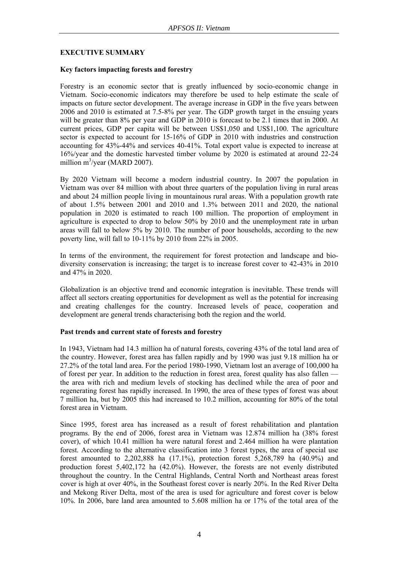### **EXECUTIVE SUMMARY**

### **Key factors impacting forests and forestry**

Forestry is an economic sector that is greatly influenced by socio-economic change in Vietnam. Socio-economic indicators may therefore be used to help estimate the scale of impacts on future sector development. The average increase in GDP in the five years between 2006 and 2010 is estimated at 7.5-8% per year. The GDP growth target in the ensuing years will be greater than 8% per year and GDP in 2010 is forecast to be 2.1 times that in 2000. At current prices, GDP per capita will be between US\$1,050 and US\$1,100. The agriculture sector is expected to account for 15-16% of GDP in 2010 with industries and construction accounting for 43%-44% and services 40-41%. Total export value is expected to increase at 16%/year and the domestic harvested timber volume by 2020 is estimated at around 22-24 million  $m^3$ /year (MARD 2007).

By 2020 Vietnam will become a modern industrial country. In 2007 the population in Vietnam was over 84 million with about three quarters of the population living in rural areas and about 24 million people living in mountainous rural areas. With a population growth rate of about 1.5% between 2001 and 2010 and 1.3% between 2011 and 2020, the national population in 2020 is estimated to reach 100 million. The proportion of employment in agriculture is expected to drop to below 50% by 2010 and the unemployment rate in urban areas will fall to below 5% by 2010. The number of poor households, according to the new poverty line, will fall to 10-11% by 2010 from 22% in 2005.

In terms of the environment, the requirement for forest protection and landscape and biodiversity conservation is increasing; the target is to increase forest cover to 42-43% in 2010 and 47% in 2020.

Globalization is an objective trend and economic integration is inevitable. These trends will affect all sectors creating opportunities for development as well as the potential for increasing and creating challenges for the country. Increased levels of peace, cooperation and development are general trends characterising both the region and the world.

### **Past trends and current state of forests and forestry**

In 1943, Vietnam had 14.3 million ha of natural forests, covering 43% of the total land area of the country. However, forest area has fallen rapidly and by 1990 was just 9.18 million ha or 27.2% of the total land area. For the period 1980-1990, Vietnam lost an average of 100,000 ha of forest per year. In addition to the reduction in forest area, forest quality has also fallen the area with rich and medium levels of stocking has declined while the area of poor and regenerating forest has rapidly increased. In 1990, the area of these types of forest was about 7 million ha, but by 2005 this had increased to 10.2 million, accounting for 80% of the total forest area in Vietnam.

Since 1995, forest area has increased as a result of forest rehabilitation and plantation programs. By the end of 2006, forest area in Vietnam was 12.874 million ha (38% forest cover), of which 10.41 million ha were natural forest and 2.464 million ha were plantation forest. According to the alternative classification into 3 forest types, the area of special use forest amounted to 2,202,888 ha  $(17.1\%)$ , protection forest 5,268,789 ha  $(40.9\%)$  and production forest 5,402,172 ha (42.0%). However, the forests are not evenly distributed throughout the country. In the Central Highlands, Central North and Northeast areas forest cover is high at over 40%, in the Southeast forest cover is nearly 20%. In the Red River Delta and Mekong River Delta, most of the area is used for agriculture and forest cover is below 10%. In 2006, bare land area amounted to 5.608 million ha or 17% of the total area of the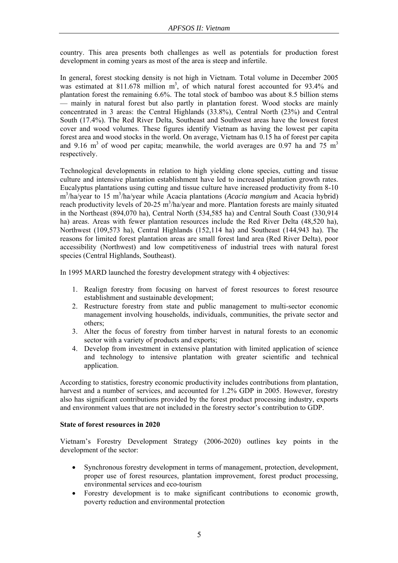country. This area presents both challenges as well as potentials for production forest development in coming years as most of the area is steep and infertile.

In general, forest stocking density is not high in Vietnam. Total volume in December 2005 was estimated at  $811.678$  million m<sup>3</sup>, of which natural forest accounted for 93.4% and plantation forest the remaining 6.6%. The total stock of bamboo was about 8.5 billion stems — mainly in natural forest but also partly in plantation forest. Wood stocks are mainly concentrated in 3 areas: the Central Highlands (33.8%), Central North (23%) and Central South (17.4%). The Red River Delta, Southeast and Southwest areas have the lowest forest cover and wood volumes. These figures identify Vietnam as having the lowest per capita forest area and wood stocks in the world. On average, Vietnam has 0.15 ha of forest per capita and 9.16 m<sup>3</sup> of wood per capita; meanwhile, the world averages are 0.97 ha and  $75 \text{ m}^3$ respectively.

Technological developments in relation to high yielding clone species, cutting and tissue culture and intensive plantation establishment have led to increased plantation growth rates. Eucalyptus plantations using cutting and tissue culture have increased productivity from 8-10 m<sup>3</sup>/ha/year to 15 m<sup>3</sup>/ha/year while Acacia plantations (*Acacia mangium* and Acacia hybrid) reach productivity levels of 20-25 m<sup>3</sup>/ha/year and more. Plantation forests are mainly situated in the Northeast (894,070 ha), Central North (534,585 ha) and Central South Coast (330,914 ha) areas. Areas with fewer plantation resources include the Red River Delta (48,520 ha), Northwest (109,573 ha), Central Highlands (152,114 ha) and Southeast (144,943 ha). The reasons for limited forest plantation areas are small forest land area (Red River Delta), poor accessibility (Northwest) and low competitiveness of industrial trees with natural forest species (Central Highlands, Southeast).

In 1995 MARD launched the forestry development strategy with 4 objectives:

- 1. Realign forestry from focusing on harvest of forest resources to forest resource establishment and sustainable development;
- 2. Restructure forestry from state and public management to multi-sector economic management involving households, individuals, communities, the private sector and others;
- 3. Alter the focus of forestry from timber harvest in natural forests to an economic sector with a variety of products and exports;
- 4. Develop from investment in extensive plantation with limited application of science and technology to intensive plantation with greater scientific and technical application.

According to statistics, forestry economic productivity includes contributions from plantation, harvest and a number of services, and accounted for 1.2% GDP in 2005. However, forestry also has significant contributions provided by the forest product processing industry, exports and environment values that are not included in the forestry sector's contribution to GDP.

### **State of forest resources in 2020**

Vietnam's Forestry Development Strategy (2006-2020) outlines key points in the development of the sector:

- Synchronous forestry development in terms of management, protection, development, proper use of forest resources, plantation improvement, forest product processing, environmental services and eco-tourism
- Forestry development is to make significant contributions to economic growth, poverty reduction and environmental protection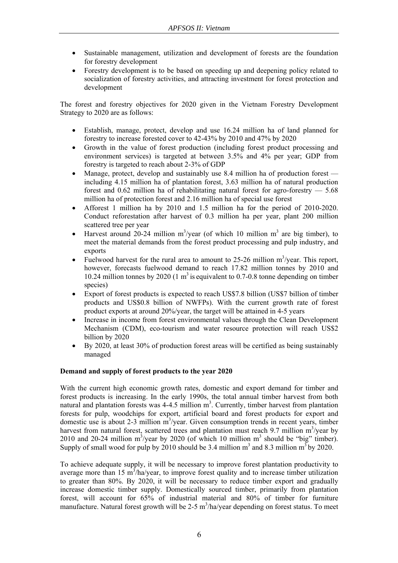- Sustainable management, utilization and development of forests are the foundation for forestry development
- Forestry development is to be based on speeding up and deepening policy related to socialization of forestry activities, and attracting investment for forest protection and development

The forest and forestry objectives for 2020 given in the Vietnam Forestry Development Strategy to 2020 are as follows:

- Establish, manage, protect, develop and use 16.24 million ha of land planned for forestry to increase forested cover to 42-43% by 2010 and 47% by 2020
- Growth in the value of forest production (including forest product processing and environment services) is targeted at between 3.5% and 4% per year; GDP from forestry is targeted to reach about 2-3% of GDP
- Manage, protect, develop and sustainably use 8.4 million ha of production forest including 4.15 million ha of plantation forest, 3.63 million ha of natural production forest and  $0.62$  million ha of rehabilitating natural forest for agro-forestry  $-5.68$ million ha of protection forest and 2.16 million ha of special use forest
- Afforest 1 million ha by 2010 and 1.5 million ha for the period of 2010-2020. Conduct reforestation after harvest of 0.3 million ha per year, plant 200 million scattered tree per year
- Harvest around 20-24 million  $m^3$ /year (of which 10 million  $m^3$  are big timber), to meet the material demands from the forest product processing and pulp industry, and exports
- Fuelwood harvest for the rural area to amount to 25-26 million  $m^3$ /year. This report, however, forecasts fuelwood demand to reach 17.82 million tonnes by 2010 and 10.24 million tonnes by 2020 (1  $m<sup>3</sup>$  is equivalent to 0.7-0.8 tonne depending on timber species)
- Export of forest products is expected to reach US\$7.8 billion (US\$7 billion of timber products and US\$0.8 billion of NWFPs). With the current growth rate of forest product exports at around 20%/year, the target will be attained in 4-5 years
- Increase in income from forest environmental values through the Clean Development Mechanism (CDM), eco-tourism and water resource protection will reach US\$2 billion by 2020
- By 2020, at least 30% of production forest areas will be certified as being sustainably managed

### **Demand and supply of forest products to the year 2020**

With the current high economic growth rates, domestic and export demand for timber and forest products is increasing. In the early 1990s, the total annual timber harvest from both natural and plantation forests was  $4-4.5$  million  $m<sup>3</sup>$ . Currently, timber harvest from plantation forests for pulp, woodchips for export, artificial board and forest products for export and domestic use is about 2-3 million  $m^3$ /year. Given consumption trends in recent years, timber harvest from natural forest, scattered trees and plantation must reach 9.7 million  $m^3$ /year by 2010 and 20-24 million  $m^3$ /year by 2020 (of which 10 million  $m^3$  should be "big" timber). Supply of small wood for pulp by 2010 should be 3.4 million  $m^3$  and 8.3 million  $m^3$  by 2020.

To achieve adequate supply, it will be necessary to improve forest plantation productivity to average more than 15  $m^3$ /ha/year, to improve forest quality and to increase timber utilization to greater than 80%. By 2020, it will be necessary to reduce timber export and gradually increase domestic timber supply. Domestically sourced timber, primarily from plantation forest, will account for 65% of industrial material and 80% of timber for furniture manufacture. Natural forest growth will be 2-5  $\text{m}^3$ /ha/year depending on forest status. To meet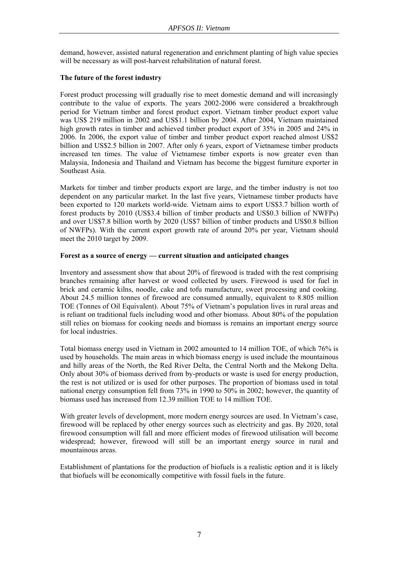demand, however, assisted natural regeneration and enrichment planting of high value species will be necessary as will post-harvest rehabilitation of natural forest.

### **The future of the forest industry**

Forest product processing will gradually rise to meet domestic demand and will increasingly contribute to the value of exports. The years 2002-2006 were considered a breakthrough period for Vietnam timber and forest product export. Vietnam timber product export value was US\$ 219 million in 2002 and US\$1.1 billion by 2004. After 2004, Vietnam maintained high growth rates in timber and achieved timber product export of 35% in 2005 and 24% in 2006. In 2006, the export value of timber and timber product export reached almost US\$2 billion and US\$2.5 billion in 2007. After only 6 years, export of Vietnamese timber products increased ten times. The value of Vietnamese timber exports is now greater even than Malaysia, Indonesia and Thailand and Vietnam has become the biggest furniture exporter in Southeast Asia.

Markets for timber and timber products export are large, and the timber industry is not too dependent on any particular market. In the last five years, Vietnamese timber products have been exported to 120 markets world-wide. Vietnam aims to export US\$3.7 billion worth of forest products by 2010 (US\$3.4 billion of timber products and US\$0.3 billion of NWFPs) and over US\$7.8 billion worth by 2020 (US\$7 billion of timber products and US\$0.8 billion of NWFPs). With the current export growth rate of around 20% per year, Vietnam should meet the 2010 target by 2009.

### **Forest as a source of energy — current situation and anticipated changes**

Inventory and assessment show that about 20% of firewood is traded with the rest comprising branches remaining after harvest or wood collected by users. Firewood is used for fuel in brick and ceramic kilns, noodle, cake and tofu manufacture, sweet processing and cooking. About 24.5 million tonnes of firewood are consumed annually, equivalent to 8.805 million TOE (Tonnes of Oil Equivalent). About 75% of Vietnam's population lives in rural areas and is reliant on traditional fuels including wood and other biomass. About 80% of the population still relies on biomass for cooking needs and biomass is remains an important energy source for local industries.

Total biomass energy used in Vietnam in 2002 amounted to 14 million TOE, of which 76% is used by households. The main areas in which biomass energy is used include the mountainous and hilly areas of the North, the Red River Delta, the Central North and the Mekong Delta. Only about 30% of biomass derived from by-products or waste is used for energy production, the rest is not utilized or is used for other purposes. The proportion of biomass used in total national energy consumption fell from 73% in 1990 to 50% in 2002; however, the quantity of biomass used has increased from 12.39 million TOE to 14 million TOE.

With greater levels of development, more modern energy sources are used. In Vietnam's case, firewood will be replaced by other energy sources such as electricity and gas. By 2020, total firewood consumption will fall and more efficient modes of firewood utilisation will become widespread; however, firewood will still be an important energy source in rural and mountainous areas.

Establishment of plantations for the production of biofuels is a realistic option and it is likely that biofuels will be economically competitive with fossil fuels in the future.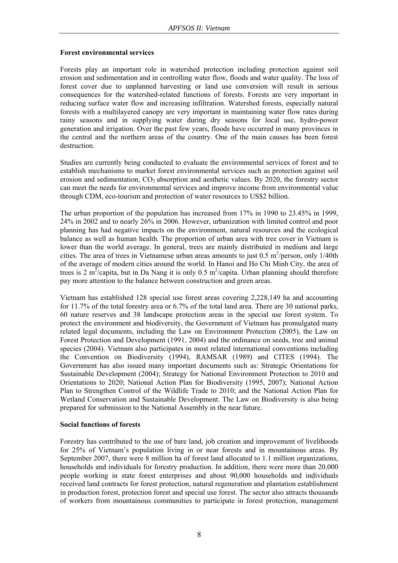### **Forest environmental services**

Forests play an important role in watershed protection including protection against soil erosion and sedimentation and in controlling water flow, floods and water quality. The loss of forest cover due to unplanned harvesting or land use conversion will result in serious consequences for the watershed-related functions of forests. Forests are very important in reducing surface water flow and increasing infiltration. Watershed forests, especially natural forests with a multilayered canopy are very important in maintaining water flow rates during rainy seasons and in supplying water during dry seasons for local use, hydro-power generation and irrigation. Over the past few years, floods have occurred in many provinces in the central and the northern areas of the country. One of the main causes has been forest destruction.

Studies are currently being conducted to evaluate the environmental services of forest and to establish mechanisms to market forest environmental services such as protection against soil erosion and sedimentation,  $CO<sub>2</sub>$  absorption and aesthetic values. By 2020, the forestry sector can meet the needs for environmental services and improve income from environmental value through CDM, eco-tourism and protection of water resources to US\$2 billion.

The urban proportion of the population has increased from 17% in 1990 to 23.45% in 1999, 24% in 2002 and to nearly 26% in 2006. However, urbanization with limited control and poor planning has had negative impacts on the environment, natural resources and the ecological balance as well as human health. The proportion of urban area with tree cover in Vietnam is lower than the world average. In general, trees are mainly distributed in medium and large cities. The area of trees in Vietnamese urban areas amounts to just  $0.5 \text{ m}^2/\text{person}$ , only  $1/40\text{th}$ of the average of modern cities around the world. In Hanoi and Ho Chi Minh City, the area of trees is 2 m<sup>2</sup>/capita, but in Da Nang it is only 0.5 m<sup>2</sup>/capita. Urban planning should therefore pay more attention to the balance between construction and green areas.

Vietnam has established 128 special use forest areas covering 2,228,149 ha and accounting for 11.7% of the total forestry area or 6.7% of the total land area. There are 30 national parks, 60 nature reserves and 38 landscape protection areas in the special use forest system. To protect the environment and biodiversity, the Government of Vietnam has promulgated many related legal documents, including the Law on Environment Protection (2005), the Law on Forest Protection and Development (1991, 2004) and the ordinance on seeds, tree and animal species (2004). Vietnam also participates in most related international conventions including the Convention on Biodiversity (1994), RAMSAR (1989) and CITES (1994). The Government has also issued many important documents such as: Strategic Orientations for Sustainable Development (2004); Strategy for National Environment Protection to 2010 and Orientations to 2020; National Action Plan for Biodiversity (1995, 2007); National Action Plan to Strengthen Control of the Wildlife Trade to 2010; and the National Action Plan for Wetland Conservation and Sustainable Development. The Law on Biodiversity is also being prepared for submission to the National Assembly in the near future.

### **Social functions of forests**

Forestry has contributed to the use of bare land, job creation and improvement of livelihoods for 25% of Vietnam's population living in or near forests and in mountainous areas. By September 2007, there were 8 million ha of forest land allocated to 1.1 million organizations. households and individuals for forestry production. In addition, there were more than 20,000 people working in state forest enterprises and about 90,000 households and individuals received land contracts for forest protection, natural regeneration and plantation establishment in production forest, protection forest and special use forest. The sector also attracts thousands of workers from mountainous communities to participate in forest protection, management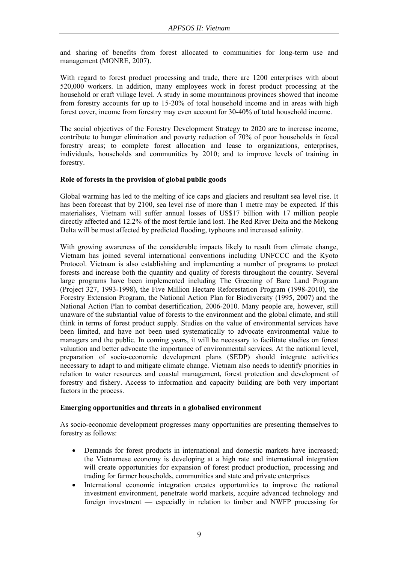and sharing of benefits from forest allocated to communities for long-term use and management (MONRE, 2007).

With regard to forest product processing and trade, there are 1200 enterprises with about 520,000 workers. In addition, many employees work in forest product processing at the household or craft village level. A study in some mountainous provinces showed that income from forestry accounts for up to 15-20% of total household income and in areas with high forest cover, income from forestry may even account for 30-40% of total household income.

The social objectives of the Forestry Development Strategy to 2020 are to increase income, contribute to hunger elimination and poverty reduction of 70% of poor households in focal forestry areas; to complete forest allocation and lease to organizations, enterprises, individuals, households and communities by 2010; and to improve levels of training in forestry.

### **Role of forests in the provision of global public goods**

Global warming has led to the melting of ice caps and glaciers and resultant sea level rise. It has been forecast that by 2100, sea level rise of more than 1 metre may be expected. If this materialises, Vietnam will suffer annual losses of US\$17 billion with 17 million people directly affected and 12.2% of the most fertile land lost. The Red River Delta and the Mekong Delta will be most affected by predicted flooding, typhoons and increased salinity.

With growing awareness of the considerable impacts likely to result from climate change, Vietnam has joined several international conventions including UNFCCC and the Kyoto Protocol. Vietnam is also establishing and implementing a number of programs to protect forests and increase both the quantity and quality of forests throughout the country. Several large programs have been implemented including The Greening of Bare Land Program (Project 327, 1993-1998), the Five Million Hectare Reforestation Program (1998-2010), the Forestry Extension Program, the National Action Plan for Biodiversity (1995, 2007) and the National Action Plan to combat desertification, 2006-2010. Many people are, however, still unaware of the substantial value of forests to the environment and the global climate, and still think in terms of forest product supply. Studies on the value of environmental services have been limited, and have not been used systematically to advocate environmental value to managers and the public. In coming years, it will be necessary to facilitate studies on forest valuation and better advocate the importance of environmental services. At the national level, preparation of socio-economic development plans (SEDP) should integrate activities necessary to adapt to and mitigate climate change. Vietnam also needs to identify priorities in relation to water resources and coastal management, forest protection and development of forestry and fishery. Access to information and capacity building are both very important factors in the process.

### **Emerging opportunities and threats in a globalised environment**

As socio-economic development progresses many opportunities are presenting themselves to forestry as follows:

- Demands for forest products in international and domestic markets have increased; the Vietnamese economy is developing at a high rate and international integration will create opportunities for expansion of forest product production, processing and trading for farmer households, communities and state and private enterprises
- International economic integration creates opportunities to improve the national investment environment, penetrate world markets, acquire advanced technology and foreign investment — especially in relation to timber and NWFP processing for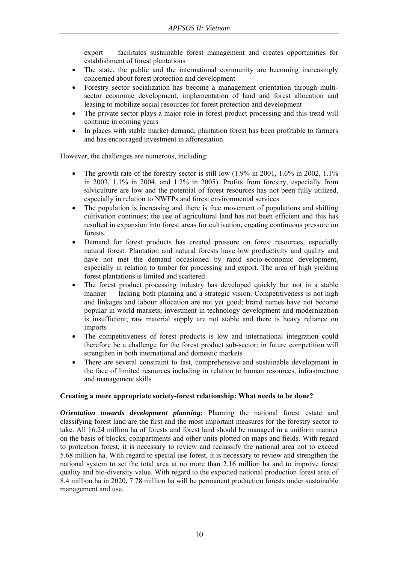export — facilitates sustainable forest management and creates opportunities for establishment of forest plantations

- The state, the public and the international community are becoming increasingly concerned about forest protection and development
- Forestry sector socialization has become a management orientation through multisector economic development, implementation of land and forest allocation and leasing to mobilize social resources for forest protection and development
- The private sector plays a major role in forest product processing and this trend will continue in coming years
- In places with stable market demand, plantation forest has been profitable to farmers and has encouraged investment in afforestation

However, the challenges are numerous, including:

- The growth rate of the forestry sector is still low  $(1.9\%$  in 2001,  $1.6\%$  in 2002,  $1.1\%$ in 2003, 1.1% in 2004, and 1.2% in 2005). Profits from forestry, especially from silviculture are low and the potential of forest resources has not been fully utilized, especially in relation to NWFPs and forest environmental services
- The population is increasing and there is free movement of populations and shifting cultivation continues; the use of agricultural land has not been efficient and this has resulted in expansion into forest areas for cultivation, creating continuous pressure on forests.
- Demand for forest products has created pressure on forest resources, especially natural forest. Plantation and natural forests have low productivity and quality and have not met the demand occasioned by rapid socio-economic development, especially in relation to timber for processing and export. The area of high yielding forest plantations is limited and scattered
- The forest product processing industry has developed quickly but not in a stable manner — lacking both planning and a strategic vision. Competitiveness is not high and linkages and labour allocation are not yet good; brand names have not become popular in world markets; investment in technology development and modernization is insufficient; raw material supply are not stable and there is heavy reliance on imports
- The competitiveness of forest products is low and international integration could therefore be a challenge for the forest product sub-sector; in future competition will strengthen in both international and domestic markets
- There are several constraint to fast, comprehensive and sustainable development in the face of limited resources including in relation to human resources, infrastructure and management skills

### **Creating a more appropriate society-forest relationship: What needs to be done?**

*Orientation towards development planning:* Planning the national forest estate and classifying forest land are the first and the most important measures for the forestry sector to take. All 16.24 million ha of forests and forest land should be managed in a uniform manner on the basis of blocks, compartments and other units plotted on maps and fields. With regard to protection forest, it is necessary to review and reclassify the national area not to exceed 5.68 million ha. With regard to special use forest, it is necessary to review and strengthen the national system to set the total area at no more than 2.16 million ha and to improve forest quality and bio-diversity value. With regard to the expected national production forest area of 8.4 million ha in 2020, 7.78 million ha will be permanent production forests under sustainable management and use.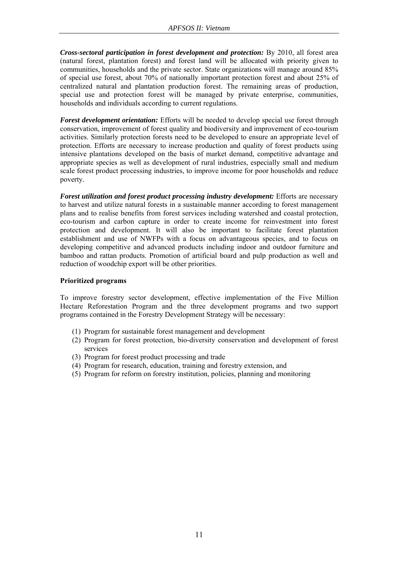*Cross-sectoral participation in forest development and protection:* By 2010, all forest area (natural forest, plantation forest) and forest land will be allocated with priority given to communities, households and the private sector. State organizations will manage around 85% of special use forest, about 70% of nationally important protection forest and about 25% of centralized natural and plantation production forest. The remaining areas of production, special use and protection forest will be managed by private enterprise, communities, households and individuals according to current regulations.

*Forest development orientation:* Efforts will be needed to develop special use forest through conservation, improvement of forest quality and biodiversity and improvement of eco-tourism activities. Similarly protection forests need to be developed to ensure an appropriate level of protection. Efforts are necessary to increase production and quality of forest products using intensive plantations developed on the basis of market demand, competitive advantage and appropriate species as well as development of rural industries, especially small and medium scale forest product processing industries, to improve income for poor households and reduce poverty.

*Forest utilization and forest product processing industry development:* Efforts are necessary to harvest and utilize natural forests in a sustainable manner according to forest management plans and to realise benefits from forest services including watershed and coastal protection, eco-tourism and carbon capture in order to create income for reinvestment into forest protection and development. It will also be important to facilitate forest plantation establishment and use of NWFPs with a focus on advantageous species, and to focus on developing competitive and advanced products including indoor and outdoor furniture and bamboo and rattan products. Promotion of artificial board and pulp production as well and reduction of woodchip export will be other priorities.

### **Prioritized programs**

To improve forestry sector development, effective implementation of the Five Million Hectare Reforestation Program and the three development programs and two support programs contained in the Forestry Development Strategy will be necessary:

- (1) Program for sustainable forest management and development
- (2) Program for forest protection, bio-diversity conservation and development of forest services
- (3) Program for forest product processing and trade
- (4) Program for research, education, training and forestry extension, and
- (5) Program for reform on forestry institution, policies, planning and monitoring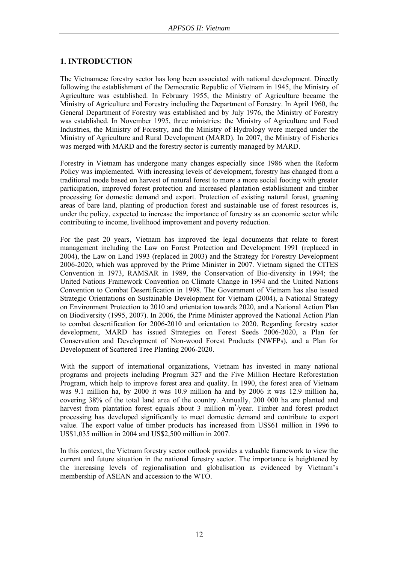### **1. INTRODUCTION**

The Vietnamese forestry sector has long been associated with national development. Directly following the establishment of the Democratic Republic of Vietnam in 1945, the Ministry of Agriculture was established. In February 1955, the Ministry of Agriculture became the Ministry of Agriculture and Forestry including the Department of Forestry. In April 1960, the General Department of Forestry was established and by July 1976, the Ministry of Forestry was established. In November 1995, three ministries: the Ministry of Agriculture and Food Industries, the Ministry of Forestry, and the Ministry of Hydrology were merged under the Ministry of Agriculture and Rural Development (MARD). In 2007, the Ministry of Fisheries was merged with MARD and the forestry sector is currently managed by MARD.

Forestry in Vietnam has undergone many changes especially since 1986 when the Reform Policy was implemented. With increasing levels of development, forestry has changed from a traditional mode based on harvest of natural forest to more a more social footing with greater participation, improved forest protection and increased plantation establishment and timber processing for domestic demand and export. Protection of existing natural forest, greening areas of bare land, planting of production forest and sustainable use of forest resources is, under the policy, expected to increase the importance of forestry as an economic sector while contributing to income, livelihood improvement and poverty reduction.

For the past 20 years, Vietnam has improved the legal documents that relate to forest management including the Law on Forest Protection and Development 1991 (replaced in 2004), the Law on Land 1993 (replaced in 2003) and the Strategy for Forestry Development 2006-2020, which was approved by the Prime Minister in 2007. Vietnam signed the CITES Convention in 1973, RAMSAR in 1989, the Conservation of Bio-diversity in 1994; the United Nations Framework Convention on Climate Change in 1994 and the United Nations Convention to Combat Desertification in 1998. The Government of Vietnam has also issued Strategic Orientations on Sustainable Development for Vietnam (2004), a National Strategy on Environment Protection to 2010 and orientation towards 2020, and a National Action Plan on Biodiversity (1995, 2007). In 2006, the Prime Minister approved the National Action Plan to combat desertification for 2006-2010 and orientation to 2020. Regarding forestry sector development, MARD has issued Strategies on Forest Seeds 2006-2020, a Plan for Conservation and Development of Non-wood Forest Products (NWFPs), and a Plan for Development of Scattered Tree Planting 2006-2020.

With the support of international organizations, Vietnam has invested in many national programs and projects including Program 327 and the Five Million Hectare Reforestation Program, which help to improve forest area and quality. In 1990, the forest area of Vietnam was 9.1 million ha, by 2000 it was 10.9 million ha and by 2006 it was 12.9 million ha, covering 38% of the total land area of the country. Annually, 200 000 ha are planted and harvest from plantation forest equals about 3 million  $m^3$ /year. Timber and forest product processing has developed significantly to meet domestic demand and contribute to export value. The export value of timber products has increased from US\$61 million in 1996 to US\$1,035 million in 2004 and US\$2,500 million in 2007.

In this context, the Vietnam forestry sector outlook provides a valuable framework to view the current and future situation in the national forestry sector. The importance is heightened by the increasing levels of regionalisation and globalisation as evidenced by Vietnam's membership of ASEAN and accession to the WTO.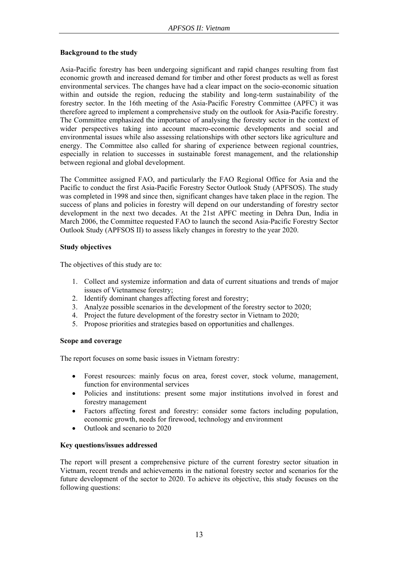### **Background to the study**

Asia-Pacific forestry has been undergoing significant and rapid changes resulting from fast economic growth and increased demand for timber and other forest products as well as forest environmental services. The changes have had a clear impact on the socio-economic situation within and outside the region, reducing the stability and long-term sustainability of the forestry sector. In the 16th meeting of the Asia-Pacific Forestry Committee (APFC) it was therefore agreed to implement a comprehensive study on the outlook for Asia-Pacific forestry. The Committee emphasized the importance of analysing the forestry sector in the context of wider perspectives taking into account macro-economic developments and social and environmental issues while also assessing relationships with other sectors like agriculture and energy. The Committee also called for sharing of experience between regional countries, especially in relation to successes in sustainable forest management, and the relationship between regional and global development.

The Committee assigned FAO, and particularly the FAO Regional Office for Asia and the Pacific to conduct the first Asia-Pacific Forestry Sector Outlook Study (APFSOS). The study was completed in 1998 and since then, significant changes have taken place in the region. The success of plans and policies in forestry will depend on our understanding of forestry sector development in the next two decades. At the 21st APFC meeting in Dehra Dun, India in March 2006, the Committee requested FAO to launch the second Asia-Pacific Forestry Sector Outlook Study (APFSOS II) to assess likely changes in forestry to the year 2020.

### **Study objectives**

The objectives of this study are to:

- 1. Collect and systemize information and data of current situations and trends of major issues of Vietnamese forestry;
- 2. Identify dominant changes affecting forest and forestry;
- 3. Analyze possible scenarios in the development of the forestry sector to 2020;
- 4. Project the future development of the forestry sector in Vietnam to 2020;
- 5. Propose priorities and strategies based on opportunities and challenges.

### **Scope and coverage**

The report focuses on some basic issues in Vietnam forestry:

- Forest resources: mainly focus on area, forest cover, stock volume, management, function for environmental services
- Policies and institutions: present some major institutions involved in forest and forestry management
- Factors affecting forest and forestry: consider some factors including population, economic growth, needs for firewood, technology and environment
- Outlook and scenario to 2020

### **Key questions/issues addressed**

The report will present a comprehensive picture of the current forestry sector situation in Vietnam, recent trends and achievements in the national forestry sector and scenarios for the future development of the sector to 2020. To achieve its objective, this study focuses on the following questions: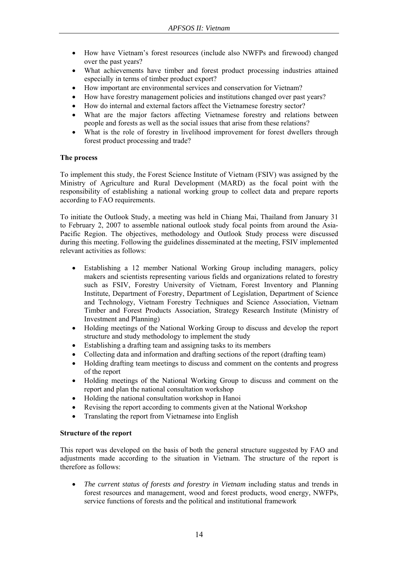- How have Vietnam's forest resources (include also NWFPs and firewood) changed over the past years?
- What achievements have timber and forest product processing industries attained especially in terms of timber product export?
- How important are environmental services and conservation for Vietnam?
- How have forestry management policies and institutions changed over past years?
- How do internal and external factors affect the Vietnamese forestry sector?
- What are the major factors affecting Vietnamese forestry and relations between people and forests as well as the social issues that arise from these relations?
- What is the role of forestry in livelihood improvement for forest dwellers through forest product processing and trade?

### **The process**

To implement this study, the Forest Science Institute of Vietnam (FSIV) was assigned by the Ministry of Agriculture and Rural Development (MARD) as the focal point with the responsibility of establishing a national working group to collect data and prepare reports according to FAO requirements.

To initiate the Outlook Study, a meeting was held in Chiang Mai, Thailand from January 31 to February 2, 2007 to assemble national outlook study focal points from around the Asia-Pacific Region. The objectives, methodology and Outlook Study process were discussed during this meeting. Following the guidelines disseminated at the meeting, FSIV implemented relevant activities as follows:

- Establishing a 12 member National Working Group including managers, policy makers and scientists representing various fields and organizations related to forestry such as FSIV, Forestry University of Vietnam, Forest Inventory and Planning Institute, Department of Forestry, Department of Legislation, Department of Science and Technology, Vietnam Forestry Techniques and Science Association, Vietnam Timber and Forest Products Association, Strategy Research Institute (Ministry of Investment and Planning)
- Holding meetings of the National Working Group to discuss and develop the report structure and study methodology to implement the study
- Establishing a drafting team and assigning tasks to its members
- Collecting data and information and drafting sections of the report (drafting team)
- Holding drafting team meetings to discuss and comment on the contents and progress of the report
- Holding meetings of the National Working Group to discuss and comment on the report and plan the national consultation workshop
- Holding the national consultation workshop in Hanoi
- Revising the report according to comments given at the National Workshop
- Translating the report from Vietnamese into English

### **Structure of the report**

This report was developed on the basis of both the general structure suggested by FAO and adjustments made according to the situation in Vietnam. The structure of the report is therefore as follows:

• *The current status of forests and forestry in Vietnam* including status and trends in forest resources and management, wood and forest products, wood energy, NWFPs, service functions of forests and the political and institutional framework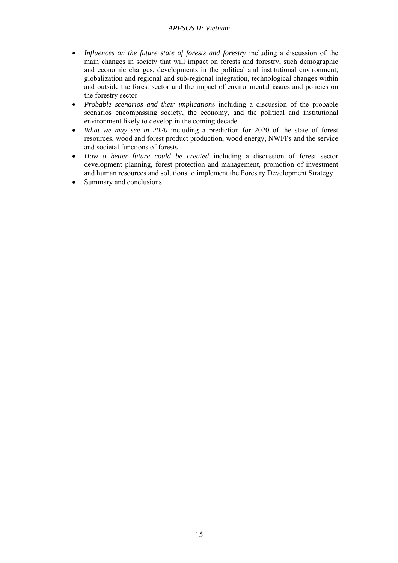- *Influences on the future state of forests and forestry* including a discussion of the main changes in society that will impact on forests and forestry, such demographic and economic changes, developments in the political and institutional environment, globalization and regional and sub-regional integration, technological changes within and outside the forest sector and the impact of environmental issues and policies on the forestry sector
- *Probable scenarios and their implication*s including a discussion of the probable scenarios encompassing society, the economy, and the political and institutional environment likely to develop in the coming decade
- *What we may see in 2020* including a prediction for 2020 of the state of forest resources, wood and forest product production, wood energy, NWFPs and the service and societal functions of forests
- *How a better future could be created* including a discussion of forest sector development planning, forest protection and management, promotion of investment and human resources and solutions to implement the Forestry Development Strategy
- Summary and conclusions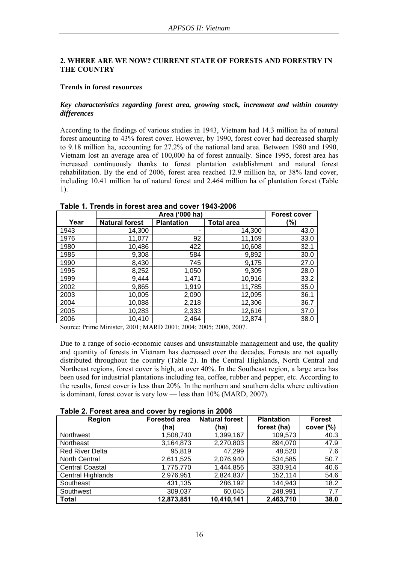### **2. WHERE ARE WE NOW? CURRENT STATE OF FORESTS AND FORESTRY IN THE COUNTRY**

### **Trends in forest resources**

### *Key characteristics regarding forest area, growing stock, increment and within country differences*

According to the findings of various studies in 1943, Vietnam had 14.3 million ha of natural forest amounting to 43% forest cover. However, by 1990, forest cover had decreased sharply to 9.18 million ha, accounting for 27.2% of the national land area. Between 1980 and 1990, Vietnam lost an average area of 100,000 ha of forest annually. Since 1995, forest area has increased continuously thanks to forest plantation establishment and natural forest rehabilitation. By the end of 2006, forest area reached 12.9 million ha, or 38% land cover, including 10.41 million ha of natural forest and 2.464 million ha of plantation forest (Table 1).

|      |                       | <b>Forest cover</b> |                   |        |
|------|-----------------------|---------------------|-------------------|--------|
| Year | <b>Natural forest</b> | <b>Plantation</b>   | <b>Total area</b> | $(\%)$ |
| 1943 | 14,300                |                     | 14,300            | 43.0   |
| 1976 | 11,077                | 92                  | 11,169            | 33.0   |
| 1980 | 10,486                | 422                 | 10,608            | 32.1   |
| 1985 | 9,308                 | 584                 | 9,892             | 30.0   |
| 1990 | 8,430                 | 745                 | 9,175             | 27.0   |
| 1995 | 8,252                 | 1,050               | 9,305             | 28.0   |
| 1999 | 9.444                 | 1,471               | 10,916            | 33.2   |
| 2002 | 9,865                 | 1,919               | 11,785            | 35.0   |
| 2003 | 10,005                | 2,090               | 12,095            | 36.1   |
| 2004 | 10,088                | 2,218               | 12,306            | 36.7   |
| 2005 | 10,283                | 2,333               | 12,616            | 37.0   |
| 2006 | 10,410                | 2,464               | 12,874            | 38.0   |

### **Table 1***.* **Trends in forest area and cover 1943-2006**

Source: Prime Minister, 2001; MARD 2001; 2004; 2005; 2006, 2007.

Due to a range of socio-economic causes and unsustainable management and use, the quality and quantity of forests in Vietnam has decreased over the decades. Forests are not equally distributed throughout the country (Table 2). In the Central Highlands, North Central and Northeast regions, forest cover is high, at over 40%. In the Southeast region, a large area has been used for industrial plantations including tea, coffee, rubber and pepper, etc. According to the results, forest cover is less than 20%. In the northern and southern delta where cultivation is dominant, forest cover is very low — less than 10% (MARD, 2007).

### **Table 2. Forest area and cover by regions in 2006**

| <b>Region</b>          | <b>Forested area</b> | <b>Natural forest</b> | <b>Plantation</b> | <b>Forest</b> |
|------------------------|----------------------|-----------------------|-------------------|---------------|
|                        | (ha)                 | (ha)                  | forest (ha)       | cover $(\%)$  |
| <b>Northwest</b>       | 1,508,740            | 1,399,167             | 109,573           | 40.3          |
| Northeast              | 3,164,873            | 2,270,803             | 894,070           | 47.9          |
| <b>Red River Delta</b> | 95,819               | 47,299                | 48,520            | 7.6           |
| North Central          | 2,611,525            | 2,076,940             | 534,585           | 50.7          |
| <b>Central Coastal</b> | 1,775,770            | 1,444,856             | 330,914           | 40.6          |
| Central Highlands      | 2,976,951            | 2,824,837             | 152,114           | 54.6          |
| Southeast              | 431,135              | 286,192               | 144,943           | 18.2          |
| Southwest              | 309,037              | 60,045                | 248,991           | 7.7           |
| <b>Total</b>           | 12,873,851           | 10,410,141            | 2,463,710         | 38.0          |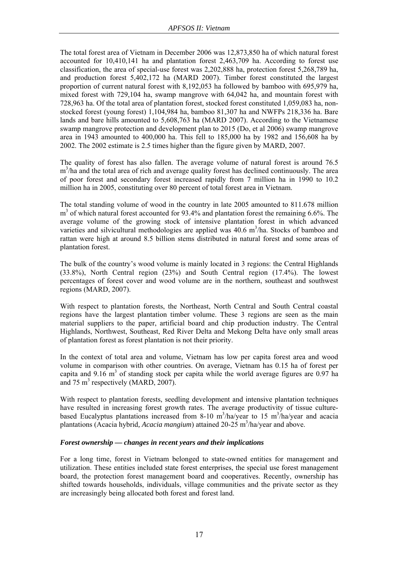The total forest area of Vietnam in December 2006 was 12,873,850 ha of which natural forest accounted for 10,410,141 ha and plantation forest 2,463,709 ha. According to forest use classification, the area of special-use forest was 2,202,888 ha, protection forest 5,268,789 ha, and production forest 5,402,172 ha (MARD 2007). Timber forest constituted the largest proportion of current natural forest with 8,192,053 ha followed by bamboo with 695,979 ha, mixed forest with 729,104 ha, swamp mangrove with 64,042 ha, and mountain forest with 728,963 ha. Of the total area of plantation forest, stocked forest constituted 1,059,083 ha, nonstocked forest (young forest) 1,104,984 ha, bamboo 81,307 ha and NWFPs 218,336 ha. Bare lands and bare hills amounted to 5,608,763 ha (MARD 2007). According to the Vietnamese swamp mangrove protection and development plan to 2015 (Do, et al 2006) swamp mangrove area in 1943 amounted to 400,000 ha. This fell to 185,000 ha by 1982 and 156,608 ha by 2002. The 2002 estimate is 2.5 times higher than the figure given by MARD, 2007.

The quality of forest has also fallen. The average volume of natural forest is around 76.5 m<sup>3</sup>/ha and the total area of rich and average quality forest has declined continuously. The area of poor forest and secondary forest increased rapidly from 7 million ha in 1990 to 10.2 million ha in 2005, constituting over 80 percent of total forest area in Vietnam.

The total standing volume of wood in the country in late 2005 amounted to 811.678 million m<sup>3</sup> of which natural forest accounted for 93.4% and plantation forest the remaining 6.6%. The average volume of the growing stock of intensive plantation forest in which advanced varieties and silvicultural methodologies are applied was  $40.6 \text{ m}^3/\text{ha}$ . Stocks of bamboo and rattan were high at around 8.5 billion stems distributed in natural forest and some areas of plantation forest.

The bulk of the country's wood volume is mainly located in 3 regions: the Central Highlands (33.8%), North Central region (23%) and South Central region (17.4%). The lowest percentages of forest cover and wood volume are in the northern, southeast and southwest regions (MARD, 2007).

With respect to plantation forests, the Northeast, North Central and South Central coastal regions have the largest plantation timber volume. These 3 regions are seen as the main material suppliers to the paper, artificial board and chip production industry. The Central Highlands, Northwest, Southeast, Red River Delta and Mekong Delta have only small areas of plantation forest as forest plantation is not their priority.

In the context of total area and volume, Vietnam has low per capita forest area and wood volume in comparison with other countries. On average, Vietnam has 0.15 ha of forest per capita and  $9.16 \text{ m}^3$  of standing stock per capita while the world average figures are 0.97 ha and 75  $m^3$  respectively (MARD, 2007).

With respect to plantation forests, seedling development and intensive plantation techniques have resulted in increasing forest growth rates. The average productivity of tissue culturebased Eucalyptus plantations increased from 8-10 m<sup>3</sup>/ha/year to 15 m<sup>3</sup>/ha/year and acacia plantations (Acacia hybrid, Acacia mangium) attained 20-25 m<sup>3</sup>/ha/year and above.

### *Forest ownership — changes in recent years and their implications*

For a long time, forest in Vietnam belonged to state-owned entities for management and utilization. These entities included state forest enterprises, the special use forest management board, the protection forest management board and cooperatives. Recently, ownership has shifted towards households, individuals, village communities and the private sector as they are increasingly being allocated both forest and forest land.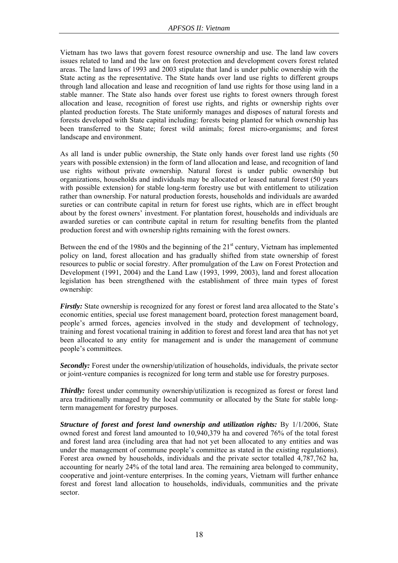Vietnam has two laws that govern forest resource ownership and use. The land law covers issues related to land and the law on forest protection and development covers forest related areas. The land laws of 1993 and 2003 stipulate that land is under public ownership with the State acting as the representative. The State hands over land use rights to different groups through land allocation and lease and recognition of land use rights for those using land in a stable manner. The State also hands over forest use rights to forest owners through forest allocation and lease, recognition of forest use rights, and rights or ownership rights over planted production forests. The State uniformly manages and disposes of natural forests and forests developed with State capital including: forests being planted for which ownership has been transferred to the State; forest wild animals; forest micro-organisms; and forest landscape and environment.

As all land is under public ownership, the State only hands over forest land use rights (50 years with possible extension) in the form of land allocation and lease, and recognition of land use rights without private ownership. Natural forest is under public ownership but organizations, households and individuals may be allocated or leased natural forest (50 years with possible extension) for stable long-term forestry use but with entitlement to utilization rather than ownership. For natural production forests, households and individuals are awarded sureties or can contribute capital in return for forest use rights, which are in effect brought about by the forest owners' investment. For plantation forest, households and individuals are awarded sureties or can contribute capital in return for resulting benefits from the planted production forest and with ownership rights remaining with the forest owners.

Between the end of the 1980s and the beginning of the  $21<sup>st</sup>$  century, Vietnam has implemented policy on land, forest allocation and has gradually shifted from state ownership of forest resources to public or social forestry. After promulgation of the Law on Forest Protection and Development (1991, 2004) and the Land Law (1993, 1999, 2003), land and forest allocation legislation has been strengthened with the establishment of three main types of forest ownership:

*Firstly:* State ownership is recognized for any forest or forest land area allocated to the State's economic entities, special use forest management board, protection forest management board, people's armed forces, agencies involved in the study and development of technology, training and forest vocational training in addition to forest and forest land area that has not yet been allocated to any entity for management and is under the management of commune people's committees.

**Secondly:** Forest under the ownership/utilization of households, individuals, the private sector or joint-venture companies is recognized for long term and stable use for forestry purposes.

*Thirdly:* forest under community ownership/utilization is recognized as forest or forest land area traditionally managed by the local community or allocated by the State for stable longterm management for forestry purposes.

*Structure of forest and forest land ownership and utilization rights:* By 1/1/2006, State owned forest and forest land amounted to 10,940,379 ha and covered 76% of the total forest and forest land area (including area that had not yet been allocated to any entities and was under the management of commune people's committee as stated in the existing regulations). Forest area owned by households, individuals and the private sector totalled 4,787,762 ha, accounting for nearly 24% of the total land area. The remaining area belonged to community, cooperative and joint-venture enterprises. In the coming years, Vietnam will further enhance forest and forest land allocation to households, individuals, communities and the private sector.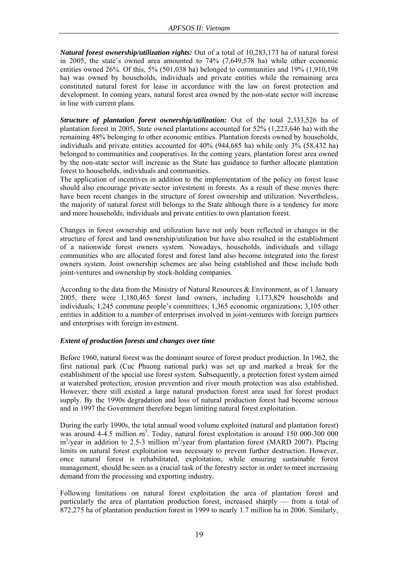*Natural forest ownership/utilization rights:* Out of a total of 10,283,173 ha of natural forest in 2005, the state's owned area amounted to 74% (7,649,578 ha) while other economic entities owned 26%. Of this, 5% (501,038 ha) belonged to communities and 19% (1,910,198 ha) was owned by households, individuals and private entities while the remaining area constituted natural forest for lease in accordance with the law on forest protection and development. In coming years, natural forest area owned by the non-state sector will increase in line with current plans.

*Structure of plantation forest ownership/utilization:* Out of the total 2,333,526 ha of plantation forest in 2005, State owned plantations accounted for 52% (1,223,646 ha) with the remaining 48% belonging to other economic entities. Plantation forests owned by households, individuals and private entities accounted for 40% (944,685 ha) while only 3% (58,432 ha) belonged to communities and cooperatives. In the coming years, plantation forest area owned by the non-state sector will increase as the State has guidance to further allocate plantation forest to households, individuals and communities.

The application of incentives in addition to the implementation of the policy on forest lease should also encourage private sector investment in forests. As a result of these moves there have been recent changes in the structure of forest ownership and utilization. Nevertheless, the majority of natural forest still belongs to the State although there is a tendency for more and more households, individuals and private entities to own plantation forest.

Changes in forest ownership and utilization have not only been reflected in changes in the structure of forest and land ownership/utilization but have also resulted in the establishment of a nationwide forest owners system. Nowadays, households, individuals and village communities who are allocated forest and forest land also become integrated into the forest owners system. Joint ownership schemes are also being established and these include both joint-ventures and ownership by stock-holding companies.

According to the data from the Ministry of Natural Resources & Environment, as of 1 January 2005, there were 1,180,465 forest land owners, including 1,173,829 households and individuals; 1,245 commune people's committees; 1,365 economic organizations; 3,105 other entities in addition to a number of enterprises involved in joint-ventures with foreign partners and enterprises with foreign investment.

### *Extent of production forests and changes over time*

Before 1960, natural forest was the dominant source of forest product production. In 1962, the first national park (Cuc Phuong national park) was set up and marked a break for the establishment of the special use forest system. Subsequently, a protection forest system aimed at watershed protection, erosion prevention and river mouth protection was also established. However, there still existed a large natural production forest area used for forest product supply. By the 1990s degradation and loss of natural production forest had become serious and in 1997 the Government therefore began limiting natural forest exploitation.

During the early 1990s, the total annual wood volume exploited (natural and plantation forest) was around  $4-4.5$  million m<sup>3</sup>. Today, natural forest exploitation is around  $150\ 000-300\ 000$ m<sup>3</sup>/year in addition to 2.5-3 million m<sup>3</sup>/year from plantation forest (MARD 2007). Placing limits on natural forest exploitation was necessary to prevent further destruction. However, once natural forest is rehabilitated, exploitation, while ensuring sustainable forest management, should be seen as a crucial task of the forestry sector in order to meet increasing demand from the processing and exporting industry.

Following limitations on natural forest exploitation the area of plantation forest and particularly the area of plantation production forest, increased sharply — from a total of 872,275 ha of plantation production forest in 1999 to nearly 1.7 million ha in 2006. Similarly,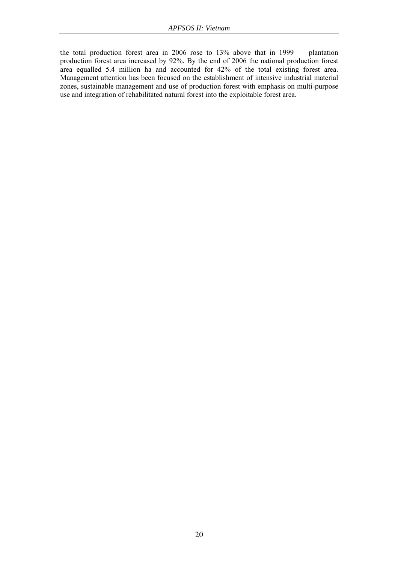the total production forest area in 2006 rose to 13% above that in 1999 — plantation production forest area increased by 92%. By the end of 2006 the national production forest area equalled 5.4 million ha and accounted for 42% of the total existing forest area. Management attention has been focused on the establishment of intensive industrial material zones, sustainable management and use of production forest with emphasis on multi-purpose use and integration of rehabilitated natural forest into the exploitable forest area.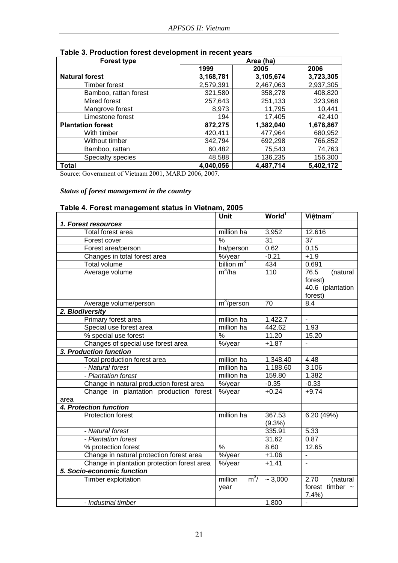| <b>Forest type</b>       | Area (ha) |           |           |
|--------------------------|-----------|-----------|-----------|
|                          | 1999      | 2005      | 2006      |
| <b>Natural forest</b>    | 3,168,781 | 3,105,674 | 3,723,305 |
| <b>Timber forest</b>     | 2,579,391 | 2,467,063 | 2,937,305 |
| Bamboo, rattan forest    | 321,580   | 358,278   | 408,820   |
| Mixed forest             | 257,643   | 251,133   | 323,968   |
| Mangrove forest          | 8,973     | 11,795    | 10,441    |
| Limestone forest         | 194       | 17,405    | 42,410    |
| <b>Plantation forest</b> | 872,275   | 1,382,040 | 1,678,867 |
| With timber              | 420,411   | 477,964   | 680,952   |
| Without timber           | 342,794   | 692,298   | 766,852   |
| Bamboo, rattan           | 60,482    | 75,543    | 74,763    |
| Specialty species        | 48,588    | 136,235   | 156,300   |
| <b>Total</b>             | 4,040,056 | 4,487,714 | 5,402,172 |

### **Table 3. Production forest development in recent years**

Source: Government of Vietnam 2001, MARD 2006, 2007.

### *Status of forest management in the country*

### **Table 4. Forest management status in Vietnam, 2005**

|                                             | Unit                                         | World <sup>1</sup> | Việt nam <sup>2</sup>    |
|---------------------------------------------|----------------------------------------------|--------------------|--------------------------|
| 1. Forest resources                         |                                              |                    |                          |
| Total forest area                           | million ha                                   | 3,952              | 12.616                   |
| Forest cover                                | $\frac{0}{0}$                                | 31                 | 37                       |
| Forest area/person                          | ha/person                                    | 0.62               | 0,15                     |
| Changes in total forest area                |                                              | $-0.21$            | $+1.9$                   |
| Total volume                                | $\frac{\%}{\text{p}}$ billion m <sup>3</sup> | 434                | 0.691                    |
| Average volume                              | $m^3/ha$                                     | 110                | 76.5<br>(natural         |
|                                             |                                              |                    | forest)                  |
|                                             |                                              |                    | 40.6 (plantation         |
|                                             |                                              |                    | forest)                  |
| Average volume/person                       | $\overline{\mathsf{m}^3/\text{person}}$      | 70                 | 8.4                      |
| 2. Biodiversity                             |                                              |                    |                          |
| Primary forest area                         | million ha                                   | 1,422.7            | $\blacksquare$           |
| Special use forest area                     | million ha                                   | 442.62             | 1.93                     |
| % special use forest                        | %                                            | 11.20              | 15.20                    |
| Changes of special use forest area          | %/year                                       | $+1.87$            | $\blacksquare$           |
| 3. Production function                      |                                              |                    |                          |
| Total production forest area                | million ha                                   | 1,348.40           | 4.48                     |
| - Natural forest                            | million ha                                   | 1,188.60           | 3.106                    |
| - Plantation forest                         | million ha                                   | 159.80             | 1.382                    |
| Change in natural production forest area    | $\sqrt{\frac{2}{3}}$ /year                   | $-0.35$            | $-0.33$                  |
| Change in plantation production forest      | %/year                                       | $+0.24$            | $+9.74$                  |
| area                                        |                                              |                    |                          |
| 4. Protection function                      |                                              |                    |                          |
| <b>Protection forest</b>                    | million ha                                   | 367.53             | 6.20 (49%)               |
|                                             |                                              | $(9.3\%)$          |                          |
| - Natural forest                            |                                              | 335.91             | 5.33                     |
| - Plantation forest                         |                                              | 31.62              | 0.87                     |
| % protection forest                         | $\frac{9}{6}$                                | 8.60               | 12.65                    |
| Change in natural protection forest area    | $\sqrt{\frac{9}{9}}$ year                    | $+1.06$            | $\overline{\phantom{a}}$ |
| Change in plantation protection forest area | $\sqrt{2}/\sqrt{2}$ ear                      | $+1.41$            | $\mathbf{r}$             |
| 5. Socio-economic function                  |                                              |                    |                          |
| Timber exploitation                         | $m^3/$<br>million                            | ~1,000             | 2.70<br>(natural         |
|                                             | year                                         |                    | forest timber $\sim$     |
|                                             |                                              |                    | 7.4%                     |
| - Industrial timber                         |                                              | 1,800              |                          |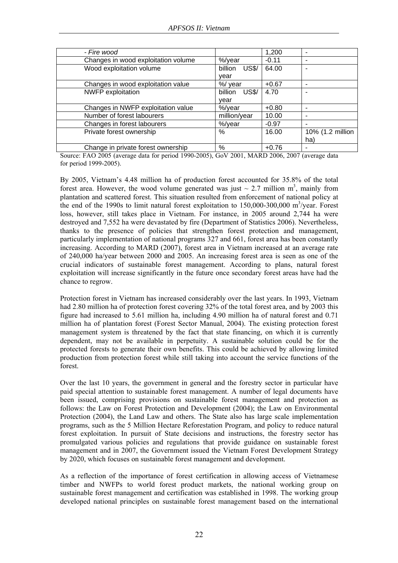| - Fire wood                         |                         | 1,200   |                  |
|-------------------------------------|-------------------------|---------|------------------|
| Changes in wood exploitation volume | %/year                  | $-0.11$ |                  |
| Wood exploitation volume            | <b>US\$/</b><br>billion | 64.00   |                  |
|                                     | vear                    |         |                  |
| Changes in wood exploitation value  | %/ year                 | $+0.67$ |                  |
| <b>NWFP</b> exploitation            | billion<br><b>US\$/</b> | 4.70    | $\blacksquare$   |
|                                     | vear                    |         |                  |
| Changes in NWFP exploitation value  | %/year                  | $+0.80$ |                  |
| Number of forest labourers          | million/year            | 10.00   |                  |
| Changes in forest labourers         | %/year                  | $-0.97$ |                  |
| Private forest ownership            | %                       | 16.00   | 10% (1.2 million |
|                                     |                         |         | ha)              |
| Change in private forest ownership  | %                       | $+0.76$ |                  |

Source: FAO 2005 (average data for period 1990-2005), GoV 2001, MARD 2006, 2007 (average data for period 1999-2005).

By 2005, Vietnam's 4.48 million ha of production forest accounted for 35.8% of the total forest area. However, the wood volume generated was just  $\sim 2.7$  million m<sup>3</sup>, mainly from plantation and scattered forest. This situation resulted from enforcement of national policy at the end of the 1990s to limit natural forest exploitation to  $150,000$ -300,000 m<sup>3</sup>/year. Forest loss, however, still takes place in Vietnam. For instance, in 2005 around 2,744 ha were destroyed and 7,552 ha were devastated by fire (Department of Statistics 2006). Nevertheless, thanks to the presence of policies that strengthen forest protection and management, particularly implementation of national programs 327 and 661, forest area has been constantly increasing. According to MARD (2007), forest area in Vietnam increased at an average rate of 240,000 ha/year between 2000 and 2005. An increasing forest area is seen as one of the crucial indicators of sustainable forest management. According to plans, natural forest exploitation will increase significantly in the future once secondary forest areas have had the chance to regrow.

Protection forest in Vietnam has increased considerably over the last years. In 1993, Vietnam had 2.80 million ha of protection forest covering 32% of the total forest area, and by 2003 this figure had increased to 5.61 million ha, including 4.90 million ha of natural forest and 0.71 million ha of plantation forest (Forest Sector Manual, 2004). The existing protection forest management system is threatened by the fact that state financing, on which it is currently dependent, may not be available in perpetuity. A sustainable solution could be for the protected forests to generate their own benefits. This could be achieved by allowing limited production from protection forest while still taking into account the service functions of the forest.

Over the last 10 years, the government in general and the forestry sector in particular have paid special attention to sustainable forest management. A number of legal documents have been issued, comprising provisions on sustainable forest management and protection as follows: the Law on Forest Protection and Development (2004); the Law on Environmental Protection (2004), the Land Law and others. The State also has large scale implementation programs, such as the 5 Million Hectare Reforestation Program, and policy to reduce natural forest exploitation. In pursuit of State decisions and instructions, the forestry sector has promulgated various policies and regulations that provide guidance on sustainable forest management and in 2007, the Government issued the Vietnam Forest Development Strategy by 2020, which focuses on sustainable forest management and development.

As a reflection of the importance of forest certification in allowing access of Vietnamese timber and NWFPs to world forest product markets, the national working group on sustainable forest management and certification was established in 1998. The working group developed national principles on sustainable forest management based on the international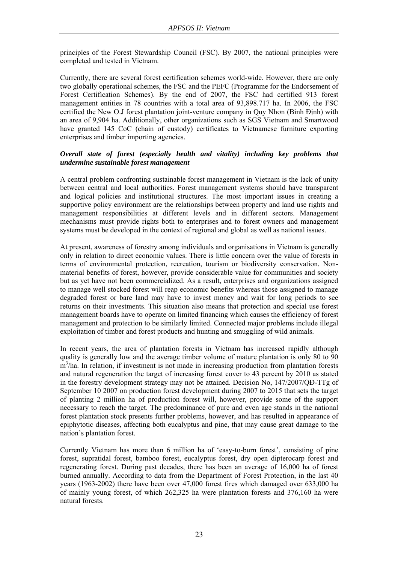principles of the Forest Stewardship Council (FSC). By 2007, the national principles were completed and tested in Vietnam.

Currently, there are several forest certification schemes world-wide. However, there are only two globally operational schemes, the FSC and the PEFC (Programme for the Endorsement of Forest Certification Schemes). By the end of 2007, the FSC had certified 913 forest management entities in 78 countries with a total area of 93,898.717 ha. In 2006, the FSC certified the New O.J forest plantation joint-venture company in Quy Nhơn (Bình Định) with an area of 9,904 ha. Additionally, other organizations such as SGS Vietnam and Smartwood have granted 145 CoC (chain of custody) certificates to Vietnamese furniture exporting enterprises and timber importing agencies.

### *Overall state of forest (especially health and vitality) including key problems that undermine sustainable forest management*

A central problem confronting sustainable forest management in Vietnam is the lack of unity between central and local authorities. Forest management systems should have transparent and logical policies and institutional structures. The most important issues in creating a supportive policy environment are the relationships between property and land use rights and management responsibilities at different levels and in different sectors. Management mechanisms must provide rights both to enterprises and to forest owners and management systems must be developed in the context of regional and global as well as national issues.

At present, awareness of forestry among individuals and organisations in Vietnam is generally only in relation to direct economic values. There is little concern over the value of forests in terms of environmental protection, recreation, tourism or biodiversity conservation. Nonmaterial benefits of forest, however, provide considerable value for communities and society but as yet have not been commercialized. As a result, enterprises and organizations assigned to manage well stocked forest will reap economic benefits whereas those assigned to manage degraded forest or bare land may have to invest money and wait for long periods to see returns on their investments. This situation also means that protection and special use forest management boards have to operate on limited financing which causes the efficiency of forest management and protection to be similarly limited. Connected major problems include illegal exploitation of timber and forest products and hunting and smuggling of wild animals.

In recent years, the area of plantation forests in Vietnam has increased rapidly although quality is generally low and the average timber volume of mature plantation is only 80 to 90 m<sup>3</sup>/ha. In relation, if investment is not made in increasing production from plantation forests and natural regeneration the target of increasing forest cover to 43 percent by 2010 as stated in the forestry development strategy may not be attained. Decision No, 147/2007/QĐ-TTg of September 10 2007 on production forest development during 2007 to 2015 that sets the target of planting 2 million ha of production forest will, however, provide some of the support necessary to reach the target. The predominance of pure and even age stands in the national forest plantation stock presents further problems, however, and has resulted in appearance of epiphytotic diseases, affecting both eucalyptus and pine, that may cause great damage to the nation's plantation forest.

Currently Vietnam has more than 6 million ha of 'easy-to-burn forest', consisting of pine forest, supratidal forest, bamboo forest, eucalyptus forest, dry open dipterocarp forest and regenerating forest. During past decades, there has been an average of 16,000 ha of forest burned annually. According to data from the Department of Forest Protection, in the last 40 years (1963-2002) there have been over 47,000 forest fires which damaged over 633,000 ha of mainly young forest, of which 262,325 ha were plantation forests and 376,160 ha were natural forests.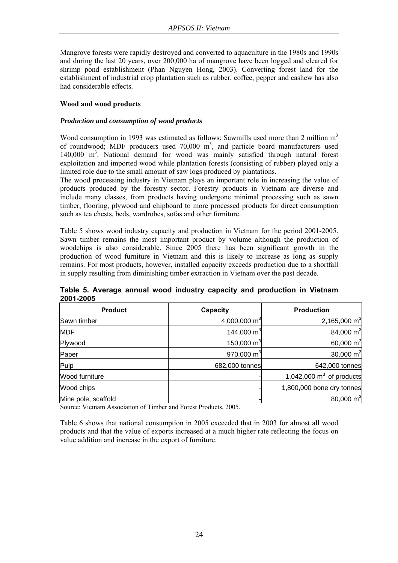Mangrove forests were rapidly destroyed and converted to aquaculture in the 1980s and 1990s and during the last 20 years, over 200,000 ha of mangrove have been logged and cleared for shrimp pond establishment (Phan Nguyen Hong, 2003). Converting forest land for the establishment of industrial crop plantation such as rubber, coffee, pepper and cashew has also had considerable effects.

### **Wood and wood products**

### *Production and consumption of wood products*

Wood consumption in 1993 was estimated as follows: Sawmills used more than 2 million  $m<sup>3</sup>$ of roundwood; MDF producers used  $70,000$  m<sup>3</sup>, and particle board manufacturers used 140,000 m3 . National demand for wood was mainly satisfied through natural forest exploitation and imported wood while plantation forests (consisting of rubber) played only a limited role due to the small amount of saw logs produced by plantations.

The wood processing industry in Vietnam plays an important role in increasing the value of products produced by the forestry sector. Forestry products in Vietnam are diverse and include many classes, from products having undergone minimal processing such as sawn timber, flooring, plywood and chipboard to more processed products for direct consumption such as tea chests, beds, wardrobes, sofas and other furniture.

Table 5 shows wood industry capacity and production in Vietnam for the period 2001-2005. Sawn timber remains the most important product by volume although the production of woodchips is also considerable. Since 2005 there has been significant growth in the production of wood furniture in Vietnam and this is likely to increase as long as supply remains. For most products, however, installed capacity exceeds production due to a shortfall in supply resulting from diminishing timber extraction in Vietnam over the past decade.

| <b>Product</b>      | Capacity                 | <b>Production</b>          |
|---------------------|--------------------------|----------------------------|
| Sawn timber         | 4,000,000 m <sup>3</sup> | 2,165,000 m <sup>3</sup>   |
| <b>MDF</b>          | 144,000 $m3$             | 84,000 m <sup>3</sup>      |
| Plywood             | 150,000 $m3$             | 60,000 $m3$                |
| Paper               | 970,000 $m3$             | 30,000 $m3$                |
| Pulp                | 682,000 tonnes           | 642,000 tonnes             |
| Wood furniture      |                          | 1,042,000 $m3$ of products |
| Wood chips          |                          | 1,800,000 bone dry tonnes  |
| Mine pole, scaffold |                          | 80,000 $m3$                |

**Table 5. Average annual wood industry capacity and production in Vietnam 2001-2005** 

Source: Vietnam Association of Timber and Forest Products, 2005.

Table 6 shows that national consumption in 2005 exceeded that in 2003 for almost all wood products and that the value of exports increased at a much higher rate reflecting the focus on value addition and increase in the export of furniture.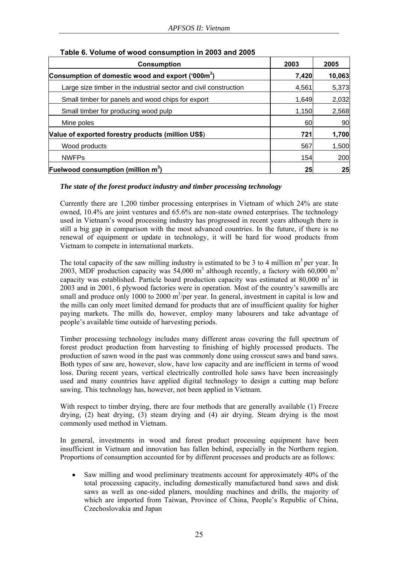| <b>Consumption</b>                                                | 2003  | 2005   |
|-------------------------------------------------------------------|-------|--------|
| Consumption of domestic wood and export ('000m <sup>3</sup> )     | 7,420 | 10,063 |
| Large size timber in the industrial sector and civil construction | 4,561 | 5,373  |
| Small timber for panels and wood chips for export                 | 1,649 | 2,032  |
| Small timber for producing wood pulp                              | 1.150 | 2,568  |
| Mine poles                                                        | 60    | 90     |
| Value of exported forestry products (million US\$)                | 721   | 1,700  |
| Wood products                                                     | 567   | 1,500  |
| <b>NWFPs</b>                                                      | 154   | 200    |
| <b>Fuelwood consumption (million m<sup>3</sup>)</b>               | 25    | 25     |

### **Table 6. Volume of wood consumption in 2003 and 2005**

### *The state of the forest product industry and timber processing technology*

Currently there are 1,200 timber processing enterprises in Vietnam of which 24% are state owned, 10.4% are joint ventures and 65.6% are non-state owned enterprises. The technology used in Vietnam's wood processing industry has progressed in recent years although there is still a big gap in comparison with the most advanced countries. In the future, if there is no renewal of equipment or update in technology, it will be hard for wood products from Vietnam to compete in international markets.

The total capacity of the saw milling industry is estimated to be 3 to 4 million  $m<sup>3</sup>$  per year. In 2003, MDF production capacity was 54,000 m<sup>3</sup> although recently, a factory with 60,000 m<sup>3</sup> capacity was established. Particle board production capacity was estimated at  $80,000 \text{ m}^3$  in 2003 and in 2001, 6 plywood factories were in operation. Most of the country's sawmills are small and produce only 1000 to 2000  $m^3$ /per year. In general, investment in capital is low and the mills can only meet limited demand for products that are of insufficient quality for higher paying markets. The mills do, however, employ many labourers and take advantage of people's available time outside of harvesting periods.

Timber processing technology includes many different areas covering the full spectrum of forest product production from harvesting to finishing of highly processed products. The production of sawn wood in the past was commonly done using crosscut saws and band saws. Both types of saw are, however, slow, have low capacity and are inefficient in terms of wood loss. During recent years, vertical electrically controlled hole saws have been increasingly used and many countries have applied digital technology to design a cutting map before sawing. This technology has, however, not been applied in Vietnam.

With respect to timber drying, there are four methods that are generally available (1) Freeze drying, (2) heat drying, (3) steam drying and (4) air drying. Steam drying is the most commonly used method in Vietnam.

In general, investments in wood and forest product processing equipment have been insufficient in Vietnam and innovation has fallen behind, especially in the Northern region. Proportions of consumption accounted for by different processes and products are as follows:

• Saw milling and wood preliminary treatments account for approximately 40% of the total processing capacity, including domestically manufactured band saws and disk saws as well as one-sided planers, moulding machines and drills, the majority of which are imported from Taiwan, Province of China, People's Republic of China, Czechoslovakia and Japan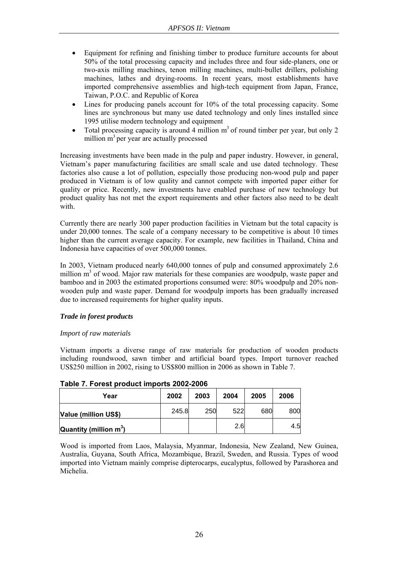- Equipment for refining and finishing timber to produce furniture accounts for about 50% of the total processing capacity and includes three and four side-planers, one or two-axis milling machines, tenon milling machines, multi-bullet drillers, polishing machines, lathes and drying-rooms. In recent years, most establishments have imported comprehensive assemblies and high-tech equipment from Japan, France, Taiwan, P.O.C. and Republic of Korea
- Lines for producing panels account for 10% of the total processing capacity. Some lines are synchronous but many use dated technology and only lines installed since 1995 utilise modern technology and equipment
- Total processing capacity is around 4 million  $m<sup>3</sup>$  of round timber per year, but only 2 million  $m<sup>3</sup>$  per year are actually processed

Increasing investments have been made in the pulp and paper industry. However, in general, Vietnam's paper manufacturing facilities are small scale and use dated technology. These factories also cause a lot of pollution, especially those producing non-wood pulp and paper produced in Vietnam is of low quality and cannot compete with imported paper either for quality or price. Recently, new investments have enabled purchase of new technology but product quality has not met the export requirements and other factors also need to be dealt with.

Currently there are nearly 300 paper production facilities in Vietnam but the total capacity is under 20,000 tonnes. The scale of a company necessary to be competitive is about 10 times higher than the current average capacity. For example, new facilities in Thailand, China and Indonesia have capacities of over 500,000 tonnes.

In 2003, Vietnam produced nearly 640,000 tonnes of pulp and consumed approximately 2.6 million m<sup>3</sup> of wood. Major raw materials for these companies are woodpulp, waste paper and bamboo and in 2003 the estimated proportions consumed were: 80% woodpulp and 20% nonwooden pulp and waste paper. Demand for woodpulp imports has been gradually increased due to increased requirements for higher quality inputs.

### *Trade in forest products*

### *Import of raw materials*

Vietnam imports a diverse range of raw materials for production of wooden products including roundwood, sawn timber and artificial board types. Import turnover reached US\$250 million in 2002, rising to US\$800 million in 2006 as shown in Table 7.

| Year                      | 2002  | 2003 | 2004 | 2005 | 2006 |
|---------------------------|-------|------|------|------|------|
| Value (million US\$)      | 245.8 | 250  | 522  | 680  | 800  |
| Quantity (million $m^3$ ) |       |      | 2.6  |      | 4.51 |

**Table 7. Forest product imports 2002-2006** 

Wood is imported from Laos, Malaysia, Myanmar, Indonesia, New Zealand, New Guinea, Australia, Guyana, South Africa, Mozambique, Brazil, Sweden, and Russia. Types of wood imported into Vietnam mainly comprise dipterocarps, eucalyptus, followed by Parashorea and Michelia.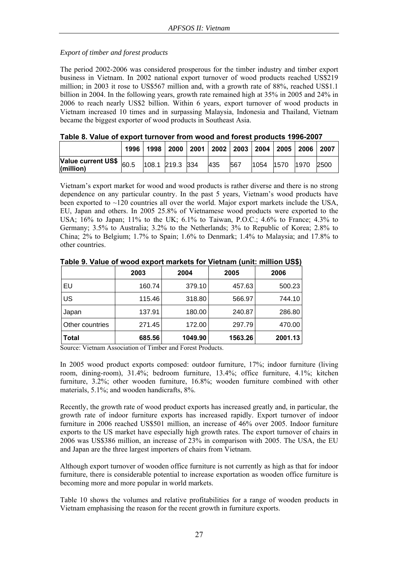### *Export of timber and forest products*

The period 2002-2006 was considered prosperous for the timber industry and timber export business in Vietnam. In 2002 national export turnover of wood products reached US\$219 million; in 2003 it rose to US\$567 million and, with a growth rate of 88%, reached US\$1.1 billion in 2004. In the following years, growth rate remained high at 35% in 2005 and 24% in 2006 to reach nearly US\$2 billion. Within 6 years, export turnover of wood products in Vietnam increased 10 times and in surpassing Malaysia, Indonesia and Thailand, Vietnam became the biggest exporter of wood products in Southeast Asia.

| I UMIV VI TUHUV VI VAMVITTUITUTVI IIVIII MVVU UIIU IVIVUTMIVUUVTU TVVV EVVI |      |                 |  |                                                              |     |     |                        |  |
|-----------------------------------------------------------------------------|------|-----------------|--|--------------------------------------------------------------|-----|-----|------------------------|--|
|                                                                             | 1996 |                 |  | 1998   2000   2001   2002   2003   2004   2005   2006   2007 |     |     |                        |  |
| Value current US\$ $\big _{60.5}$<br>$\vert$ (million)                      |      | 108.1 219.3 334 |  |                                                              | 435 | 567 | 1054  1570  1970  2500 |  |

**Table 8. Value of export turnover from wood and forest products 1996-2007** 

Vietnam's export market for wood and wood products is rather diverse and there is no strong dependence on any particular country. In the past 5 years, Vietnam's wood products have been exported to  $\sim$ 120 countries all over the world. Major export markets include the USA, EU, Japan and others. In 2005 25.8% of Vietnamese wood products were exported to the USA; 16% to Japan; 11% to the UK; 6.1% to Taiwan, P.O.C.; 4.6% to France; 4.3% to Germany; 3.5% to Australia; 3.2% to the Netherlands; 3% to Republic of Korea; 2.8% to China; 2% to Belgium; 1.7% to Spain; 1.6% to Denmark; 1.4% to Malaysia; and 17.8% to other countries.

|                 | 2003   | 2004    | 2005    | 2006    |
|-----------------|--------|---------|---------|---------|
| EU              | 160.74 | 379.10  | 457.63  | 500.23  |
| US              | 115.46 | 318.80  | 566.97  | 744.10  |
| Japan           | 137.91 | 180.00  | 240.87  | 286.80  |
| Other countries | 271.45 | 172.00  | 297.79  | 470.00  |
| <b>Total</b>    | 685.56 | 1049.90 | 1563.26 | 2001.13 |

**Table 9. Value of wood export markets for Vietnam (unit: million US\$)** 

Source: Vietnam Association of Timber and Forest Products.

In 2005 wood product exports composed: outdoor furniture, 17%; indoor furniture (living room, dining-room), 31.4%; bedroom furniture, 13.4%; office furniture, 4.1%; kitchen furniture, 3.2%; other wooden furniture, 16.8%; wooden furniture combined with other materials, 5.1%; and wooden handicrafts, 8%.

Recently, the growth rate of wood product exports has increased greatly and, in particular, the growth rate of indoor furniture exports has increased rapidly. Export turnover of indoor furniture in 2006 reached US\$501 million, an increase of 46% over 2005. Indoor furniture exports to the US market have especially high growth rates. The export turnover of chairs in 2006 was US\$386 million, an increase of 23% in comparison with 2005. The USA, the EU and Japan are the three largest importers of chairs from Vietnam.

Although export turnover of wooden office furniture is not currently as high as that for indoor furniture, there is considerable potential to increase exportation as wooden office furniture is becoming more and more popular in world markets.

Table 10 shows the volumes and relative profitabilities for a range of wooden products in Vietnam emphasising the reason for the recent growth in furniture exports.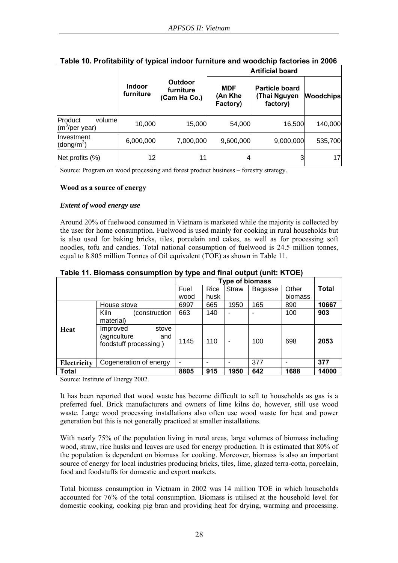|                                                 |                            |                                      |                                   | <b>Artificial board</b>                           |                  |
|-------------------------------------------------|----------------------------|--------------------------------------|-----------------------------------|---------------------------------------------------|------------------|
|                                                 | <b>Indoor</b><br>furniture | Outdoor<br>furniture<br>(Cam Ha Co.) | <b>MDF</b><br>(An Khe<br>Factory) | <b>Particle board</b><br>(Thai Nguyen<br>factory) | <b>Woodchips</b> |
| Product<br>volume<br>(m <sup>3</sup> /per year) | 10,000                     | 15,000                               | 54,000                            | 16,500                                            | 140,000          |
| Investment<br>(dong/m <sup>3</sup> )            | 6,000,000                  | 7,000,000                            | 9,600,000                         | 9,000,000                                         | 535,700          |
| Net profits (%)                                 | 12                         | 11                                   |                                   |                                                   | 17               |

**Table 10. Profitability of typical indoor furniture and woodchip factories in 2006** 

Source: Program on wood processing and forest product business – forestry strategy.

### **Wood as a source of energy**

### *Extent of wood energy use*

Around 20% of fuelwood consumed in Vietnam is marketed while the majority is collected by the user for home consumption. Fuelwood is used mainly for cooking in rural households but is also used for baking bricks, tiles, porcelain and cakes, as well as for processing soft noodles, tofu and candies. Total national consumption of fuelwood is 24.5 million tonnes, equal to 8.805 million Tonnes of Oil equivalent (TOE) as shown in Table 11.

|  |                   | $\alpha$ able TT. Dividess consumption by type and mial output (unit. KTOE) |      |      |              |         |         |       |
|--|-------------------|-----------------------------------------------------------------------------|------|------|--------------|---------|---------|-------|
|  |                   |                                                                             |      |      |              |         |         |       |
|  |                   |                                                                             | Fuel | Rice | <b>Straw</b> | Bagasse | Other   | Total |
|  |                   |                                                                             | wood | husk |              |         | biomass |       |
|  | House stove       |                                                                             | 6997 | 665  | 1950         | 165     | 890     | 10667 |
|  | Kiln<br>material) | (construction                                                               | 663  | 140  |              | -       | 100     | 903   |

**Table 11. Biomass consumption by type and final output (unit: KTOE)** 

**Total 8805 915 1950 642 1688 14000**  Source: Institute of Energy 2002.

**Heat** Improved stove<br> **Internal Contract Accord**<br> **Improved** stove  $(a$ griculture

It has been reported that wood waste has become difficult to sell to households as gas is a preferred fuel. Brick manufacturers and owners of lime kilns do, however, still use wood waste. Large wood processing installations also often use wood waste for heat and power generation but this is not generally practiced at smaller installations.

**Electricity** Cogeneration of energy  $\begin{vmatrix} - & \cdot & \cdot \\ - & \cdot & \cdot \end{vmatrix}$  - 377  $\begin{vmatrix} - & \cdot & \cdot \\ - & \cdot & \cdot \end{vmatrix}$  377

foodstuff processing ) 1145 110 - 100 698 **2053** 

With nearly 75% of the population living in rural areas, large volumes of biomass including wood, straw, rice husks and leaves are used for energy production. It is estimated that 80% of the population is dependent on biomass for cooking. Moreover, biomass is also an important source of energy for local industries producing bricks, tiles, lime, glazed terra-cotta, porcelain, food and foodstuffs for domestic and export markets.

Total biomass consumption in Vietnam in 2002 was 14 million TOE in which households accounted for 76% of the total consumption. Biomass is utilised at the household level for domestic cooking, cooking pig bran and providing heat for drying, warming and processing.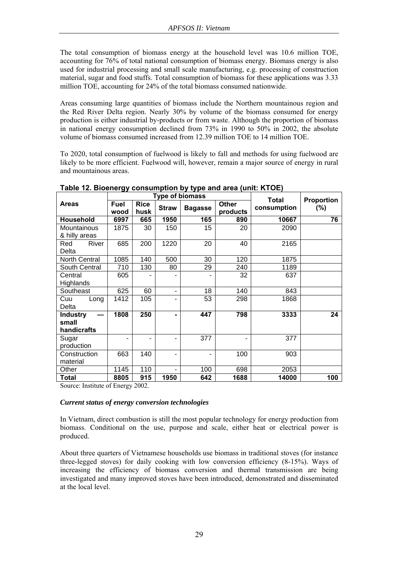The total consumption of biomass energy at the household level was 10.6 million TOE, accounting for 76% of total national consumption of biomass energy. Biomass energy is also used for industrial processing and small scale manufacturing, e.g. processing of construction material, sugar and food stuffs. Total consumption of biomass for these applications was 3.33 million TOE, accounting for 24% of the total biomass consumed nationwide.

Areas consuming large quantities of biomass include the Northern mountainous region and the Red River Delta region. Nearly 30% by volume of the biomass consumed for energy production is either industrial by-products or from waste. Although the proportion of biomass in national energy consumption declined from 73% in 1990 to 50% in 2002, the absolute volume of biomass consumed increased from 12.39 million TOE to 14 million TOE.

To 2020, total consumption of fuelwood is likely to fall and methods for using fuelwood are likely to be more efficient. Fuelwood will, however, remain a major source of energy in rural and mountainous areas.

|                      |              |                     | <b>Type of biomass</b> | Total          | Proportion        |             |         |
|----------------------|--------------|---------------------|------------------------|----------------|-------------------|-------------|---------|
| Areas                | Fuel<br>wood | <b>Rice</b><br>husk | <b>Straw</b>           | <b>Bagasse</b> | Other<br>products | consumption | $(\% )$ |
| Household            | 6997         | 665                 | 1950                   | 165            | 890               | 10667       | 76      |
| Mountainous          | 1875         | 30                  | 150                    | 15             | 20                | 2090        |         |
| & hilly areas        |              |                     |                        |                |                   |             |         |
| River<br>Red         | 685          | 200                 | 1220                   | 20             | 40                | 2165        |         |
| Delta                |              |                     |                        |                |                   |             |         |
| North Central        | 1085         | 140                 | 500                    | 30             | 120               | 1875        |         |
| South Central        | 710          | 130                 | 80                     | 29             | 240               | 1189        |         |
| Central              | 605          |                     |                        |                | 32                | 637         |         |
| Highlands            |              |                     |                        |                |                   |             |         |
| Southeast            | 625          | 60                  | ٠                      | 18             | 140               | 843         |         |
| Cuu<br>Long          | 1412         | 105                 | -                      | 53             | 298               | 1868        |         |
| Delta                |              |                     |                        |                |                   |             |         |
| <b>Industry</b><br>— | 1808         | 250                 | $\blacksquare$         | 447            | 798               | 3333        | 24      |
| small                |              |                     |                        |                |                   |             |         |
| handicrafts          |              |                     |                        |                |                   |             |         |
| Sugar                |              | ۰                   |                        | 377            |                   | 377         |         |
| production           |              |                     |                        |                |                   |             |         |
| Construction         | 663          | 140                 |                        | -              | 100               | 903         |         |
| material             |              |                     |                        |                |                   |             |         |
| Other                | 1145         | 110                 |                        | 100            | 698               | 2053        |         |
| Total                | 8805         | 915                 | 1950                   | 642            | 1688              | 14000       | 100     |

**Table 12. Bioenergy consumption by type and area (unit: KTOE)** 

Source: Institute of Energy 2002.

### *Current status of energy conversion technologies*

In Vietnam, direct combustion is still the most popular technology for energy production from biomass. Conditional on the use, purpose and scale, either heat or electrical power is produced.

About three quarters of Vietnamese households use biomass in traditional stoves (for instance three-legged stoves) for daily cooking with low conversion efficiency (8-15%). Ways of increasing the efficiency of biomass conversion and thermal transmission are being investigated and many improved stoves have been introduced, demonstrated and disseminated at the local level.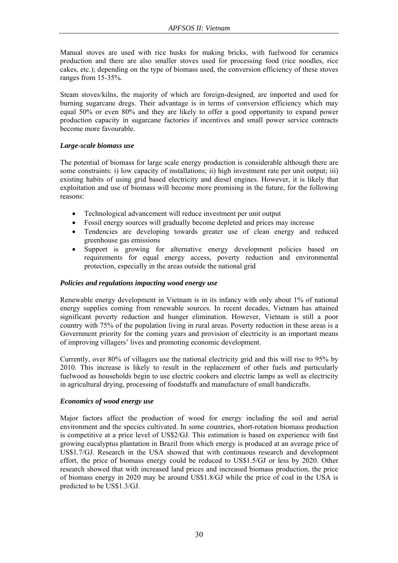Manual stoves are used with rice husks for making bricks, with fuelwood for ceramics production and there are also smaller stoves used for processing food (rice noodles, rice cakes, etc.); depending on the type of biomass used, the conversion efficiency of these stoves ranges from 15-35%.

Steam stoves/kilns, the majority of which are foreign-designed, are imported and used for burning sugarcane dregs. Their advantage is in terms of conversion efficiency which may equal 50% or even 80% and they are likely to offer a good opportunity to expand power production capacity in sugarcane factories if incentives and small power service contracts become more favourable.

### *Large-scale biomass use*

The potential of biomass for large scale energy production is considerable although there are some constraints: i) low capacity of installations; ii) high investment rate per unit output; iii) existing habits of using grid based electricity and diesel engines. However, it is likely that exploitation and use of biomass will become more promising in the future, for the following reasons:

- Technological advancement will reduce investment per unit output
- Fossil energy sources will gradually become depleted and prices may increase
- Tendencies are developing towards greater use of clean energy and reduced greenhouse gas emissions
- Support is growing for alternative energy development policies based on requirements for equal energy access, poverty reduction and environmental protection, especially in the areas outside the national grid

### *Policies and regulations impacting wood energy use*

Renewable energy development in Vietnam is in its infancy with only about 1% of national energy supplies coming from renewable sources. In recent decades, Vietnam has attained significant poverty reduction and hunger elimination. However, Vietnam is still a poor country with 75% of the population living in rural areas. Poverty reduction in these areas is a Government priority for the coming years and provision of electricity is an important means of improving villagers' lives and promoting economic development.

Currently, over 80% of villagers use the national electricity grid and this will rise to 95% by 2010. This increase is likely to result in the replacement of other fuels and particularly fuelwood as households begin to use electric cookers and electric lamps as well as electricity in agricultural drying, processing of foodstuffs and manufacture of small handicrafts.

### *Economics of wood energy use*

Major factors affect the production of wood for energy including the soil and aerial environment and the species cultivated. In some countries, short-rotation biomass production is competitive at a price level of US\$2/GJ. This estimation is based on experience with fast growing eucalyptus plantation in Brazil from which energy is produced at an average price of US\$1.7/GJ. Research in the USA showed that with continuous research and development effort, the price of biomass energy could be reduced to US\$1.5/GJ or less by 2020. Other research showed that with increased land prices and increased biomass production, the price of biomass energy in 2020 may be around US\$1.8/GJ while the price of coal in the USA is predicted to be US\$1.3/GJ.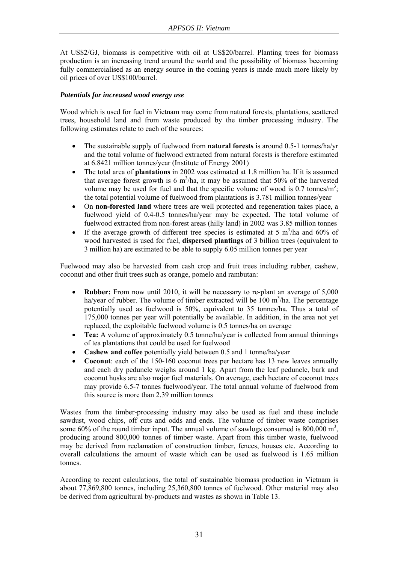At US\$2/GJ, biomass is competitive with oil at US\$20/barrel. Planting trees for biomass production is an increasing trend around the world and the possibility of biomass becoming fully commercialised as an energy source in the coming years is made much more likely by oil prices of over US\$100/barrel.

### *Potentials for increased wood energy use*

Wood which is used for fuel in Vietnam may come from natural forests, plantations, scattered trees, household land and from waste produced by the timber processing industry. The following estimates relate to each of the sources:

- The sustainable supply of fuelwood from **natural forests** is around 0.5-1 tonnes/ha/yr and the total volume of fuelwood extracted from natural forests is therefore estimated at 6.8421 million tonnes/year (Institute of Energy 2001)
- The total area of **plantations** in 2002 was estimated at 1.8 million ha. If it is assumed that average forest growth is  $6 \text{ m}^3$ /ha, it may be assumed that 50% of the harvested volume may be used for fuel and that the specific volume of wood is  $0.7$  tonnes/m<sup>3</sup>; the total potential volume of fuelwood from plantations is 3.781 million tonnes/year
- On **non-forested land** where trees are well protected and regeneration takes place, a fuelwood yield of 0.4-0.5 tonnes/ha/year may be expected. The total volume of fuelwood extracted from non-forest areas (hilly land) in 2002 was 3.85 million tonnes
- If the average growth of different tree species is estimated at 5  $m^3/ha$  and 60% of wood harvested is used for fuel, **dispersed plantings** of 3 billion trees (equivalent to 3 million ha) are estimated to be able to supply 6.05 million tonnes per year

Fuelwood may also be harvested from cash crop and fruit trees including rubber, cashew, coconut and other fruit trees such as orange, pomelo and rambutan:

- **Rubber:** From now until 2010, it will be necessary to re-plant an average of 5,000 ha/year of rubber. The volume of timber extracted will be  $100 \text{ m}^3/\text{ha}$ . The percentage potentially used as fuelwood is 50%, equivalent to 35 tonnes/ha. Thus a total of 175,000 tonnes per year will potentially be available. In addition, in the area not yet replaced, the exploitable fuelwood volume is 0.5 tonnes/ha on average
- **Tea:** A volume of approximately 0.5 tonne/ha/year is collected from annual thinnings of tea plantations that could be used for fuelwood
- **Cashew and coffee** potentially yield between 0.5 and 1 tonne/ha/year
- **Coconut**: each of the 150-160 coconut trees per hectare has 13 new leaves annually and each dry peduncle weighs around 1 kg. Apart from the leaf peduncle, bark and coconut husks are also major fuel materials. On average, each hectare of coconut trees may provide 6.5-7 tonnes fuelwood/year. The total annual volume of fuelwood from this source is more than 2.39 million tonnes

Wastes from the timber-processing industry may also be used as fuel and these include sawdust, wood chips, off cuts and odds and ends. The volume of timber waste comprises some 60% of the round timber input. The annual volume of sawlogs consumed is  $800,000 \text{ m}^3$ , producing around 800,000 tonnes of timber waste. Apart from this timber waste, fuelwood may be derived from reclamation of construction timber, fences, houses etc. According to overall calculations the amount of waste which can be used as fuelwood is 1.65 million tonnes.

According to recent calculations, the total of sustainable biomass production in Vietnam is about 77,869,800 tonnes, including 25,360,800 tonnes of fuelwood. Other material may also be derived from agricultural by-products and wastes as shown in Table 13.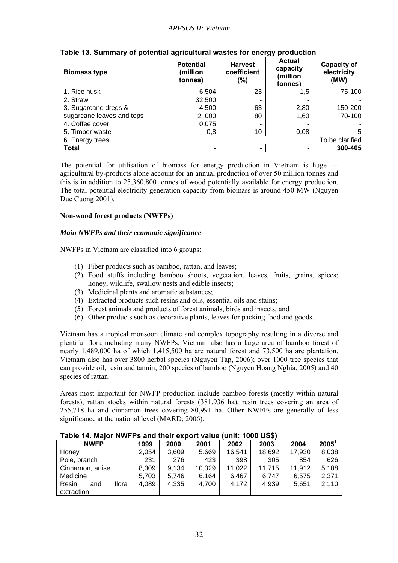| <b>Biomass type</b>       | <b>Potential</b><br>(million<br>tonnes) | <b>Harvest</b><br>coefficient<br>(%) | <b>Actual</b><br>capacity<br>(million<br>tonnes) | <b>Capacity of</b><br>electricity<br>(MW) |
|---------------------------|-----------------------------------------|--------------------------------------|--------------------------------------------------|-------------------------------------------|
| 1. Rice husk              | 6,504                                   | 23                                   | 1,5                                              | 75-100                                    |
| 2. Straw                  | 32,500                                  | ۰                                    | ٠                                                |                                           |
| 3. Sugarcane dregs &      | 4,500                                   | 63                                   | 2,80                                             | 150-200                                   |
| sugarcane leaves and tops | 2,000                                   | 80                                   | 1.60                                             | 70-100                                    |
| 4. Coffee cover           | 0,075                                   | $\overline{\phantom{0}}$             | $\overline{\phantom{0}}$                         |                                           |
| 5. Timber waste           | 0,8                                     | 10                                   | 0,08                                             | 5                                         |
| 6. Energy trees           |                                         |                                      |                                                  | To be clarified                           |
| <b>Total</b>              | ۰                                       |                                      |                                                  | 300-405                                   |

### **Table 13. Summary of potential agricultural wastes for energy production**

The potential for utilisation of biomass for energy production in Vietnam is huge agricultural by-products alone account for an annual production of over 50 million tonnes and this is in addition to 25,360,800 tonnes of wood potentially available for energy production. The total potential electricity generation capacity from biomass is around 450 MW (Nguyen Duc Cuong 2001).

### **Non-wood forest products (NWFPs)**

### *Main NWFPs and their economic significance*

NWFPs in Vietnam are classified into 6 groups:

- (1) Fiber products such as bamboo, rattan, and leaves;
- (2) Food stuffs including bamboo shoots, vegetation, leaves, fruits, grains, spices; honey, wildlife, swallow nests and edible insects;
- (3) Medicinal plants and aromatic substances;
- (4) Extracted products such resins and oils, essential oils and stains;
- (5) Forest animals and products of forest animals, birds and insects, and
- (6) Other products such as decorative plants, leaves for packing food and goods.

Vietnam has a tropical monsoon climate and complex topography resulting in a diverse and plentiful flora including many NWFPs. Vietnam also has a large area of bamboo forest of nearly 1,489,000 ha of which 1,415,500 ha are natural forest and 73,500 ha are plantation. Vietnam also has over 3800 herbal species (Nguyen Tap, 2006); over 1000 tree species that can provide oil, resin and tannin; 200 species of bamboo (Nguyen Hoang Nghia, 2005) and 40 species of rattan.

Areas most important for NWFP production include bamboo forests (mostly within natural forests), rattan stocks within natural forests (381,936 ha), resin trees covering an area of 255,718 ha and cinnamon trees covering 80,991 ha. Other NWFPs are generally of less significance at the national level (MARD, 2006).

| <b>NWFP</b>                         | 1999  | 2000  | 2001   | 2002   | 2003   | 2004   | $2005^1$ |
|-------------------------------------|-------|-------|--------|--------|--------|--------|----------|
| Honey                               | 2,054 | 3,609 | 5,669  | 16,541 | 18,692 | 17,930 | 8,038    |
| Pole, branch                        | 231   | 276   | 423    | 398    | 305    | 854    | 626      |
| Cinnamon, anise                     | 8,309 | 9.134 | 10,329 | 11,022 | 11,715 | 11,912 | 5,108    |
| Medicine                            | 5,703 | 5,746 | 6.164  | 6,467  | 6.747  | 6,575  | 2,371    |
| Resin<br>flora<br>and<br>extraction | 4,089 | 4,335 | 4,700  | 4,172  | 4,939  | 5,651  | 2,110    |

**Table 14. Major NWFPs and their export value (unit: 1000 US\$)**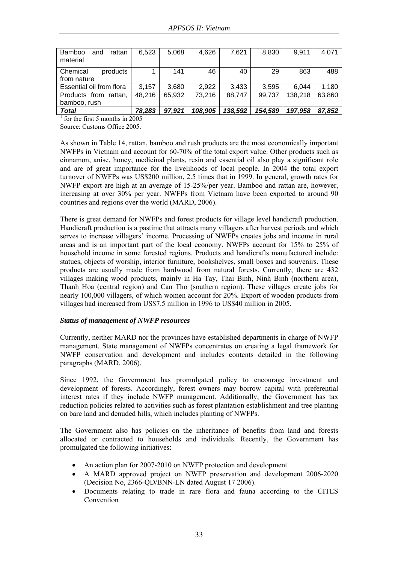| <b>Bamboo</b><br>rattan<br>and<br>material | 6,523  | 5,068  | 4,626   | 7,621   | 8,830   | 9,911   | 4,071  |
|--------------------------------------------|--------|--------|---------|---------|---------|---------|--------|
| Chemical<br>products<br>from nature        |        | 141    | 46      | 40      | 29      | 863     | 488    |
| Essential oil from flora                   | 3.157  | 3,680  | 2,922   | 3,433   | 3,595   | 6.044   | 1,180  |
| Products from rattan,<br>bamboo, rush      | 48,216 | 65,932 | 73,216  | 88,747  | 99,737  | 138,218 | 63,860 |
| <b>Total</b>                               | 78,283 | 97,921 | 108,905 | 138,592 | 154,589 | 197,958 | 87,852 |

<sup>1</sup> for the first 5 months in 2005

Source: Customs Office 2005.

As shown in Table 14, rattan, bamboo and rush products are the most economically important NWFPs in Vietnam and account for 60-70% of the total export value. Other products such as cinnamon, anise, honey, medicinal plants, resin and essential oil also play a significant role and are of great importance for the livelihoods of local people. In 2004 the total export turnover of NWFPs was US\$200 million, 2.5 times that in 1999. In general, growth rates for NWFP export are high at an average of 15-25%/per year. Bamboo and rattan are, however, increasing at over 30% per year. NWFPs from Vietnam have been exported to around 90 countries and regions over the world (MARD, 2006).

There is great demand for NWFPs and forest products for village level handicraft production. Handicraft production is a pastime that attracts many villagers after harvest periods and which serves to increase villagers' income. Processing of NWFPs creates jobs and income in rural areas and is an important part of the local economy. NWFPs account for 15% to 25% of household income in some forested regions. Products and handicrafts manufactured include: statues, objects of worship, interior furniture, bookshelves, small boxes and souvenirs. These products are usually made from hardwood from natural forests. Currently, there are 432 villages making wood products, mainly in Ha Tay, Thai Binh, Ninh Binh (northern area), Thanh Hoa (central region) and Can Tho (southern region). These villages create jobs for nearly 100,000 villagers, of which women account for 20%. Export of wooden products from villages had increased from US\$7.5 million in 1996 to US\$40 million in 2005.

### *Status of management of NWFP resources*

Currently, neither MARD nor the provinces have established departments in charge of NWFP management. State management of NWFPs concentrates on creating a legal framework for NWFP conservation and development and includes contents detailed in the following paragraphs (MARD, 2006).

Since 1992, the Government has promulgated policy to encourage investment and development of forests. Accordingly, forest owners may borrow capital with preferential interest rates if they include NWFP management. Additionally, the Government has tax reduction policies related to activities such as forest plantation establishment and tree planting on bare land and denuded hills, which includes planting of NWFPs.

The Government also has policies on the inheritance of benefits from land and forests allocated or contracted to households and individuals. Recently, the Government has promulgated the following initiatives:

- An action plan for 2007-2010 on NWFP protection and development
- A MARD approved project on NWFP preservation and development 2006-2020 (Decision No, 2366-QĐ/BNN-LN dated August 17 2006).
- Documents relating to trade in rare flora and fauna according to the CITES Convention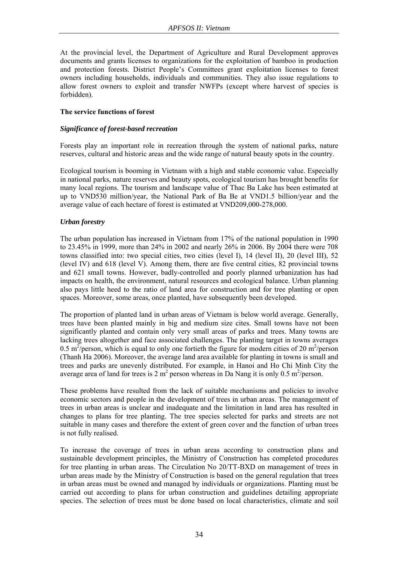At the provincial level, the Department of Agriculture and Rural Development approves documents and grants licenses to organizations for the exploitation of bamboo in production and protection forests. District People's Committees grant exploitation licenses to forest owners including households, individuals and communities. They also issue regulations to allow forest owners to exploit and transfer NWFPs (except where harvest of species is forbidden).

### **The service functions of forest**

### *Significance of forest-based recreation*

Forests play an important role in recreation through the system of national parks, nature reserves, cultural and historic areas and the wide range of natural beauty spots in the country.

Ecological tourism is booming in Vietnam with a high and stable economic value. Especially in national parks, nature reserves and beauty spots, ecological tourism has brought benefits for many local regions. The tourism and landscape value of Thac Ba Lake has been estimated at up to VND530 million/year, the National Park of Ba Be at VND1.5 billion/year and the average value of each hectare of forest is estimated at VND209,000-278,000.

### *Urban forestry*

The urban population has increased in Vietnam from 17% of the national population in 1990 to 23.45% in 1999, more than 24% in 2002 and nearly 26% in 2006. By 2004 there were 708 towns classified into: two special cities, two cities (level I), 14 (level II), 20 (level III), 52 (level IV) and 618 (level V). Among them, there are five central cities, 82 provincial towns and 621 small towns. However, badly-controlled and poorly planned urbanization has had impacts on health, the environment, natural resources and ecological balance. Urban planning also pays little heed to the ratio of land area for construction and for tree planting or open spaces. Moreover, some areas, once planted, have subsequently been developed.

The proportion of planted land in urban areas of Vietnam is below world average. Generally, trees have been planted mainly in big and medium size cites. Small towns have not been significantly planted and contain only very small areas of parks and trees. Many towns are lacking trees altogether and face associated challenges. The planting target in towns averages 0.5 m<sup>2</sup>/person, which is equal to only one fortieth the figure for modern cities of 20 m<sup>2</sup>/person (Thanh Ha 2006). Moreover, the average land area available for planting in towns is small and trees and parks are unevenly distributed. For example, in Hanoi and Ho Chi Minh City the average area of land for trees is 2  $m^2$  person whereas in Da Nang it is only 0.5  $m^2$ /person.

These problems have resulted from the lack of suitable mechanisms and policies to involve economic sectors and people in the development of trees in urban areas. The management of trees in urban areas is unclear and inadequate and the limitation in land area has resulted in changes to plans for tree planting. The tree species selected for parks and streets are not suitable in many cases and therefore the extent of green cover and the function of urban trees is not fully realised.

To increase the coverage of trees in urban areas according to construction plans and sustainable development principles, the Ministry of Construction has completed procedures for tree planting in urban areas. The Circulation No 20/TT-BXD on management of trees in urban areas made by the Ministry of Construction is based on the general regulation that trees in urban areas must be owned and managed by individuals or organizations. Planting must be carried out according to plans for urban construction and guidelines detailing appropriate species. The selection of trees must be done based on local characteristics, climate and soil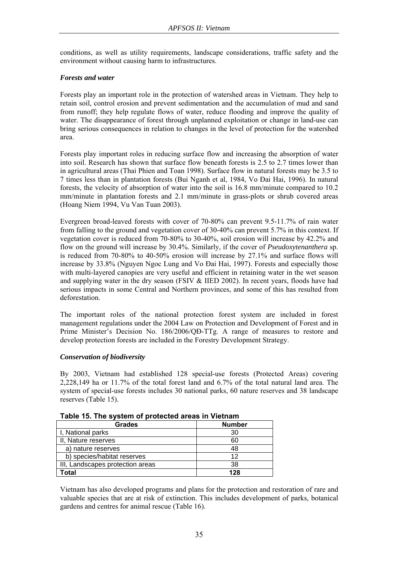conditions, as well as utility requirements, landscape considerations, traffic safety and the environment without causing harm to infrastructures.

### *Forests and water*

Forests play an important role in the protection of watershed areas in Vietnam. They help to retain soil, control erosion and prevent sedimentation and the accumulation of mud and sand from runoff; they help regulate flows of water, reduce flooding and improve the quality of water. The disappearance of forest through unplanned exploitation or change in land-use can bring serious consequences in relation to changes in the level of protection for the watershed area.

Forests play important roles in reducing surface flow and increasing the absorption of water into soil. Research has shown that surface flow beneath forests is 2.5 to 2.7 times lower than in agricultural areas (Thai Phien and Toan 1998). Surface flow in natural forests may be 3.5 to 7 times less than in plantation forests (Bui Nganh et al, 1984, Vo Đai Hai, 1996). In natural forests, the velocity of absorption of water into the soil is 16.8 mm/minute compared to 10.2 mm/minute in plantation forests and 2.1 mm/minute in grass-plots or shrub covered areas (Hoang Niem 1994, Vu Van Tuan 2003).

Evergreen broad-leaved forests with cover of 70-80% can prevent 9.5-11.7% of rain water from falling to the ground and vegetation cover of 30-40% can prevent 5.7% in this context. If vegetation cover is reduced from 70-80% to 30-40%, soil erosion will increase by 42.2% and flow on the ground will increase by 30.4%. Similarly, if the cover of *Pseudoxytenanthera* sp. is reduced from 70-80% to 40-50% erosion will increase by 27.1% and surface flows will increase by 33.8% (Nguyen Ngoc Lung and Vo Đai Hai, 1997). Forests and especially those with multi-layered canopies are very useful and efficient in retaining water in the wet season and supplying water in the dry season (FSIV & IIED 2002). In recent years, floods have had serious impacts in some Central and Northern provinces, and some of this has resulted from deforestation.

The important roles of the national protection forest system are included in forest management regulations under the 2004 Law on Protection and Development of Forest and in Prime Minister's Decision No. 186/2006/QĐ-TTg. A range of measures to restore and develop protection forests are included in the Forestry Development Strategy.

### *Conservation of biodiversity*

By 2003, Vietnam had established 128 special-use forests (Protected Areas) covering 2,228,149 ha or 11.7% of the total forest land and 6.7% of the total natural land area. The system of special-use forests includes 30 national parks, 60 nature reserves and 38 landscape reserves (Table 15).

| <b>Grades</b>                    | <b>Number</b> |
|----------------------------------|---------------|
| I, National parks                | 30            |
| II, Nature reserves              | 60            |
| a) nature reserves               | 48            |
| b) species/habitat reserves      | ィク            |
| III, Landscapes protection areas | 38            |
| `otal                            | 128           |

**Table 15. The system of protected areas in Vietnam** 

Vietnam has also developed programs and plans for the protection and restoration of rare and valuable species that are at risk of extinction. This includes development of parks, botanical gardens and centres for animal rescue (Table 16).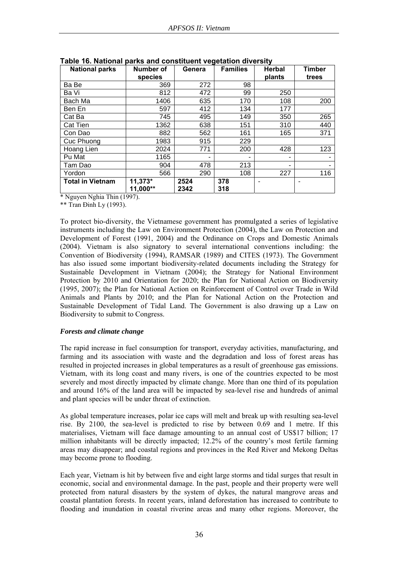| <b>National parks</b>   | Number of | Genera | <b>Families</b> | <b>Herbal</b> | <b>Timber</b> |
|-------------------------|-----------|--------|-----------------|---------------|---------------|
|                         | species   |        |                 | plants        | trees         |
| Ba Be                   | 369       | 272    | 98              |               |               |
| Ba Vi                   | 812       | 472    | 99              | 250           |               |
| Bach Ma                 | 1406      | 635    | 170             | 108           | 200           |
| Ben En                  | 597       | 412    | 134             | 177           |               |
| Cat Ba                  | 745       | 495    | 149             | 350           | 265           |
| Cat Tien                | 1362      | 638    | 151             | 310           | 440           |
| Con Dao                 | 882       | 562    | 161             | 165           | 371           |
| Cuc Phuong              | 1983      | 915    | 229             |               |               |
| Hoang Lien              | 2024      | 771    | 200             | 428           | 123           |
| Pu Mat                  | 1165      |        |                 | ۰             |               |
| Tam Dao                 | 904       | 478    | 213             | ۰             |               |
| Yordon                  | 566       | 290    | 108             | 227           | 116           |
| <b>Total in Vietnam</b> | 11,373*   | 2524   | 378             |               |               |
|                         | 11,000**  | 2342   | 318             |               |               |

**Table 16. National parks and constituent vegetation diversity** 

\* Nguyen Nghia Thin (1997).

\*\* Tran Đinh Ly (1993).

To protect bio-diversity, the Vietnamese government has promulgated a series of legislative instruments including the Law on Environment Protection (2004), the Law on Protection and Development of Forest (1991, 2004) and the Ordinance on Crops and Domestic Animals (2004). Vietnam is also signatory to several international conventions including: the Convention of Biodiversity (1994), RAMSAR (1989) and CITES (1973). The Government has also issued some important biodiversity-related documents including the Strategy for Sustainable Development in Vietnam (2004); the Strategy for National Environment Protection by 2010 and Orientation for 2020; the Plan for National Action on Biodiversity (1995, 2007); the Plan for National Action on Reinforcement of Control over Trade in Wild Animals and Plants by 2010; and the Plan for National Action on the Protection and Sustainable Development of Tidal Land. The Government is also drawing up a Law on Biodiversity to submit to Congress.

### *Forests and climate change*

The rapid increase in fuel consumption for transport, everyday activities, manufacturing, and farming and its association with waste and the degradation and loss of forest areas has resulted in projected increases in global temperatures as a result of greenhouse gas emissions. Vietnam, with its long coast and many rivers, is one of the countries expected to be most severely and most directly impacted by climate change. More than one third of its population and around 16% of the land area will be impacted by sea-level rise and hundreds of animal and plant species will be under threat of extinction.

As global temperature increases, polar ice caps will melt and break up with resulting sea-level rise. By 2100, the sea-level is predicted to rise by between 0.69 and 1 metre. If this materialises, Vietnam will face damage amounting to an annual cost of US\$17 billion; 17 million inhabitants will be directly impacted; 12.2% of the country's most fertile farming areas may disappear; and coastal regions and provinces in the Red River and Mekong Deltas may become prone to flooding.

Each year, Vietnam is hit by between five and eight large storms and tidal surges that result in economic, social and environmental damage. In the past, people and their property were well protected from natural disasters by the system of dykes, the natural mangrove areas and coastal plantation forests. In recent years, inland deforestation has increased to contribute to flooding and inundation in coastal riverine areas and many other regions. Moreover, the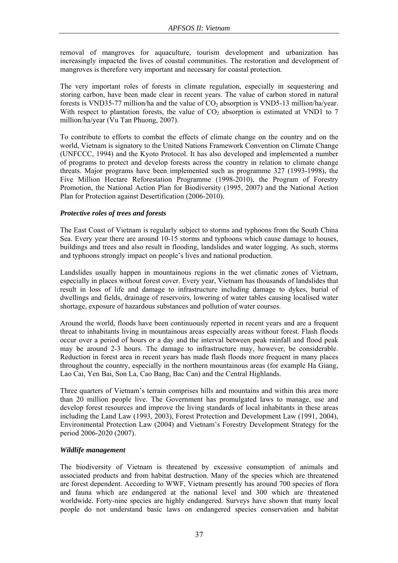removal of mangroves for aquaculture, tourism development and urbanization has increasingly impacted the lives of coastal communities. The restoration and development of mangroves is therefore very important and necessary for coastal protection.

The very important roles of forests in climate regulation, especially in sequestering and storing carbon, have been made clear in recent years. The value of carbon stored in natural forests is VND35-77 million/ha and the value of  $CO<sub>2</sub>$  absorption is VND5-13 million/ha/year. With respect to plantation forests, the value of  $CO<sub>2</sub>$  absorption is estimated at VND1 to 7 million/ha/year (Vu Tan Phuong, 2007).

To contribute to efforts to combat the effects of climate change on the country and on the world, Vietnam is signatory to the United Nations Framework Convention on Climate Change (UNFCCC, 1994) and the Kyoto Protocol. It has also developed and implemented a number of programs to protect and develop forests across the country in relation to climate change threats. Major programs have been implemented such as programme 327 (1993-1998), the Five Million Hectare Reforestation Programme (1998-2010), the Program of Forestry Promotion, the National Action Plan for Biodiversity (1995, 2007) and the National Action Plan for Protection against Desertification (2006-2010).

### *Protective roles of trees and forests*

The East Coast of Vietnam is regularly subject to storms and typhoons from the South China Sea. Every year there are around 10-15 storms and typhoons which cause damage to houses, buildings and trees and also result in flooding, landslides and water logging. As such, storms and typhoons strongly impact on people's lives and national production.

Landslides usually happen in mountainous regions in the wet climatic zones of Vietnam, especially in places without forest cover. Every year, Vietnam has thousands of landslides that result in loss of life and damage to infrastructure including damage to dykes, burial of dwellings and fields, drainage of reservoirs, lowering of water tables causing localised water shortage, exposure of hazardous substances and pollution of water courses.

Around the world, floods have been continuously reported in recent years and are a frequent threat to inhabitants living in mountainous areas especially areas without forest. Flash floods occur over a period of hours or a day and the interval between peak rainfall and flood peak may be around 2-3 hours. The damage to infrastructure may, however, be considerable. Reduction in forest area in recent years has made flash floods more frequent in many places throughout the country, especially in the northern mountainous areas (for example Ha Giang, Lao Cai, Yen Bai, Son La, Cao Bang, Bac Can) and the Central Highlands.

Three quarters of Vietnam's terrain comprises hills and mountains and within this area more than 20 million people live. The Government has promulgated laws to manage, use and develop forest resources and improve the living standards of local inhabitants in these areas including the Land Law (1993, 2003), Forest Protection and Development Law (1991, 2004), Environmental Protection Law (2004) and Vietnam's Forestry Development Strategy for the period 2006-2020 (2007).

### *Wildlife management*

The biodiversity of Vietnam is threatened by excessive consumption of animals and associated products and from habitat destruction. Many of the species which are threatened are forest dependent. According to WWF, Vietnam presently has around 700 species of flora and fauna which are endangered at the national level and 300 which are threatened worldwide. Forty-nine species are highly endangered. Surveys have shown that many local people do not understand basic laws on endangered species conservation and habitat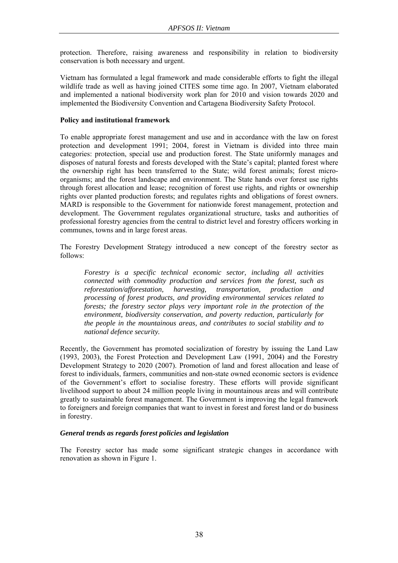protection. Therefore, raising awareness and responsibility in relation to biodiversity conservation is both necessary and urgent.

Vietnam has formulated a legal framework and made considerable efforts to fight the illegal wildlife trade as well as having joined CITES some time ago. In 2007, Vietnam elaborated and implemented a national biodiversity work plan for 2010 and vision towards 2020 and implemented the Biodiversity Convention and Cartagena Biodiversity Safety Protocol.

### **Policy and institutional framework**

To enable appropriate forest management and use and in accordance with the law on forest protection and development 1991; 2004, forest in Vietnam is divided into three main categories: protection, special use and production forest. The State uniformly manages and disposes of natural forests and forests developed with the State's capital; planted forest where the ownership right has been transferred to the State; wild forest animals; forest microorganisms; and the forest landscape and environment. The State hands over forest use rights through forest allocation and lease; recognition of forest use rights, and rights or ownership rights over planted production forests; and regulates rights and obligations of forest owners. MARD is responsible to the Government for nationwide forest management, protection and development. The Government regulates organizational structure, tasks and authorities of professional forestry agencies from the central to district level and forestry officers working in communes, towns and in large forest areas.

The Forestry Development Strategy introduced a new concept of the forestry sector as follows:

*Forestry is a specific technical economic sector, including all activities connected with commodity production and services from the forest, such as reforestation/afforestation, harvesting, transportation, production and processing of forest products, and providing environmental services related to forests; the forestry sector plays very important role in the protection of the environment, biodiversity conservation, and poverty reduction, particularly for the people in the mountainous areas, and contributes to social stability and to national defence security.* 

Recently, the Government has promoted socialization of forestry by issuing the Land Law (1993, 2003), the Forest Protection and Development Law (1991, 2004) and the Forestry Development Strategy to 2020 (2007). Promotion of land and forest allocation and lease of forest to individuals, farmers, communities and non-state owned economic sectors is evidence of the Government's effort to socialise forestry. These efforts will provide significant livelihood support to about 24 million people living in mountainous areas and will contribute greatly to sustainable forest management. The Government is improving the legal framework to foreigners and foreign companies that want to invest in forest and forest land or do business in forestry.

# *General trends as regards forest policies and legislation*

The Forestry sector has made some significant strategic changes in accordance with renovation as shown in Figure 1.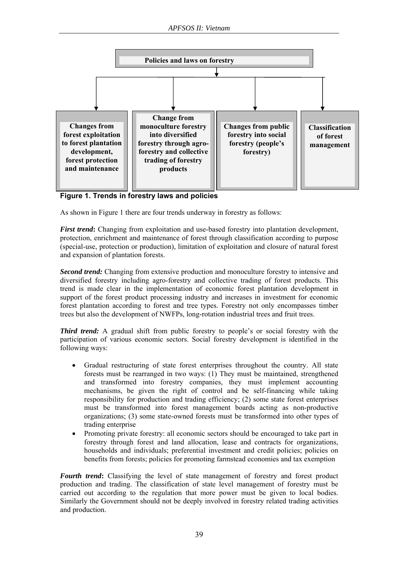

**Figure 1. Trends in forestry laws and policies** 

As shown in Figure 1 there are four trends underway in forestry as follows:

*First trend*: Changing from exploitation and use-based forestry into plantation development, protection, enrichment and maintenance of forest through classification according to purpose (special-use, protection or production), limitation of exploitation and closure of natural forest and expansion of plantation forests.

*Second trend:* Changing from extensive production and monoculture forestry to intensive and diversified forestry including agro-forestry and collective trading of forest products. This trend is made clear in the implementation of economic forest plantation development in support of the forest product processing industry and increases in investment for economic forest plantation according to forest and tree types. Forestry not only encompasses timber trees but also the development of NWFPs, long-rotation industrial trees and fruit trees.

*Third trend:* A gradual shift from public forestry to people's or social forestry with the participation of various economic sectors. Social forestry development is identified in the following ways:

- Gradual restructuring of state forest enterprises throughout the country. All state forests must be rearranged in two ways: (1) They must be maintained, strengthened and transformed into forestry companies, they must implement accounting mechanisms, be given the right of control and be self-financing while taking responsibility for production and trading efficiency; (2) some state forest enterprises must be transformed into forest management boards acting as non-productive organizations; (3) some state-owned forests must be transformed into other types of trading enterprise
- Promoting private forestry: all economic sectors should be encouraged to take part in forestry through forest and land allocation, lease and contracts for organizations, households and individuals; preferential investment and credit policies; policies on benefits from forests; policies for promoting farmstead economies and tax exemption

*Fourth trend*: Classifying the level of state management of forestry and forest product production and trading. The classification of state level management of forestry must be carried out according to the regulation that more power must be given to local bodies. Similarly the Government should not be deeply involved in forestry related trading activities and production.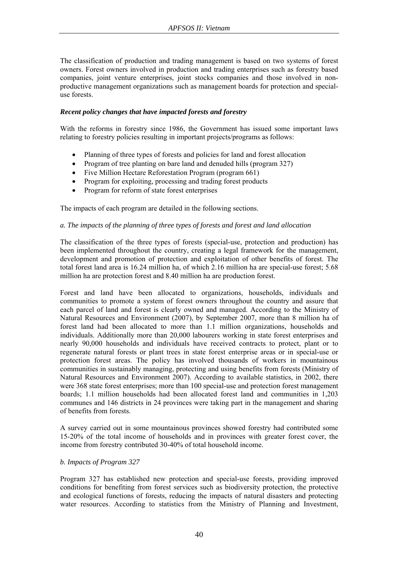The classification of production and trading management is based on two systems of forest owners. Forest owners involved in production and trading enterprises such as forestry based companies, joint venture enterprises, joint stocks companies and those involved in nonproductive management organizations such as management boards for protection and specialuse forests.

### *Recent policy changes that have impacted forests and forestry*

With the reforms in forestry since 1986, the Government has issued some important laws relating to forestry policies resulting in important projects/programs as follows:

- Planning of three types of forests and policies for land and forest allocation
- Program of tree planting on bare land and denuded hills (program 327)
- Five Million Hectare Reforestation Program (program 661)
- Program for exploiting, processing and trading forest products
- Program for reform of state forest enterprises

The impacts of each program are detailed in the following sections.

### *a. The impacts of the planning of three types of forests and forest and land allocation*

The classification of the three types of forests (special-use, protection and production) has been implemented throughout the country, creating a legal framework for the management, development and promotion of protection and exploitation of other benefits of forest. The total forest land area is 16.24 million ha, of which 2.16 million ha are special-use forest; 5.68 million ha are protection forest and 8.40 million ha are production forest.

Forest and land have been allocated to organizations, households, individuals and communities to promote a system of forest owners throughout the country and assure that each parcel of land and forest is clearly owned and managed. According to the Ministry of Natural Resources and Environment (2007), by September 2007, more than 8 million ha of forest land had been allocated to more than 1.1 million organizations, households and individuals. Additionally more than 20,000 labourers working in state forest enterprises and nearly 90,000 households and individuals have received contracts to protect, plant or to regenerate natural forests or plant trees in state forest enterprise areas or in special-use or protection forest areas. The policy has involved thousands of workers in mountainous communities in sustainably managing, protecting and using benefits from forests (Ministry of Natural Resources and Environment 2007). According to available statistics, in 2002, there were 368 state forest enterprises; more than 100 special-use and protection forest management boards; 1.1 million households had been allocated forest land and communities in 1,203 communes and 146 districts in 24 provinces were taking part in the management and sharing of benefits from forests.

A survey carried out in some mountainous provinces showed forestry had contributed some 15-20% of the total income of households and in provinces with greater forest cover, the income from forestry contributed 30-40% of total household income.

#### *b. Impacts of Program 327*

Program 327 has established new protection and special-use forests, providing improved conditions for benefiting from forest services such as biodiversity protection, the protective and ecological functions of forests, reducing the impacts of natural disasters and protecting water resources. According to statistics from the Ministry of Planning and Investment,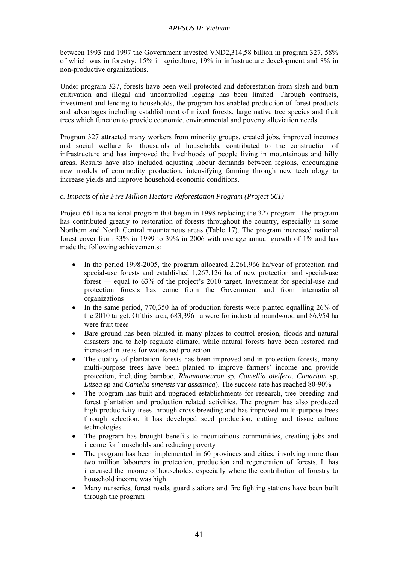between 1993 and 1997 the Government invested VND2,314,58 billion in program 327, 58% of which was in forestry, 15% in agriculture, 19% in infrastructure development and 8% in non-productive organizations.

Under program 327, forests have been well protected and deforestation from slash and burn cultivation and illegal and uncontrolled logging has been limited. Through contracts, investment and lending to households, the program has enabled production of forest products and advantages including establishment of mixed forests, large native tree species and fruit trees which function to provide economic, environmental and poverty alleviation needs.

Program 327 attracted many workers from minority groups, created jobs, improved incomes and social welfare for thousands of households, contributed to the construction of infrastructure and has improved the livelihoods of people living in mountainous and hilly areas. Results have also included adjusting labour demands between regions, encouraging new models of commodity production, intensifying farming through new technology to increase yields and improve household economic conditions.

# *c. Impacts of the Five Million Hectare Reforestation Program (Project 661)*

Project 661 is a national program that began in 1998 replacing the 327 program. The program has contributed greatly to restoration of forests throughout the country, especially in some Northern and North Central mountainous areas (Table 17). The program increased national forest cover from 33% in 1999 to 39% in 2006 with average annual growth of 1% and has made the following achievements:

- In the period 1998-2005, the program allocated 2.261,966 ha/year of protection and special-use forests and established 1,267,126 ha of new protection and special-use forest — equal to 63% of the project's 2010 target. Investment for special-use and protection forests has come from the Government and from international organizations
- In the same period, 770,350 ha of production forests were planted equalling 26% of the 2010 target. Of this area, 683,396 ha were for industrial roundwood and 86,954 ha were fruit trees
- Bare ground has been planted in many places to control erosion, floods and natural disasters and to help regulate climate, while natural forests have been restored and increased in areas for watershed protection
- The quality of plantation forests has been improved and in protection forests, many multi-purpose trees have been planted to improve farmers' income and provide protection, including bamboo, *Rhamnoneuron* sp, *Camellia oleifera*, *Canarium* sp, *Litsea* sp and *Camelia sinensis* var *assamica*). The success rate has reached 80-90%
- The program has built and upgraded establishments for research, tree breeding and forest plantation and production related activities. The program has also produced high productivity trees through cross-breeding and has improved multi-purpose trees through selection; it has developed seed production, cutting and tissue culture technologies
- The program has brought benefits to mountainous communities, creating jobs and income for households and reducing poverty
- The program has been implemented in 60 provinces and cities, involving more than two million labourers in protection, production and regeneration of forests. It has increased the income of households, especially where the contribution of forestry to household income was high
- Many nurseries, forest roads, guard stations and fire fighting stations have been built through the program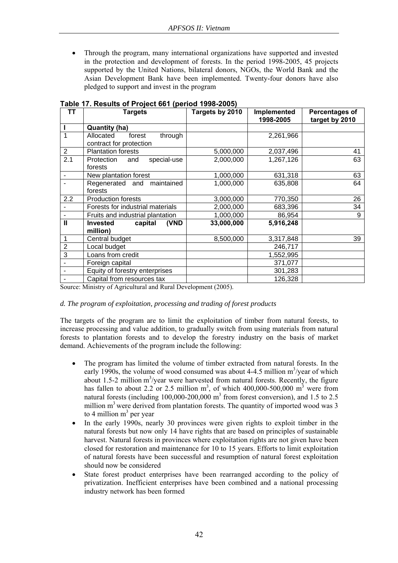• Through the program, many international organizations have supported and invested in the protection and development of forests. In the period 1998-2005, 45 projects supported by the United Nations, bilateral donors, NGOs, the World Bank and the Asian Development Bank have been implemented. Twenty-four donors have also pledged to support and invest in the program

| <b>TT</b>      | <b>Targets</b>                              | Targets by 2010 | Implemented<br>1998-2005 | <b>Percentages of</b><br>target by 2010 |
|----------------|---------------------------------------------|-----------------|--------------------------|-----------------------------------------|
|                | <b>Quantity (ha)</b>                        |                 |                          |                                         |
| 1              | Allocated<br>through<br>forest              |                 | 2,261,966                |                                         |
|                | contract for protection                     |                 |                          |                                         |
| $\overline{2}$ | <b>Plantation forests</b>                   | 5,000,000       | 2,037,496                | 41                                      |
| 2.1            | Protection<br>special-use<br>and<br>forests | 2,000,000       | 1,267,126                | 63                                      |
| $\blacksquare$ | New plantation forest                       | 1,000,000       | 631,318                  | 63                                      |
|                | Regenerated and<br>maintained               | 1,000,000       | 635,808                  | 64                                      |
|                | forests                                     |                 |                          |                                         |
| 2.2            | <b>Production forests</b>                   | 3,000,000       | 770,350                  | 26                                      |
|                | Forests for industrial materials            | 2,000,000       | 683,396                  | 34                                      |
|                | Fruits and industrial plantation            | 1,000,000       | 86,954                   | 9                                       |
| $\mathbf{I}$   | <b>Invested</b><br>capital<br>(VND          | 33,000,000      | 5,916,248                |                                         |
|                | million)                                    |                 |                          |                                         |
| 1              | Central budget                              | 8,500,000       | 3,317,848                | 39                                      |
| $\overline{2}$ | Local budget                                |                 | 246,717                  |                                         |
| 3              | Loans from credit                           |                 | 1,552,995                |                                         |
|                | Foreign capital                             |                 | 371,077                  |                                         |
|                | Equity of forestry enterprises              |                 | 301,283                  |                                         |
|                | Capital from resources tax                  |                 | 126,328                  |                                         |

# **Table 17. Results of Project 661 (period 1998-2005)**

Source: Ministry of Agricultural and Rural Development (2005).

### *d. The program of exploitation, processing and trading of forest products*

The targets of the program are to limit the exploitation of timber from natural forests, to increase processing and value addition, to gradually switch from using materials from natural forests to plantation forests and to develop the forestry industry on the basis of market demand. Achievements of the program include the following:

- The program has limited the volume of timber extracted from natural forests. In the early 1990s, the volume of wood consumed was about 4-4.5 million  $m^3$ /year of which about 1.5-2 million  $m^3$ /year were harvested from natural forests. Recently, the figure has fallen to about 2.2 or 2.5 million  $m^3$ , of which 400,000-500,000  $m^3$  were from natural forests (including  $100,000$ -200,000 m<sup>3</sup> from forest conversion), and 1.5 to 2.5 million  $m<sup>3</sup>$  were derived from plantation forests. The quantity of imported wood was 3 to 4 million  $m<sup>3</sup>$  per year
- In the early 1990s, nearly 30 provinces were given rights to exploit timber in the natural forests but now only 14 have rights that are based on principles of sustainable harvest. Natural forests in provinces where exploitation rights are not given have been closed for restoration and maintenance for 10 to 15 years. Efforts to limit exploitation of natural forests have been successful and resumption of natural forest exploitation should now be considered
- State forest product enterprises have been rearranged according to the policy of privatization. Inefficient enterprises have been combined and a national processing industry network has been formed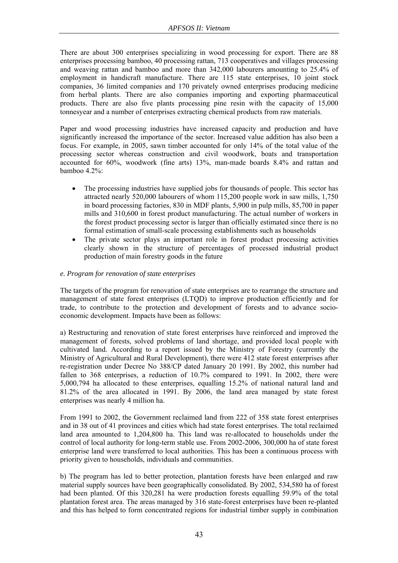There are about 300 enterprises specializing in wood processing for export. There are 88 enterprises processing bamboo, 40 processing rattan, 713 cooperatives and villages processing and weaving rattan and bamboo and more than 342,000 labourers amounting to 25.4% of employment in handicraft manufacture. There are 115 state enterprises, 10 joint stock companies, 36 limited companies and 170 privately owned enterprises producing medicine from herbal plants. There are also companies importing and exporting pharmaceutical products. There are also five plants processing pine resin with the capacity of 15,000 tonnesyear and a number of enterprises extracting chemical products from raw materials.

Paper and wood processing industries have increased capacity and production and have significantly increased the importance of the sector. Increased value addition has also been a focus. For example, in 2005, sawn timber accounted for only 14% of the total value of the processing sector whereas construction and civil woodwork, boats and transportation accounted for 60%, woodwork (fine arts) 13%, man-made boards 8.4% and rattan and bamboo 4.2%:

- The processing industries have supplied jobs for thousands of people. This sector has attracted nearly 520,000 labourers of whom 115,200 people work in saw mills, 1,750 in board processing factories, 830 in MDF plants, 5,900 in pulp mills, 85,700 in paper mills and 310,600 in forest product manufacturing. The actual number of workers in the forest product processing sector is larger than officially estimated since there is no formal estimation of small-scale processing establishments such as households
- The private sector plays an important role in forest product processing activities clearly shown in the structure of percentages of processed industrial product production of main forestry goods in the future

### *e. Program for renovation of state enterprises*

The targets of the program for renovation of state enterprises are to rearrange the structure and management of state forest enterprises (LTQD) to improve production efficiently and for trade, to contribute to the protection and development of forests and to advance socioeconomic development. Impacts have been as follows:

a) Restructuring and renovation of state forest enterprises have reinforced and improved the management of forests, solved problems of land shortage, and provided local people with cultivated land. According to a report issued by the Ministry of Forestry (currently the Ministry of Agricultural and Rural Development), there were 412 state forest enterprises after re-registration under Decree No 388/CP dated January 20 1991. By 2002, this number had fallen to 368 enterprises, a reduction of 10.7% compared to 1991. In 2002, there were 5,000,794 ha allocated to these enterprises, equalling 15.2% of national natural land and 81.2% of the area allocated in 1991. By 2006, the land area managed by state forest enterprises was nearly 4 million ha.

From 1991 to 2002, the Government reclaimed land from 222 of 358 state forest enterprises and in 38 out of 41 provinces and cities which had state forest enterprises. The total reclaimed land area amounted to 1,204,800 ha. This land was re-allocated to households under the control of local authority for long-term stable use. From 2002-2006, 300,000 ha of state forest enterprise land were transferred to local authorities. This has been a continuous process with priority given to households, individuals and communities.

b) The program has led to better protection, plantation forests have been enlarged and raw material supply sources have been geographically consolidated. By 2002, 534,580 ha of forest had been planted. Of this 320,281 ha were production forests equalling 59.9% of the total plantation forest area. The areas managed by 316 state-forest enterprises have been re-planted and this has helped to form concentrated regions for industrial timber supply in combination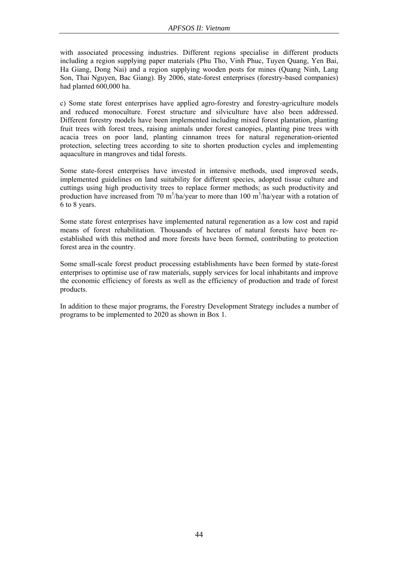with associated processing industries. Different regions specialise in different products including a region supplying paper materials (Phu Tho, Vinh Phuc, Tuyen Quang, Yen Bai, Ha Giang, Dong Nai) and a region supplying wooden posts for mines (Quang Ninh, Lang Son, Thai Nguyen, Bac Giang). By 2006, state-forest enterprises (forestry-based companies) had planted 600,000 ha.

c) Some state forest enterprises have applied agro-forestry and forestry-agriculture models and reduced monoculture. Forest structure and silviculture have also been addressed. Different forestry models have been implemented including mixed forest plantation, planting fruit trees with forest trees, raising animals under forest canopies, planting pine trees with acacia trees on poor land, planting cinnamon trees for natural regeneration-oriented protection, selecting trees according to site to shorten production cycles and implementing aquaculture in mangroves and tidal forests.

Some state-forest enterprises have invested in intensive methods, used improved seeds, implemented guidelines on land suitability for different species, adopted tissue culture and cuttings using high productivity trees to replace former methods; as such productivity and production have increased from 70 m<sup>3</sup>/ha/year to more than 100 m<sup>3</sup>/ha/year with a rotation of 6 to 8 years.

Some state forest enterprises have implemented natural regeneration as a low cost and rapid means of forest rehabilitation. Thousands of hectares of natural forests have been reestablished with this method and more forests have been formed, contributing to protection forest area in the country.

Some small-scale forest product processing establishments have been formed by state-forest enterprises to optimise use of raw materials, supply services for local inhabitants and improve the economic efficiency of forests as well as the efficiency of production and trade of forest products.

In addition to these major programs, the Forestry Development Strategy includes a number of programs to be implemented to 2020 as shown in Box 1.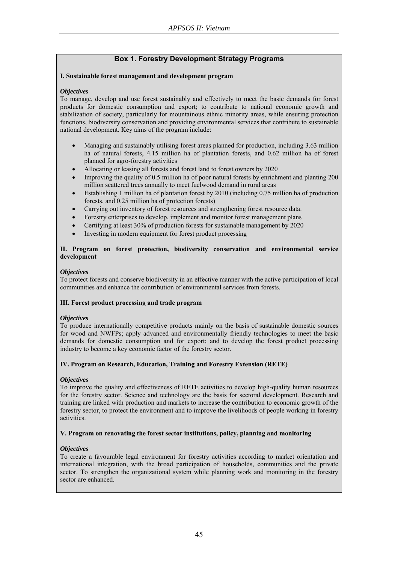# **Box 1. Forestry Development Strategy Programs**

#### **I. Sustainable forest management and development program**

#### *Objectives*

To manage, develop and use forest sustainably and effectively to meet the basic demands for forest products for domestic consumption and export; to contribute to national economic growth and stabilization of society, particularly for mountainous ethnic minority areas, while ensuring protection functions, biodiversity conservation and providing environmental services that contribute to sustainable national development. Key aims of the program include:

- Managing and sustainably utilising forest areas planned for production, including 3.63 million ha of natural forests, 4.15 million ha of plantation forests, and 0.62 million ha of forest planned for agro-forestry activities
- Allocating or leasing all forests and forest land to forest owners by 2020
- Improving the quality of 0.5 million ha of poor natural forests by enrichment and planting 200 million scattered trees annually to meet fuelwood demand in rural areas
- Establishing 1 million ha of plantation forest by 2010 (including 0.75 million ha of production forests, and 0.25 million ha of protection forests)
- Carrying out inventory of forest resources and strengthening forest resource data.
- Forestry enterprises to develop, implement and monitor forest management plans
- Certifying at least 30% of production forests for sustainable management by 2020
- Investing in modern equipment for forest product processing

#### **II. Program on forest protection, biodiversity conservation and environmental service development**

#### *Objectives*

To protect forests and conserve biodiversity in an effective manner with the active participation of local communities and enhance the contribution of environmental services from forests.

### **III. Forest product processing and trade program**

#### *Objectives*

To produce internationally competitive products mainly on the basis of sustainable domestic sources for wood and NWFPs; apply advanced and environmentally friendly technologies to meet the basic demands for domestic consumption and for export; and to develop the forest product processing industry to become a key economic factor of the forestry sector.

### **IV. Program on Research, Education, Training and Forestry Extension (RETE)**

#### *Objectives*

To improve the quality and effectiveness of RETE activities to develop high-quality human resources for the forestry sector. Science and technology are the basis for sectoral development. Research and training are linked with production and markets to increase the contribution to economic growth of the forestry sector, to protect the environment and to improve the livelihoods of people working in forestry activities.

#### **V. Program on renovating the forest sector institutions, policy, planning and monitoring**

#### *Objectives*

To create a favourable legal environment for forestry activities according to market orientation and international integration, with the broad participation of households, communities and the private sector. To strengthen the organizational system while planning work and monitoring in the forestry sector are enhanced.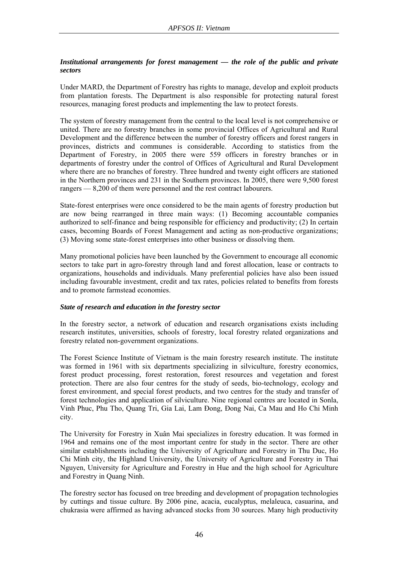### *Institutional arrangements for forest management — the role of the public and private sectors*

Under MARD, the Department of Forestry has rights to manage, develop and exploit products from plantation forests. The Department is also responsible for protecting natural forest resources, managing forest products and implementing the law to protect forests.

The system of forestry management from the central to the local level is not comprehensive or united. There are no forestry branches in some provincial Offices of Agricultural and Rural Development and the difference between the number of forestry officers and forest rangers in provinces, districts and communes is considerable. According to statistics from the Department of Forestry, in 2005 there were 559 officers in forestry branches or in departments of forestry under the control of Offices of Agricultural and Rural Development where there are no branches of forestry. Three hundred and twenty eight officers are stationed in the Northern provinces and 231 in the Southern provinces. In 2005, there were 9,500 forest rangers — 8,200 of them were personnel and the rest contract labourers.

State-forest enterprises were once considered to be the main agents of forestry production but are now being rearranged in three main ways: (1) Becoming accountable companies authorized to self-finance and being responsible for efficiency and productivity; (2) In certain cases, becoming Boards of Forest Management and acting as non-productive organizations; (3) Moving some state-forest enterprises into other business or dissolving them.

Many promotional policies have been launched by the Government to encourage all economic sectors to take part in agro-forestry through land and forest allocation, lease or contracts to organizations, households and individuals. Many preferential policies have also been issued including favourable investment, credit and tax rates, policies related to benefits from forests and to promote farmstead economies.

### *State of research and education in the forestry sector*

In the forestry sector, a network of education and research organisations exists including research institutes, universities, schools of forestry, local forestry related organizations and forestry related non-government organizations.

The Forest Science Institute of Vietnam is the main forestry research institute. The institute was formed in 1961 with six departments specializing in silviculture, forestry economics, forest product processing, forest restoration, forest resources and vegetation and forest protection. There are also four centres for the study of seeds, bio-technology, ecology and forest environment, and special forest products, and two centres for the study and transfer of forest technologies and application of silviculture. Nine regional centres are located in Sonla, Vinh Phuc, Phu Tho, Quang Tri, Gia Lai, Lam Đong, Đong Nai, Ca Mau and Ho Chi Minh city.

The University for Forestry in Xuân Mai specializes in forestry education. It was formed in 1964 and remains one of the most important centre for study in the sector. There are other similar establishments including the University of Agriculture and Forestry in Thu Duc, Ho Chi Minh city, the Highland University, the University of Agriculture and Forestry in Thai Nguyen, University for Agriculture and Forestry in Hue and the high school for Agriculture and Forestry in Quang Ninh.

The forestry sector has focused on tree breeding and development of propagation technologies by cuttings and tissue culture. By 2006 pine, acacia, eucalyptus, melaleuca, casuarina, and chukrasia were affirmed as having advanced stocks from 30 sources. Many high productivity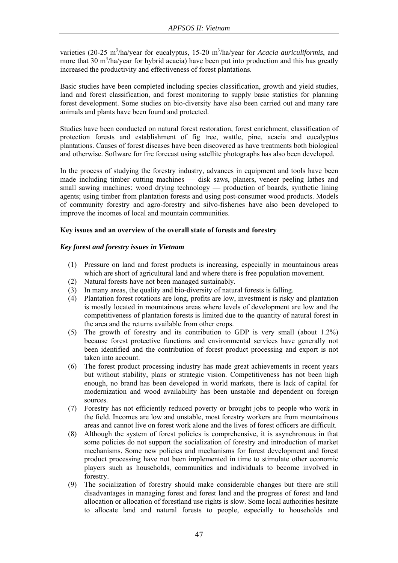varieties (20-25 m<sup>3</sup>/ha/year for eucalyptus, 15-20 m<sup>3</sup>/ha/year for *Acacia auriculiformis*, and more that  $30 \text{ m}^3/\text{ha}/\text{year}$  for hybrid acacia) have been put into production and this has greatly increased the productivity and effectiveness of forest plantations.

Basic studies have been completed including species classification, growth and yield studies, land and forest classification, and forest monitoring to supply basic statistics for planning forest development. Some studies on bio-diversity have also been carried out and many rare animals and plants have been found and protected.

Studies have been conducted on natural forest restoration, forest enrichment, classification of protection forests and establishment of fig tree, wattle, pine, acacia and eucalyptus plantations. Causes of forest diseases have been discovered as have treatments both biological and otherwise. Software for fire forecast using satellite photographs has also been developed.

In the process of studying the forestry industry, advances in equipment and tools have been made including timber cutting machines — disk saws, planers, veneer peeling lathes and small sawing machines; wood drying technology — production of boards, synthetic lining agents; using timber from plantation forests and using post-consumer wood products. Models of community forestry and agro-forestry and silvo-fisheries have also been developed to improve the incomes of local and mountain communities.

# **Key issues and an overview of the overall state of forests and forestry**

### *Key forest and forestry issues in Vietnam*

- (1) Pressure on land and forest products is increasing, especially in mountainous areas which are short of agricultural land and where there is free population movement.
- (2) Natural forests have not been managed sustainably.
- (3) In many areas, the quality and bio-diversity of natural forests is falling.
- (4) Plantation forest rotations are long, profits are low, investment is risky and plantation is mostly located in mountainous areas where levels of development are low and the competitiveness of plantation forests is limited due to the quantity of natural forest in the area and the returns available from other crops.
- (5) The growth of forestry and its contribution to GDP is very small (about 1.2%) because forest protective functions and environmental services have generally not been identified and the contribution of forest product processing and export is not taken into account.
- (6) The forest product processing industry has made great achievements in recent years but without stability, plans or strategic vision. Competitiveness has not been high enough, no brand has been developed in world markets, there is lack of capital for modernization and wood availability has been unstable and dependent on foreign sources.
- (7) Forestry has not efficiently reduced poverty or brought jobs to people who work in the field. Incomes are low and unstable, most forestry workers are from mountainous areas and cannot live on forest work alone and the lives of forest officers are difficult.
- (8) Although the system of forest policies is comprehensive, it is asynchronous in that some policies do not support the socialization of forestry and introduction of market mechanisms. Some new policies and mechanisms for forest development and forest product processing have not been implemented in time to stimulate other economic players such as households, communities and individuals to become involved in forestry.
- (9) The socialization of forestry should make considerable changes but there are still disadvantages in managing forest and forest land and the progress of forest and land allocation or allocation of forestland use rights is slow. Some local authorities hesitate to allocate land and natural forests to people, especially to households and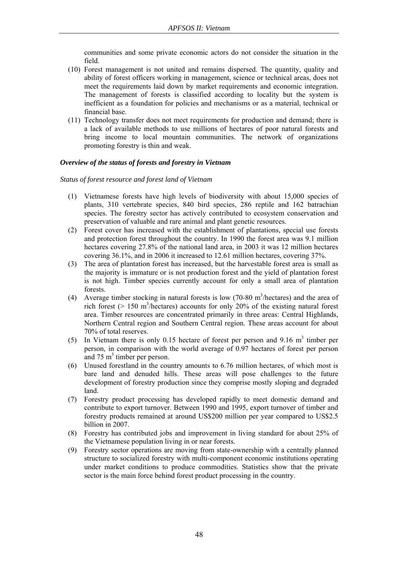communities and some private economic actors do not consider the situation in the field.

- (10) Forest management is not united and remains dispersed. The quantity, quality and ability of forest officers working in management, science or technical areas, does not meet the requirements laid down by market requirements and economic integration. The management of forests is classified according to locality but the system is inefficient as a foundation for policies and mechanisms or as a material, technical or financial base.
- (11) Technology transfer does not meet requirements for production and demand; there is a lack of available methods to use millions of hectares of poor natural forests and bring income to local mountain communities. The network of organizations promoting forestry is thin and weak.

### *Overview of the status of forests and forestry in Vietnam*

*Status of forest resource and forest land of Vietnam* 

- (1) Vietnamese forests have high levels of biodiversity with about 15,000 species of plants, 310 vertebrate species, 840 bird species, 286 reptile and 162 batrachian species. The forestry sector has actively contributed to ecosystem conservation and preservation of valuable and rare animal and plant genetic resources.
- (2) Forest cover has increased with the establishment of plantations, special use forests and protection forest throughout the country. In 1990 the forest area was 9.1 million hectares covering 27.8% of the national land area, in 2003 it was 12 million hectares covering 36.1%, and in 2006 it increased to 12.61 million hectares, covering 37%.
- (3) The area of plantation forest has increased, but the harvestable forest area is small as the majority is immature or is not production forest and the yield of plantation forest is not high. Timber species currently account for only a small area of plantation forests.
- (4) Average timber stocking in natural forests is low  $(70-80 \text{ m}^3/\text{hectares})$  and the area of rich forest ( $> 150$  m<sup>3</sup>/hectares) accounts for only 20% of the existing natural forest area. Timber resources are concentrated primarily in three areas: Central Highlands, Northern Central region and Southern Central region. These areas account for about 70% of total reserves.
- (5) In Vietnam there is only 0.15 hectare of forest per person and  $9.16 \text{ m}^3$  timber per person, in comparison with the world average of 0.97 hectares of forest per person and  $75 \text{ m}^3$  timber per person.
- (6) Unused forestland in the country amounts to 6.76 million hectares, of which most is bare land and denuded hills. These areas will pose challenges to the future development of forestry production since they comprise mostly sloping and degraded land.
- (7) Forestry product processing has developed rapidly to meet domestic demand and contribute to export turnover. Between 1990 and 1995, export turnover of timber and forestry products remained at around US\$200 million per year compared to US\$2.5 billion in 2007.
- (8) Forestry has contributed jobs and improvement in living standard for about 25% of the Vietnamese population living in or near forests.
- (9) Forestry sector operations are moving from state-ownership with a centrally planned structure to socialized forestry with multi-component economic institutions operating under market conditions to produce commodities. Statistics show that the private sector is the main force behind forest product processing in the country.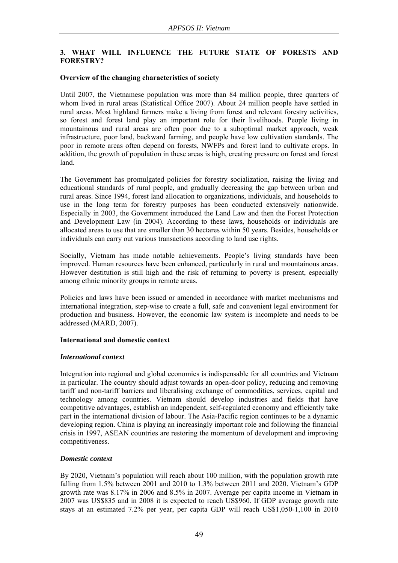# **3. WHAT WILL INFLUENCE THE FUTURE STATE OF FORESTS AND FORESTRY?**

### **Overview of the changing characteristics of society**

Until 2007, the Vietnamese population was more than 84 million people, three quarters of whom lived in rural areas (Statistical Office 2007). About 24 million people have settled in rural areas. Most highland farmers make a living from forest and relevant forestry activities, so forest and forest land play an important role for their livelihoods. People living in mountainous and rural areas are often poor due to a suboptimal market approach, weak infrastructure, poor land, backward farming, and people have low cultivation standards. The poor in remote areas often depend on forests, NWFPs and forest land to cultivate crops. In addition, the growth of population in these areas is high, creating pressure on forest and forest land.

The Government has promulgated policies for forestry socialization, raising the living and educational standards of rural people, and gradually decreasing the gap between urban and rural areas. Since 1994, forest land allocation to organizations, individuals, and households to use in the long term for forestry purposes has been conducted extensively nationwide. Especially in 2003, the Government introduced the Land Law and then the Forest Protection and Development Law (in 2004). According to these laws, households or individuals are allocated areas to use that are smaller than 30 hectares within 50 years. Besides, households or individuals can carry out various transactions according to land use rights.

Socially, Vietnam has made notable achievements. People's living standards have been improved. Human resources have been enhanced, particularly in rural and mountainous areas. However destitution is still high and the risk of returning to poverty is present, especially among ethnic minority groups in remote areas.

Policies and laws have been issued or amended in accordance with market mechanisms and international integration, step-wise to create a full, safe and convenient legal environment for production and business. However, the economic law system is incomplete and needs to be addressed (MARD, 2007).

### **International and domestic context**

### *International context*

Integration into regional and global economies is indispensable for all countries and Vietnam in particular. The country should adjust towards an open-door policy, reducing and removing tariff and non-tariff barriers and liberalising exchange of commodities, services, capital and technology among countries. Vietnam should develop industries and fields that have competitive advantages, establish an independent, self-regulated economy and efficiently take part in the international division of labour. The Asia-Pacific region continues to be a dynamic developing region. China is playing an increasingly important role and following the financial crisis in 1997, ASEAN countries are restoring the momentum of development and improving competitiveness.

# *Domestic context*

By 2020, Vietnam's population will reach about 100 million, with the population growth rate falling from 1.5% between 2001 and 2010 to 1.3% between 2011 and 2020. Vietnam's GDP growth rate was 8.17% in 2006 and 8.5% in 2007. Average per capita income in Vietnam in 2007 was US\$835 and in 2008 it is expected to reach US\$960. If GDP average growth rate stays at an estimated 7.2% per year, per capita GDP will reach US\$1,050-1,100 in 2010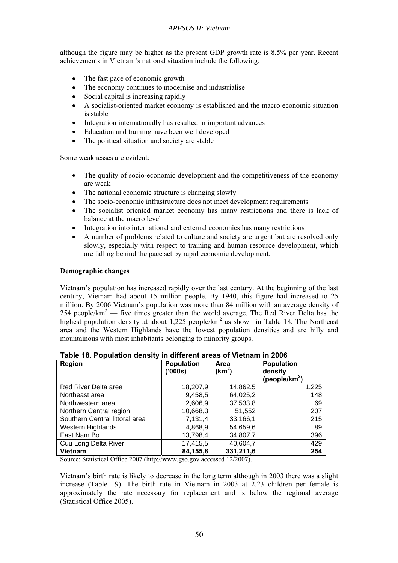although the figure may be higher as the present GDP growth rate is 8.5% per year. Recent achievements in Vietnam's national situation include the following:

- The fast pace of economic growth
- The economy continues to modernise and industrialise
- Social capital is increasing rapidly
- A socialist-oriented market economy is established and the macro economic situation is stable
- Integration internationally has resulted in important advances
- Education and training have been well developed
- The political situation and society are stable

Some weaknesses are evident:

- The quality of socio-economic development and the competitiveness of the economy are weak
- The national economic structure is changing slowly
- The socio-economic infrastructure does not meet development requirements
- The socialist oriented market economy has many restrictions and there is lack of balance at the macro level
- Integration into international and external economies has many restrictions
- A number of problems related to culture and society are urgent but are resolved only slowly, especially with respect to training and human resource development, which are falling behind the pace set by rapid economic development.

### **Demographic changes**

Vietnam's population has increased rapidly over the last century. At the beginning of the last century, Vietnam had about 15 million people. By 1940, this figure had increased to 25 million. By 2006 Vietnam's population was more than 84 million with an average density of 254 people/ $km^2$  — five times greater than the world average. The Red River Delta has the highest population density at about 1,225 people/km<sup>2</sup> as shown in Table 18. The Northeast area and the Western Highlands have the lowest population densities and are hilly and mountainous with most inhabitants belonging to minority groups.

| Region                         | <b>Population</b><br>('000s) | Area<br>(km <sup>2</sup> ) | <b>Population</b><br>density<br>(people/km <sup>2</sup> ) |
|--------------------------------|------------------------------|----------------------------|-----------------------------------------------------------|
| Red River Delta area           | 18,207,9                     | 14,862,5                   | 1,225                                                     |
| Northeast area                 | 9,458,5                      | 64,025,2                   | 148                                                       |
| Northwestern area              | 2,606,9                      | 37,533,8                   | 69                                                        |
| Northern Central region        | 10,668,3                     | 51,552                     | 207                                                       |
| Southern Central littoral area | 7,131,4                      | 33,166,1                   | 215                                                       |
| <b>Western Highlands</b>       | 4,868,9                      | 54,659,6                   | 89                                                        |
| East Nam Bo                    | 13,798,4                     | 34,807,7                   | 396                                                       |
| Cuu Long Delta River           | 17,415,5                     | 40,604,7                   | 429                                                       |
| <b>Vietnam</b>                 | 84,155,8                     | 331,211,6                  | 254                                                       |

| Table 18. Population density in different areas of Vietnam in 2006 |  |  |
|--------------------------------------------------------------------|--|--|
|--------------------------------------------------------------------|--|--|

Source: Statistical Office 2007 (http://www.gso.gov accessed 12/2007).

Vietnam's birth rate is likely to decrease in the long term although in 2003 there was a slight increase (Table 19). The birth rate in Vietnam in 2003 at 2.23 children per female is approximately the rate necessary for replacement and is below the regional average (Statistical Office 2005).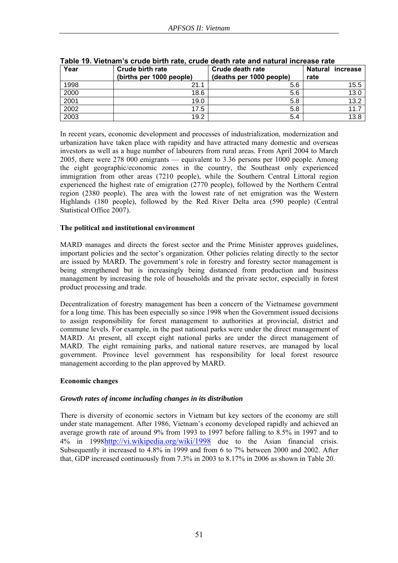| Year | <b>Crude birth rate</b><br>(births per 1000 people) | Crude death rate<br>(deaths per 1000 people) | <b>Natural</b><br>increase<br>rate |
|------|-----------------------------------------------------|----------------------------------------------|------------------------------------|
| 1998 | 21.1                                                | 5.6                                          | 15.5                               |
| 2000 | 18.6                                                | 5.6                                          | 13.0                               |
| 2001 | 19.0                                                | 5.8                                          | 13.2                               |
| 2002 | 17.5                                                | 5.8                                          | 11.7                               |
| 2003 | 19.2                                                | 5.4                                          | 13.8                               |

# **Table 19. Vietnam's crude birth rate, crude death rate and natural increase rate**

In recent years, economic development and processes of industrialization, modernization and urbanization have taken place with rapidity and have attracted many domestic and overseas investors as well as a huge number of labourers from rural areas. From April 2004 to March 2005, there were 278 000 emigrants — equivalent to 3.36 persons per 1000 people. Among the eight geographic/economic zones in the country, the Southeast only experienced immigration from other areas (7210 people), while the Southern Central Littoral region experienced the highest rate of emigration (2770 people), followed by the Northern Central region (2380 people). The area with the lowest rate of net emigration was the Western Highlands (180 people), followed by the Red River Delta area (590 people) (Central Statistical Office 2007).

### **The political and institutional environment**

MARD manages and directs the forest sector and the Prime Minister approves guidelines, important policies and the sector's organization. Other policies relating directly to the sector are issued by MARD. The government's role in forestry and forestry sector management is being strengthened but is increasingly being distanced from production and business management by increasing the role of households and the private sector, especially in forest product processing and trade.

Decentralization of forestry management has been a concern of the Vietnamese government for a long time. This has been especially so since 1998 when the Government issued decisions to assign responsibility for forest management to authorities at provincial, district and commune levels. For example, in the past national parks were under the direct management of MARD. At present, all except eight national parks are under the direct management of MARD. The eight remaining parks, and national nature reserves, are managed by local government. Province level government has responsibility for local forest resource management according to the plan approved by MARD.

### **Economic changes**

# *Growth rates of income including changes in its distribution*

There is diversity of economic sectors in Vietnam but key sectors of the economy are still under state management. After 1986, Vietnam's economy developed rapidly and achieved an average growth rate of around 9% from 1993 to 1997 before falling to 8.5% in 1997 and to 4% in 1998http://vi.wikipedia.org/wiki/1998 due to the Asian financial crisis. Subsequently it increased to 4.8% in 1999 and from 6 to 7% between 2000 and 2002. After that, GDP increased continuously from 7.3% in 2003 to 8.17% in 2006 as shown in Table 20.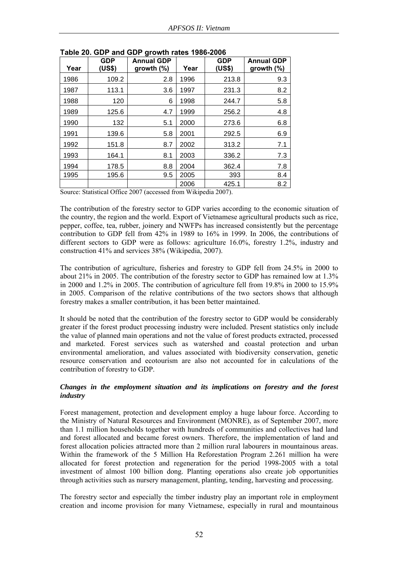| Year | <b>GDP</b><br>(US\$) | <b>Annual GDP</b><br>growth $(\%)$ | Year | <b>GDP</b><br>(US\$) | <b>Annual GDP</b><br>growth $(\%)$ |
|------|----------------------|------------------------------------|------|----------------------|------------------------------------|
| 1986 | 109.2                | 2.8                                | 1996 | 213.8                | 9.3                                |
| 1987 | 113.1                | 3.6                                | 1997 | 231.3                | 8.2                                |
| 1988 | 120                  | 6                                  | 1998 | 244.7                | 5.8                                |
| 1989 | 125.6                | 4.7                                | 1999 | 256.2                | 4.8                                |
| 1990 | 132                  | 5.1                                | 2000 | 273.6                | 6.8                                |
| 1991 | 139.6                | 5.8                                | 2001 | 292.5                | 6.9                                |
| 1992 | 151.8                | 8.7                                | 2002 | 313.2                | 7.1                                |
| 1993 | 164.1                | 8.1                                | 2003 | 336.2                | 7.3                                |
| 1994 | 178.5                | 8.8                                | 2004 | 362.4                | 7.8                                |
| 1995 | 195.6                | 9.5                                | 2005 | 393                  | 8.4                                |
|      |                      |                                    | 2006 | 425.1                | 8.2                                |

**Table 20. GDP and GDP growth rates 1986-2006** 

Source: Statistical Office 2007 (accessed from Wikipedia 2007).

The contribution of the forestry sector to GDP varies according to the economic situation of the country, the region and the world. Export of Vietnamese agricultural products such as rice, pepper, coffee, tea, rubber, joinery and NWFPs has increased consistently but the percentage contribution to GDP fell from 42% in 1989 to 16% in 1999. In 2006, the contributions of different sectors to GDP were as follows: agriculture 16.0%, forestry 1.2%, industry and construction 41% and services 38% (Wikipedia, 2007).

The contribution of agriculture, fisheries and forestry to GDP fell from 24.5% in 2000 to about 21% in 2005. The contribution of the forestry sector to GDP has remained low at 1.3% in 2000 and 1.2% in 2005. The contribution of agriculture fell from 19.8% in 2000 to 15.9% in 2005. Comparison of the relative contributions of the two sectors shows that although forestry makes a smaller contribution, it has been better maintained.

It should be noted that the contribution of the forestry sector to GDP would be considerably greater if the forest product processing industry were included. Present statistics only include the value of planned main operations and not the value of forest products extracted, processed and marketed. Forest services such as watershed and coastal protection and urban environmental amelioration, and values associated with biodiversity conservation, genetic resource conservation and ecotourism are also not accounted for in calculations of the contribution of forestry to GDP.

### *Changes in the employment situation and its implications on forestry and the forest industry*

Forest management, protection and development employ a huge labour force. According to the Ministry of Natural Resources and Environment (MONRE), as of September 2007, more than 1.1 million households together with hundreds of communities and collectives had land and forest allocated and became forest owners. Therefore, the implementation of land and forest allocation policies attracted more than 2 million rural labourers in mountainous areas. Within the framework of the 5 Million Ha Reforestation Program 2.261 million ha were allocated for forest protection and regeneration for the period 1998-2005 with a total investment of almost 100 billion dong. Planting operations also create job opportunities through activities such as nursery management, planting, tending, harvesting and processing.

The forestry sector and especially the timber industry play an important role in employment creation and income provision for many Vietnamese, especially in rural and mountainous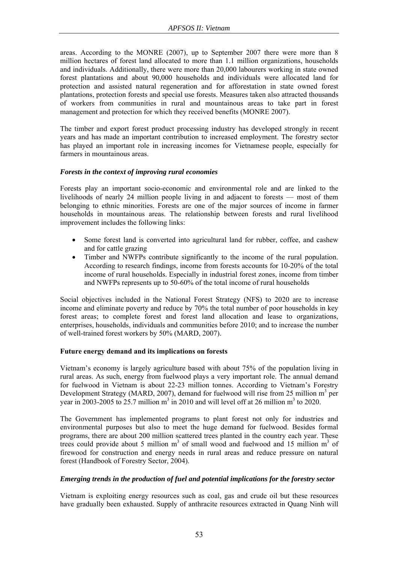areas. According to the MONRE (2007), up to September 2007 there were more than 8 million hectares of forest land allocated to more than 1.1 million organizations, households and individuals. Additionally, there were more than 20,000 labourers working in state owned forest plantations and about 90,000 households and individuals were allocated land for protection and assisted natural regeneration and for afforestation in state owned forest plantations, protection forests and special use forests. Measures taken also attracted thousands of workers from communities in rural and mountainous areas to take part in forest management and protection for which they received benefits (MONRE 2007).

The timber and export forest product processing industry has developed strongly in recent years and has made an important contribution to increased employment. The forestry sector has played an important role in increasing incomes for Vietnamese people, especially for farmers in mountainous areas.

### *Forests in the context of improving rural economies*

Forests play an important socio-economic and environmental role and are linked to the livelihoods of nearly 24 million people living in and adjacent to forests — most of them belonging to ethnic minorities. Forests are one of the major sources of income in farmer households in mountainous areas. The relationship between forests and rural livelihood improvement includes the following links:

- Some forest land is converted into agricultural land for rubber, coffee, and cashew and for cattle grazing
- Timber and NWFPs contribute significantly to the income of the rural population. According to research findings, income from forests accounts for 10-20% of the total income of rural households. Especially in industrial forest zones, income from timber and NWFPs represents up to 50-60% of the total income of rural households

Social objectives included in the National Forest Strategy (NFS) to 2020 are to increase income and eliminate poverty and reduce by 70% the total number of poor households in key forest areas; to complete forest and forest land allocation and lease to organizations, enterprises, households, individuals and communities before 2010; and to increase the number of well-trained forest workers by 50% (MARD, 2007).

# **Future energy demand and its implications on forests**

Vietnam's economy is largely agriculture based with about 75% of the population living in rural areas. As such, energy from fuelwood plays a very important role. The annual demand for fuelwood in Vietnam is about 22-23 million tonnes. According to Vietnam's Forestry Development Strategy (MARD, 2007), demand for fuelwood will rise from 25 million  $m<sup>3</sup>$  per year in 2003-2005 to 25.7 million  $m^3$  in 2010 and will level off at 26 million  $m^3$  to 2020.

The Government has implemented programs to plant forest not only for industries and environmental purposes but also to meet the huge demand for fuelwood. Besides formal programs, there are about 200 million scattered trees planted in the country each year. These trees could provide about 5 million  $m<sup>3</sup>$  of small wood and fuelwood and 15 million  $m<sup>3</sup>$  of firewood for construction and energy needs in rural areas and reduce pressure on natural forest (Handbook of Forestry Sector, 2004).

# *Emerging trends in the production of fuel and potential implications for the forestry sector*

Vietnam is exploiting energy resources such as coal, gas and crude oil but these resources have gradually been exhausted. Supply of anthracite resources extracted in Quang Ninh will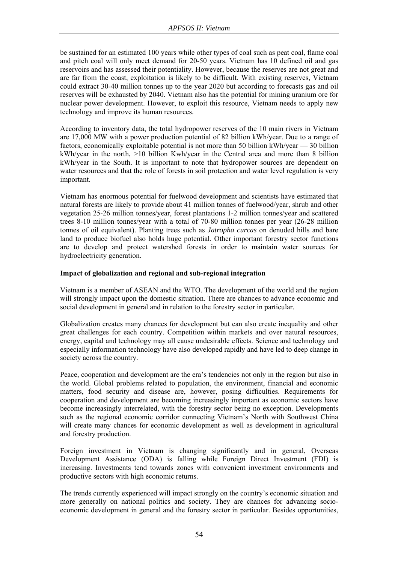be sustained for an estimated 100 years while other types of coal such as peat coal, flame coal and pitch coal will only meet demand for 20-50 years. Vietnam has 10 defined oil and gas reservoirs and has assessed their potentiality. However, because the reserves are not great and are far from the coast, exploitation is likely to be difficult. With existing reserves, Vietnam could extract 30-40 million tonnes up to the year 2020 but according to forecasts gas and oil reserves will be exhausted by 2040. Vietnam also has the potential for mining uranium ore for nuclear power development. However, to exploit this resource, Vietnam needs to apply new technology and improve its human resources.

According to inventory data, the total hydropower reserves of the 10 main rivers in Vietnam are 17,000 MW with a power production potential of 82 billion kWh/year. Due to a range of factors, economically exploitable potential is not more than 50 billion kWh/year — 30 billion kWh/year in the north, >10 billion Kwh/year in the Central area and more than 8 billion kWh/year in the South. It is important to note that hydropower sources are dependent on water resources and that the role of forests in soil protection and water level regulation is very important.

Vietnam has enormous potential for fuelwood development and scientists have estimated that natural forests are likely to provide about 41 million tonnes of fuelwood/year, shrub and other vegetation 25-26 million tonnes/year, forest plantations 1-2 million tonnes/year and scattered trees 8-10 million tonnes/year with a total of 70-80 million tonnes per year (26-28 million tonnes of oil equivalent). Planting trees such as *Jatropha curcas* on denuded hills and bare land to produce biofuel also holds huge potential. Other important forestry sector functions are to develop and protect watershed forests in order to maintain water sources for hydroelectricity generation.

### **Impact of globalization and regional and sub-regional integration**

Vietnam is a member of ASEAN and the WTO. The development of the world and the region will strongly impact upon the domestic situation. There are chances to advance economic and social development in general and in relation to the forestry sector in particular.

Globalization creates many chances for development but can also create inequality and other great challenges for each country. Competition within markets and over natural resources, energy, capital and technology may all cause undesirable effects. Science and technology and especially information technology have also developed rapidly and have led to deep change in society across the country.

Peace, cooperation and development are the era's tendencies not only in the region but also in the world. Global problems related to population, the environment, financial and economic matters, food security and disease are, however, posing difficulties. Requirements for cooperation and development are becoming increasingly important as economic sectors have become increasingly interrelated, with the forestry sector being no exception. Developments such as the regional economic corridor connecting Vietnam's North with Southwest China will create many chances for economic development as well as development in agricultural and forestry production.

Foreign investment in Vietnam is changing significantly and in general, Overseas Development Assistance (ODA) is falling while Foreign Direct Investment (FDI) is increasing. Investments tend towards zones with convenient investment environments and productive sectors with high economic returns.

The trends currently experienced will impact strongly on the country's economic situation and more generally on national politics and society. They are chances for advancing socioeconomic development in general and the forestry sector in particular. Besides opportunities,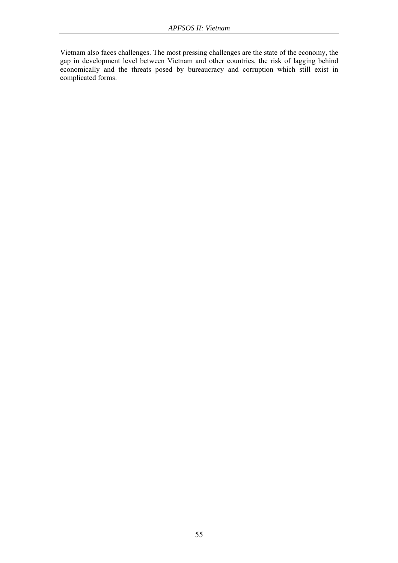Vietnam also faces challenges. The most pressing challenges are the state of the economy, the gap in development level between Vietnam and other countries, the risk of lagging behind economically and the threats posed by bureaucracy and corruption which still exist in complicated forms.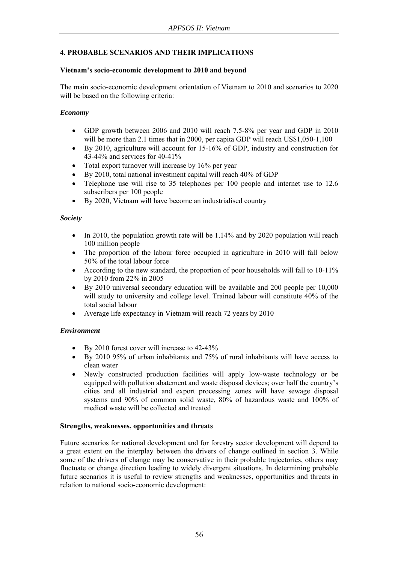# **4. PROBABLE SCENARIOS AND THEIR IMPLICATIONS**

### **Vietnam's socio-economic development to 2010 and beyond**

The main socio-economic development orientation of Vietnam to 2010 and scenarios to 2020 will be based on the following criteria:

### *Economy*

- GDP growth between 2006 and 2010 will reach 7.5-8% per year and GDP in 2010 will be more than 2.1 times that in 2000, per capita GDP will reach US\$1,050-1,100
- By 2010, agriculture will account for 15-16% of GDP, industry and construction for 43-44% and services for 40-41%
- Total export turnover will increase by 16% per year
- By 2010, total national investment capital will reach 40% of GDP
- Telephone use will rise to 35 telephones per 100 people and internet use to 12.6 subscribers per 100 people
- By 2020, Vietnam will have become an industrialised country

### *Society*

- In 2010, the population growth rate will be 1.14% and by 2020 population will reach 100 million people
- The proportion of the labour force occupied in agriculture in 2010 will fall below 50% of the total labour force
- According to the new standard, the proportion of poor households will fall to 10-11% by 2010 from 22% in 2005
- By 2010 universal secondary education will be available and 200 people per 10,000 will study to university and college level. Trained labour will constitute 40% of the total social labour
- Average life expectancy in Vietnam will reach 72 years by 2010

# *Environment*

- By 2010 forest cover will increase to 42-43%
- By 2010 95% of urban inhabitants and 75% of rural inhabitants will have access to clean water
- Newly constructed production facilities will apply low-waste technology or be equipped with pollution abatement and waste disposal devices; over half the country's cities and all industrial and export processing zones will have sewage disposal systems and 90% of common solid waste, 80% of hazardous waste and 100% of medical waste will be collected and treated

### **Strengths, weaknesses, opportunities and threats**

Future scenarios for national development and for forestry sector development will depend to a great extent on the interplay between the drivers of change outlined in section 3. While some of the drivers of change may be conservative in their probable trajectories, others may fluctuate or change direction leading to widely divergent situations. In determining probable future scenarios it is useful to review strengths and weaknesses, opportunities and threats in relation to national socio-economic development: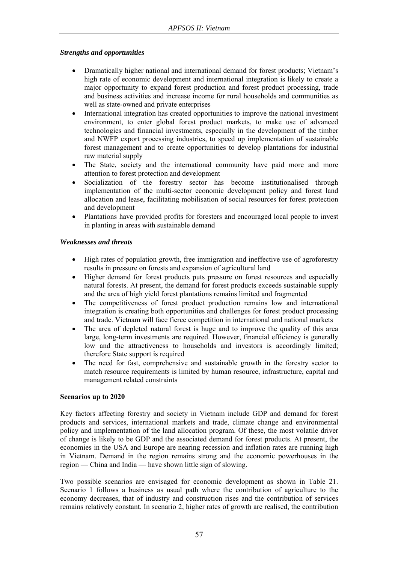### *Strengths and opportunities*

- Dramatically higher national and international demand for forest products; Vietnam's high rate of economic development and international integration is likely to create a major opportunity to expand forest production and forest product processing, trade and business activities and increase income for rural households and communities as well as state-owned and private enterprises
- International integration has created opportunities to improve the national investment environment, to enter global forest product markets, to make use of advanced technologies and financial investments, especially in the development of the timber and NWFP export processing industries, to speed up implementation of sustainable forest management and to create opportunities to develop plantations for industrial raw material supply
- The State, society and the international community have paid more and more attention to forest protection and development
- Socialization of the forestry sector has become institutionalised through implementation of the multi-sector economic development policy and forest land allocation and lease, facilitating mobilisation of social resources for forest protection and development
- Plantations have provided profits for foresters and encouraged local people to invest in planting in areas with sustainable demand

### *Weaknesses and threats*

- High rates of population growth, free immigration and ineffective use of agroforestry results in pressure on forests and expansion of agricultural land
- Higher demand for forest products puts pressure on forest resources and especially natural forests. At present, the demand for forest products exceeds sustainable supply and the area of high yield forest plantations remains limited and fragmented
- The competitiveness of forest product production remains low and international integration is creating both opportunities and challenges for forest product processing and trade. Vietnam will face fierce competition in international and national markets
- The area of depleted natural forest is huge and to improve the quality of this area large, long-term investments are required. However, financial efficiency is generally low and the attractiveness to households and investors is accordingly limited; therefore State support is required
- The need for fast, comprehensive and sustainable growth in the forestry sector to match resource requirements is limited by human resource, infrastructure, capital and management related constraints

### **Scenarios up to 2020**

Key factors affecting forestry and society in Vietnam include GDP and demand for forest products and services, international markets and trade, climate change and environmental policy and implementation of the land allocation program. Of these, the most volatile driver of change is likely to be GDP and the associated demand for forest products. At present, the economies in the USA and Europe are nearing recession and inflation rates are running high in Vietnam. Demand in the region remains strong and the economic powerhouses in the region — China and India — have shown little sign of slowing.

Two possible scenarios are envisaged for economic development as shown in Table 21. Scenario 1 follows a business as usual path where the contribution of agriculture to the economy decreases, that of industry and construction rises and the contribution of services remains relatively constant. In scenario 2, higher rates of growth are realised, the contribution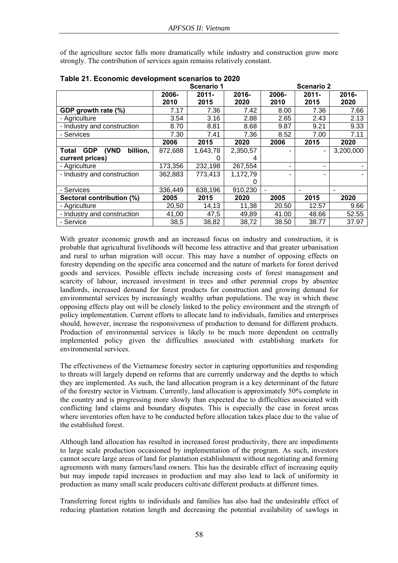of the agriculture sector falls more dramatically while industry and construction grow more strongly. The contribution of services again remains relatively constant.

|                                         |         | <b>Scenario 1</b> |          |       | <b>Scenario 2</b> |           |
|-----------------------------------------|---------|-------------------|----------|-------|-------------------|-----------|
|                                         | 2006-   | $2011 -$          | 2016-    | 2006- | $2011 -$          | $2016 -$  |
|                                         | 2010    | 2015              | 2020     | 2010  | 2015              | 2020      |
| GDP growth rate (%)                     | 7.17    | 7.36              | 7.42     | 8.00  | 7.36              | 7.66      |
| - Agriculture                           | 3.54    | 3.16              | 2.88     | 2.65  | 2.43              | 2.13      |
| - Industry and construction             | 8.70    | 8.81              | 8.68     | 9.87  | 9.21              | 9.33      |
| - Services                              | 7.30    | 7.41              | 7.36     | 8.52  | 7.00              | 7.11      |
|                                         | 2006    | 2015              | 2020     | 2006  | 2015              | 2020      |
| <b>GDP</b><br>(VND<br>billion,<br>Total | 872,688 | 1,643,78          | 2,350,57 | -     | ۰                 | 3,200,000 |
| current prices)                         |         |                   |          |       |                   |           |
| - Agriculture                           | 173,356 | 232,198           | 267,554  | ۰     | ۰                 |           |
| - Industry and construction             | 362,883 | 773,413           | 1,172,79 | ۰     |                   |           |
|                                         |         |                   |          |       |                   |           |
| - Services                              | 336,449 | 638,196           | 910,230  |       |                   |           |
| Sectoral contribution (%)               | 2005    | 2015              | 2020     | 2005  | 2015              | 2020      |
| - Agriculture                           | 20,50   | 14,13             | 11,38    | 20.50 | 12.57             | 9.66      |
| - Industry and construction             | 41,00   | 47,5              | 49,89    | 41.00 | 48.66             | 52.55     |
| - Service                               | 38,5    | 38,82             | 38,72    | 38.50 | 38.77             | 37.97     |

**Table 21. Economic development scenarios to 2020** 

With greater economic growth and an increased focus on industry and construction, it is probable that agricultural livelihoods will become less attractive and that greater urbanisation and rural to urban migration will occur. This may have a number of opposing effects on forestry depending on the specific area concerned and the nature of markets for forest derived goods and services. Possible effects include increasing costs of forest management and scarcity of labour, increased investment in trees and other perennial crops by absentee landlords, increased demand for forest products for construction and growing demand for environmental services by increasingly wealthy urban populations. The way in which these opposing effects play out will be closely linked to the policy environment and the strength of policy implementation. Current efforts to allocate land to individuals, families and enterprises should, however, increase the responsiveness of production to demand for different products. Production of environmental services is likely to be much more dependent on centrally implemented policy given the difficulties associated with establishing markets for environmental services.

The effectiveness of the Vietnamese forestry sector in capturing opportunities and responding to threats will largely depend on reforms that are currently underway and the depths to which they are implemented. As such, the land allocation program is a key determinant of the future of the forestry sector in Vietnam. Currently, land allocation is approximately 50% complete in the country and is progressing more slowly than expected due to difficulties associated with conflicting land claims and boundary disputes. This is especially the case in forest areas where inventories often have to be conducted before allocation takes place due to the value of the established forest.

Although land allocation has resulted in increased forest productivity, there are impediments to large scale production occasioned by implementation of the program. As such, investors cannot secure large areas of land for plantation establishment without negotiating and forming agreements with many farmers/land owners. This has the desirable effect of increasing equity but may impede rapid increases in production and may also lead to lack of uniformity in production as many small scale producers cultivate different products at different times.

Transferring forest rights to individuals and families has also had the undesirable effect of reducing plantation rotation length and decreasing the potential availability of sawlogs in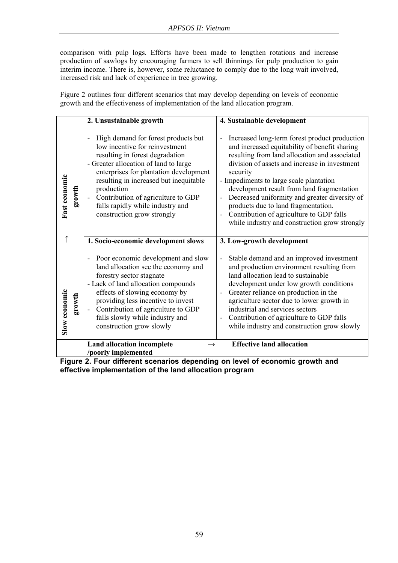comparison with pulp logs. Efforts have been made to lengthen rotations and increase production of sawlogs by encouraging farmers to sell thinnings for pulp production to gain interim income. There is, however, some reluctance to comply due to the long wait involved, increased risk and lack of experience in tree growing.

Figure 2 outlines four different scenarios that may develop depending on levels of economic growth and the effectiveness of implementation of the land allocation program.

|               |        | 2. Unsustainable growth                                                                                                                                                                                                                                                                                                                                                                      | 4. Sustainable development                                                                                                                                                                                                                                                                                                                                                                                                                                                                                                     |
|---------------|--------|----------------------------------------------------------------------------------------------------------------------------------------------------------------------------------------------------------------------------------------------------------------------------------------------------------------------------------------------------------------------------------------------|--------------------------------------------------------------------------------------------------------------------------------------------------------------------------------------------------------------------------------------------------------------------------------------------------------------------------------------------------------------------------------------------------------------------------------------------------------------------------------------------------------------------------------|
| Fast economic | growth | High demand for forest products but<br>$\overline{\phantom{0}}$<br>low incentive for reinvestment<br>resulting in forest degradation<br>- Greater allocation of land to large<br>enterprises for plantation development<br>resulting in increased but inequitable<br>production<br>Contribution of agriculture to GDP<br>÷<br>falls rapidly while industry and<br>construction grow strongly | Increased long-term forest product production<br>$\overline{a}$<br>and increased equitability of benefit sharing<br>resulting from land allocation and associated<br>division of assets and increase in investment<br>security<br>- Impediments to large scale plantation<br>development result from land fragmentation<br>Decreased uniformity and greater diversity of<br>$\overline{a}$<br>products due to land fragmentation.<br>Contribution of agriculture to GDP falls<br>while industry and construction grow strongly |
|               |        | 1. Socio-economic development slows                                                                                                                                                                                                                                                                                                                                                          | 3. Low-growth development                                                                                                                                                                                                                                                                                                                                                                                                                                                                                                      |
| Slow economic | growth | Poor economic development and slow<br>$\overline{a}$<br>land allocation see the economy and<br>forestry sector stagnate<br>- Lack of land allocation compounds<br>effects of slowing economy by<br>providing less incentive to invest<br>Contribution of agriculture to GDP<br>falls slowly while industry and<br>construction grow slowly                                                   | Stable demand and an improved investment<br>$\overline{a}$<br>and production environment resulting from<br>land allocation lead to sustainable<br>development under low growth conditions<br>Greater reliance on production in the<br>agriculture sector due to lower growth in<br>industrial and services sectors<br>Contribution of agriculture to GDP falls<br>while industry and construction grow slowly                                                                                                                  |
|               |        | <b>Land allocation incomplete</b><br>/poorly implemented                                                                                                                                                                                                                                                                                                                                     | <b>Effective land allocation</b>                                                                                                                                                                                                                                                                                                                                                                                                                                                                                               |

**Figure 2. Four different scenarios depending on level of economic growth and effective implementation of the land allocation program**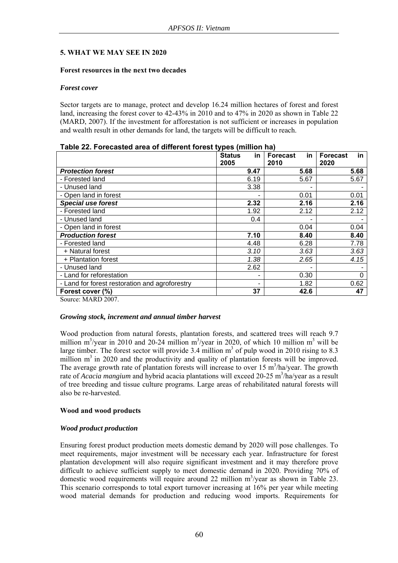### **5. WHAT WE MAY SEE IN 2020**

### **Forest resources in the next two decades**

#### *Forest cover*

Sector targets are to manage, protect and develop 16.24 million hectares of forest and forest land, increasing the forest cover to 42-43% in 2010 and to 47% in 2020 as shown in Table 22 (MARD, 2007). If the investment for afforestation is not sufficient or increases in population and wealth result in other demands for land, the targets will be difficult to reach.

| <u>asiv 22. i vrvadlog aroa or anivioni rorodi typod filmion na </u> | <b>Status</b><br>in. | <b>Forecast</b><br>in. | in<br><b>Forecast</b> |
|----------------------------------------------------------------------|----------------------|------------------------|-----------------------|
|                                                                      | 2005                 | 2010                   | 2020                  |
| <b>Protection forest</b>                                             | 9.47                 | 5.68                   | 5.68                  |
| - Forested land                                                      | 6.19                 | 5.67                   | 5.67                  |
| - Unused land                                                        | 3.38                 |                        |                       |
| - Open land in forest                                                |                      | 0.01                   | 0.01                  |
| <b>Special use forest</b>                                            | 2.32                 | 2.16                   | 2.16                  |
| - Forested land                                                      | 1.92                 | 2.12                   | 2.12                  |
| - Unused land                                                        | 0.4                  |                        |                       |
| - Open land in forest                                                |                      | 0.04                   | 0.04                  |
| <b>Production forest</b>                                             | 7.10                 | 8.40                   | 8.40                  |
| - Forested land                                                      | 4.48                 | 6.28                   | 7.78                  |
| + Natural forest                                                     | 3.10                 | 3.63                   | 3.63                  |
| + Plantation forest                                                  | 1.38                 | 2.65                   | 4.15                  |
| - Unused land                                                        | 2.62                 |                        |                       |
| - Land for reforestation                                             |                      | 0.30                   | $\Omega$              |
| - Land for forest restoration and agroforestry                       |                      | 1.82                   | 0.62                  |
| Forest cover (%)                                                     | 37                   | 42.6                   | 47                    |

Source: MARD 2007.

### *Growing stock, increment and annual timber harvest*

Wood production from natural forests, plantation forests, and scattered trees will reach 9.7 million  $m^3$ /year in 2010 and 20-24 million  $m^3$ /year in 2020, of which 10 million  $m^3$  will be large timber. The forest sector will provide 3.4 million  $m<sup>3</sup>$  of pulp wood in 2010 rising to 8.3 million  $m<sup>3</sup>$  in 2020 and the productivity and quality of plantation forests will be improved. The average growth rate of plantation forests will increase to over 15  $\text{m}^3/\text{ha/year}$ . The growth rate of *Acacia mangium* and hybrid acacia plantations will exceed 20-25 m<sup>3</sup>/ha/year as a result of tree breeding and tissue culture programs. Large areas of rehabilitated natural forests will also be re-harvested.

### **Wood and wood products**

### *Wood product production*

Ensuring forest product production meets domestic demand by 2020 will pose challenges. To meet requirements, major investment will be necessary each year. Infrastructure for forest plantation development will also require significant investment and it may therefore prove difficult to achieve sufficient supply to meet domestic demand in 2020. Providing 70% of domestic wood requirements will require around 22 million  $m^3$ /year as shown in Table 23. This scenario corresponds to total export turnover increasing at 16% per year while meeting wood material demands for production and reducing wood imports. Requirements for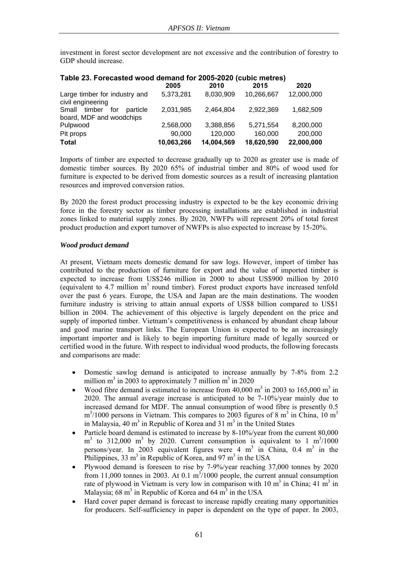investment in forest sector development are not excessive and the contribution of forestry to GDP should increase.

|                                                             | Table 23. Forecasted wood definant for 2009-2020 (Cubic Hielies) |            |            |            |  |  |  |  |
|-------------------------------------------------------------|------------------------------------------------------------------|------------|------------|------------|--|--|--|--|
|                                                             | 2005                                                             | 2010       | 2015       | 2020       |  |  |  |  |
| Large timber for industry and<br>civil engineering          | 5,373,281                                                        | 8,030,909  | 10,266,667 | 12,000,000 |  |  |  |  |
| Small timber<br>for<br>particle<br>board, MDF and woodchips | 2,031,985                                                        | 2,464,804  | 2,922,369  | 1,682,509  |  |  |  |  |
| Pulpwood                                                    | 2,568,000                                                        | 3,388,856  | 5.271.554  | 8,200,000  |  |  |  |  |
| Pit props                                                   | 90,000                                                           | 120,000    | 160,000    | 200,000    |  |  |  |  |
| <b>Total</b>                                                | 10,063,266                                                       | 14,004,569 | 18,620,590 | 22,000,000 |  |  |  |  |

# **Table 23. Forecasted wood demand for 2005-2020 (cubic metres)**

Imports of timber are expected to decrease gradually up to 2020 as greater use is made of domestic timber sources. By 2020 65% of industrial timber and 80% of wood used for furniture is expected to be derived from domestic sources as a result of increasing plantation resources and improved conversion ratios.

By 2020 the forest product processing industry is expected to be the key economic driving force in the forestry sector as timber processing installations are established in industrial zones linked to material supply zones. By 2020, NWFPs will represent 20% of total forest product production and export turnover of NWFPs is also expected to increase by 15-20%.

### *Wood product demand*

At present, Vietnam meets domestic demand for saw logs. However, import of timber has contributed to the production of furniture for export and the value of imported timber is expected to increase from US\$246 million in 2000 to about US\$900 million by 2010 (equivalent to 4.7 million  $m<sup>3</sup>$  round timber). Forest product exports have increased tenfold over the past 6 years. Europe, the USA and Japan are the main destinations. The wooden furniture industry is striving to attain annual exports of US\$8 billion compared to US\$1 billion in 2004. The achievement of this objective is largely dependent on the price and supply of imported timber. Vietnam's competitiveness is enhanced by abundant cheap labour and good marine transport links. The European Union is expected to be an increasingly important importer and is likely to begin importing furniture made of legally sourced or certified wood in the future. With respect to individual wood products, the following forecasts and comparisons are made:

- Domestic sawlog demand is anticipated to increase annually by 7-8% from 2.2 million m<sup>3</sup> in 2003 to approximately  $\overline{7}$  million m<sup>3</sup> in 2020
- Wood fibre demand is estimated to increase from  $40,000 \text{ m}^3$  in 2003 to 165,000 m<sup>3</sup> in 2020. The annual average increase is anticipated to be 7-10%/year mainly due to increased demand for MDF. The annual consumption of wood fibre is presently 0.5  $\text{m}^3$ /1000 persons in Vietnam. This compares to 2003 figures of 8 m<sup>3</sup> in China, 10 m<sup>3</sup> in Malaysia, 40  $m^3$  in Republic of Korea and 31  $m^3$  in the United States
- Particle board demand is estimated to increase by 8-10%/year from the current 80,000  $m<sup>3</sup>$  to 312,000  $m<sup>3</sup>$  by 2020. Current consumption is equivalent to 1  $m<sup>3</sup>/1000$ persons/year. In 2003 equivalent figures were  $4 \text{ m}^3$  in China, 0.4 m<sup>3</sup> in the Philippines, 33  $m<sup>3</sup>$  in Republic of Korea, and 97  $m<sup>3</sup>$  in the USA
- Plywood demand is foreseen to rise by 7-9%/year reaching 37,000 tonnes by 2020 from 11,000 tonnes in 2003. At 0.1  $m^3/1000$  people, the current annual consumption rate of plywood in Vietnam is very low in comparison with 10  $m<sup>3</sup>$  in China; 41  $m<sup>3</sup>$  in Malaysia; 68 m<sup>3</sup> in Republic of Korea and 64 m<sup>3</sup> in the USA
- Hard cover paper demand is forecast to increase rapidly creating many opportunities for producers. Self-sufficiency in paper is dependent on the type of paper. In 2003,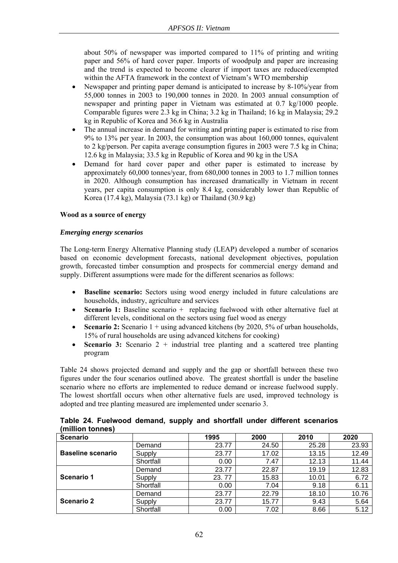about 50% of newspaper was imported compared to 11% of printing and writing paper and 56% of hard cover paper. Imports of woodpulp and paper are increasing and the trend is expected to become clearer if import taxes are reduced/exempted within the AFTA framework in the context of Vietnam's WTO membership

- Newspaper and printing paper demand is anticipated to increase by 8-10%/year from 55,000 tonnes in 2003 to 190,000 tonnes in 2020. In 2003 annual consumption of newspaper and printing paper in Vietnam was estimated at 0.7 kg/1000 people. Comparable figures were 2.3 kg in China; 3.2 kg in Thailand; 16 kg in Malaysia; 29.2 kg in Republic of Korea and 36.6 kg in Australia
- The annual increase in demand for writing and printing paper is estimated to rise from 9% to 13% per year. In 2003, the consumption was about 160,000 tonnes, equivalent to 2 kg/person. Per capita average consumption figures in 2003 were 7.5 kg in China; 12.6 kg in Malaysia; 33.5 kg in Republic of Korea and 90 kg in the USA
- Demand for hard cover paper and other paper is estimated to increase by approximately 60,000 tonnes/year, from 680,000 tonnes in 2003 to 1.7 million tonnes in 2020. Although consumption has increased dramatically in Vietnam in recent years, per capita consumption is only 8.4 kg, considerably lower than Republic of Korea (17.4 kg), Malaysia (73.1 kg) or Thailand (30.9 kg)

### **Wood as a source of energy**

#### *Emerging energy scenarios*

The Long-term Energy Alternative Planning study (LEAP) developed a number of scenarios based on economic development forecasts, national development objectives, population growth, forecasted timber consumption and prospects for commercial energy demand and supply. Different assumptions were made for the different scenarios as follows:

- **Baseline scenario:** Sectors using wood energy included in future calculations are households, industry, agriculture and services
- **Scenario 1:** Baseline scenario + replacing fuelwood with other alternative fuel at different levels, conditional on the sectors using fuel wood as energy
- **Scenario 2:** Scenario 1 + using advanced kitchens (by 2020, 5% of urban households, 15% of rural households are using advanced kitchens for cooking)
- **Scenario 3:** Scenario 2 + industrial tree planting and a scattered tree planting program

Table 24 shows projected demand and supply and the gap or shortfall between these two figures under the four scenarios outlined above. The greatest shortfall is under the baseline scenario where no efforts are implemented to reduce demand or increase fuelwood supply. The lowest shortfall occurs when other alternative fuels are used, improved technology is adopted and tree planting measured are implemented under scenario 3.

| <b>Scenario</b>   |           | 1995  | 2000  | 2010  | 2020  |
|-------------------|-----------|-------|-------|-------|-------|
|                   | Demand    | 23.77 | 24.50 | 25.28 | 23.93 |
| Baseline scenario | Supply    | 23.77 | 17.02 | 13.15 | 12.49 |
|                   | Shortfall | 0.00  | 7.47  | 12.13 | 11.44 |
|                   | Demand    | 23.77 | 22.87 | 19.19 | 12.83 |
| Scenario 1        | Supply    | 23.77 | 15.83 | 10.01 | 6.72  |
|                   | Shortfall | 0.00  | 7.04  | 9.18  | 6.11  |
|                   | Demand    | 23.77 | 22.79 | 18.10 | 10.76 |
| Scenario 2        | Supply    | 23.77 | 15.77 | 9.43  | 5.64  |
|                   | Shortfall | 0.00  | 7.02  | 8.66  | 5.12  |

**Table 24. Fuelwood demand, supply and shortfall under different scenarios (million tonnes)**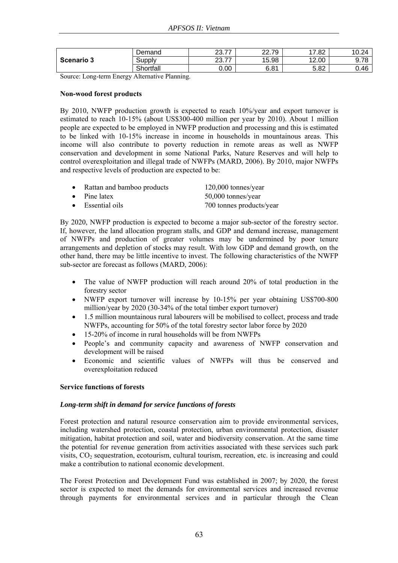| Scenario 3 | Demand    | ົດ<br>$\rightarrow$<br>، ، ، ، ، | ົ<br>$\overline{\phantom{a}}$<br>u<br>ັ<br> | 17.82 | 10.24          |
|------------|-----------|----------------------------------|---------------------------------------------|-------|----------------|
|            | Supplv    | ົດ<br>$\rightarrow$<br>20. I I   | 15.98                                       | 12.00 | Q 78<br>J. I U |
|            | Shortfall | 0.00                             | 6.81                                        | 5.82  | 0.46           |

Source: Long-term Energy Alternative Planning.

#### **Non-wood forest products**

By 2010, NWFP production growth is expected to reach 10%/year and export turnover is estimated to reach 10-15% (about US\$300-400 million per year by 2010). About 1 million people are expected to be employed in NWFP production and processing and this is estimated to be linked with 10-15% increase in income in households in mountainous areas. This income will also contribute to poverty reduction in remote areas as well as NWFP conservation and development in some National Parks, Nature Reserves and will help to control overexploitation and illegal trade of NWFPs (MARD, 2006). By 2010, major NWFPs and respective levels of production are expected to be:

|  | Rattan and bamboo products | 120,000 tonnes/year |
|--|----------------------------|---------------------|
|--|----------------------------|---------------------|

Pine latex 50,000 tonnes/year

• Essential oils 700 tonnes products/year

By 2020, NWFP production is expected to become a major sub-sector of the forestry sector. If, however, the land allocation program stalls, and GDP and demand increase, management of NWFPs and production of greater volumes may be undermined by poor tenure arrangements and depletion of stocks may result. With low GDP and demand growth, on the other hand, there may be little incentive to invest. The following characteristics of the NWFP sub-sector are forecast as follows (MARD, 2006):

- The value of NWFP production will reach around 20% of total production in the forestry sector
- NWFP export turnover will increase by 10-15% per year obtaining US\$700-800 million/year by 2020 (30-34% of the total timber export turnover)
- 1.5 million mountainous rural labourers will be mobilised to collect, process and trade NWFPs, accounting for 50% of the total forestry sector labor force by 2020
- 15-20% of income in rural households will be from NWFPs
- People's and community capacity and awareness of NWFP conservation and development will be raised
- Economic and scientific values of NWFPs will thus be conserved and overexploitation reduced

### **Service functions of forests**

### *Long-term shift in demand for service functions of forests*

Forest protection and natural resource conservation aim to provide environmental services, including watershed protection, coastal protection, urban environmental protection, disaster mitigation, habitat protection and soil, water and biodiversity conservation. At the same time the potential for revenue generation from activities associated with these services such park visits,  $CO<sub>2</sub>$  sequestration, ecotourism, cultural tourism, recreation, etc. is increasing and could make a contribution to national economic development.

The Forest Protection and Development Fund was established in 2007; by 2020, the forest sector is expected to meet the demands for environmental services and increased revenue through payments for environmental services and in particular through the Clean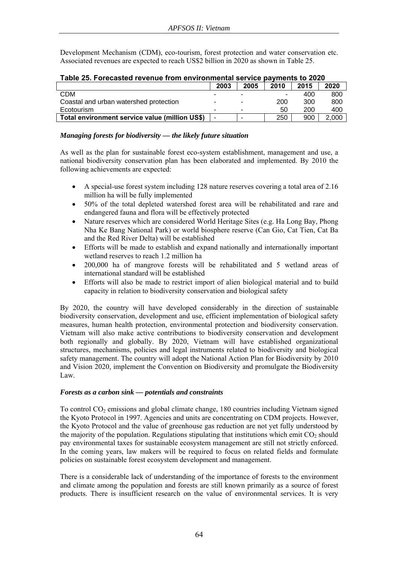Development Mechanism (CDM), eco-tourism, forest protection and water conservation etc. Associated revenues are expected to reach US\$2 billion in 2020 as shown in Table 25.

| I UMIV EVI I VI UVUJLUU TUTUNU II VIII VITTII VIIIIIVIILUI JUI TIVU MUTIIIVIILU LU EVEV |      |                          |      |      |       |  |  |
|-----------------------------------------------------------------------------------------|------|--------------------------|------|------|-------|--|--|
|                                                                                         | 2003 | 2005                     | 2010 | 2015 | 2020  |  |  |
| CDM                                                                                     |      | $\overline{\phantom{a}}$ |      | 400  | 800   |  |  |
| Coastal and urban watershed protection                                                  |      | $\overline{\phantom{a}}$ | 200  | 300  | 800   |  |  |
| Ecotourism                                                                              |      |                          | 50   | 200  | 400   |  |  |
| Total environment service value (million US\$)                                          |      | -                        | 250  | 900  | 2.000 |  |  |

# **Table 25. Forecasted revenue from environmental service payments to 2020**

# *Managing forests for biodiversity — the likely future situation*

As well as the plan for sustainable forest eco-system establishment, management and use, a national biodiversity conservation plan has been elaborated and implemented. By 2010 the following achievements are expected:

- A special-use forest system including 128 nature reserves covering a total area of 2.16 million ha will be fully implemented
- 50% of the total depleted watershed forest area will be rehabilitated and rare and endangered fauna and flora will be effectively protected
- Nature reserves which are considered World Heritage Sites (e.g. Ha Long Bay, Phong Nha Ke Bang National Park) or world biosphere reserve (Can Gio, Cat Tien, Cat Ba and the Red River Delta) will be established
- Efforts will be made to establish and expand nationally and internationally important wetland reserves to reach 1.2 million ha
- 200,000 ha of mangrove forests will be rehabilitated and 5 wetland areas of international standard will be established
- Efforts will also be made to restrict import of alien biological material and to build capacity in relation to biodiversity conservation and biological safety

By 2020, the country will have developed considerably in the direction of sustainable biodiversity conservation, development and use, efficient implementation of biological safety measures, human health protection, environmental protection and biodiversity conservation. Vietnam will also make active contributions to biodiversity conservation and development both regionally and globally. By 2020, Vietnam will have established organizational structures, mechanisms, policies and legal instruments related to biodiversity and biological safety management. The country will adopt the National Action Plan for Biodiversity by 2010 and Vision 2020, implement the Convention on Biodiversity and promulgate the Biodiversity Law.

# *Forests as a carbon sink — potentials and constraints*

To control  $CO<sub>2</sub>$  emissions and global climate change, 180 countries including Vietnam signed the Kyoto Protocol in 1997. Agencies and units are concentrating on CDM projects. However, the Kyoto Protocol and the value of greenhouse gas reduction are not yet fully understood by the majority of the population. Regulations stipulating that institutions which emit  $CO<sub>2</sub>$  should pay environmental taxes for sustainable ecosystem management are still not strictly enforced. In the coming years, law makers will be required to focus on related fields and formulate policies on sustainable forest ecosystem development and management.

There is a considerable lack of understanding of the importance of forests to the environment and climate among the population and forests are still known primarily as a source of forest products. There is insufficient research on the value of environmental services. It is very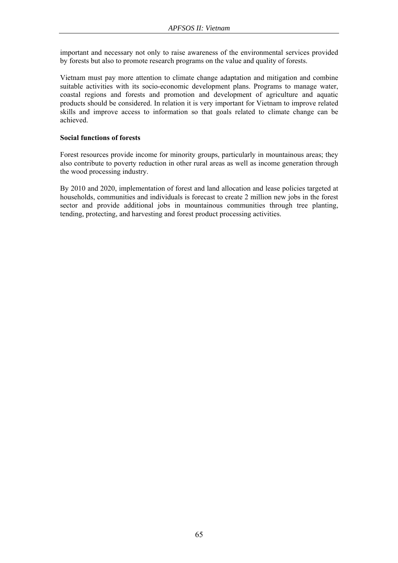important and necessary not only to raise awareness of the environmental services provided by forests but also to promote research programs on the value and quality of forests.

Vietnam must pay more attention to climate change adaptation and mitigation and combine suitable activities with its socio-economic development plans. Programs to manage water, coastal regions and forests and promotion and development of agriculture and aquatic products should be considered. In relation it is very important for Vietnam to improve related skills and improve access to information so that goals related to climate change can be achieved.

### **Social functions of forests**

Forest resources provide income for minority groups, particularly in mountainous areas; they also contribute to poverty reduction in other rural areas as well as income generation through the wood processing industry.

By 2010 and 2020, implementation of forest and land allocation and lease policies targeted at households, communities and individuals is forecast to create 2 million new jobs in the forest sector and provide additional jobs in mountainous communities through tree planting, tending, protecting, and harvesting and forest product processing activities.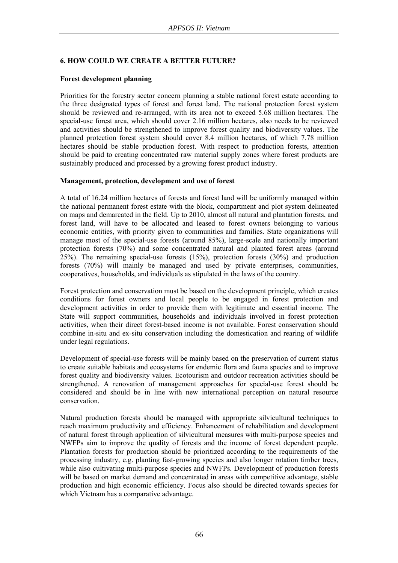### **6. HOW COULD WE CREATE A BETTER FUTURE?**

### **Forest development planning**

Priorities for the forestry sector concern planning a stable national forest estate according to the three designated types of forest and forest land. The national protection forest system should be reviewed and re-arranged, with its area not to exceed 5.68 million hectares. The special-use forest area, which should cover 2.16 million hectares, also needs to be reviewed and activities should be strengthened to improve forest quality and biodiversity values. The planned protection forest system should cover 8.4 million hectares, of which 7.78 million hectares should be stable production forest. With respect to production forests, attention should be paid to creating concentrated raw material supply zones where forest products are sustainably produced and processed by a growing forest product industry.

### **Management, protection, development and use of forest**

A total of 16.24 million hectares of forests and forest land will be uniformly managed within the national permanent forest estate with the block, compartment and plot system delineated on maps and demarcated in the field. Up to 2010, almost all natural and plantation forests, and forest land, will have to be allocated and leased to forest owners belonging to various economic entities, with priority given to communities and families. State organizations will manage most of the special-use forests (around 85%), large-scale and nationally important protection forests (70%) and some concentrated natural and planted forest areas (around 25%). The remaining special-use forests (15%), protection forests (30%) and production forests (70%) will mainly be managed and used by private enterprises, communities, cooperatives, households, and individuals as stipulated in the laws of the country.

Forest protection and conservation must be based on the development principle, which creates conditions for forest owners and local people to be engaged in forest protection and development activities in order to provide them with legitimate and essential income. The State will support communities, households and individuals involved in forest protection activities, when their direct forest-based income is not available. Forest conservation should combine in-situ and ex-situ conservation including the domestication and rearing of wildlife under legal regulations.

Development of special-use forests will be mainly based on the preservation of current status to create suitable habitats and ecosystems for endemic flora and fauna species and to improve forest quality and biodiversity values. Ecotourism and outdoor recreation activities should be strengthened. A renovation of management approaches for special-use forest should be considered and should be in line with new international perception on natural resource conservation.

Natural production forests should be managed with appropriate silvicultural techniques to reach maximum productivity and efficiency. Enhancement of rehabilitation and development of natural forest through application of silvicultural measures with multi-purpose species and NWFPs aim to improve the quality of forests and the income of forest dependent people. Plantation forests for production should be prioritized according to the requirements of the processing industry, e.g. planting fast-growing species and also longer rotation timber trees, while also cultivating multi-purpose species and NWFPs. Development of production forests will be based on market demand and concentrated in areas with competitive advantage, stable production and high economic efficiency. Focus also should be directed towards species for which Vietnam has a comparative advantage.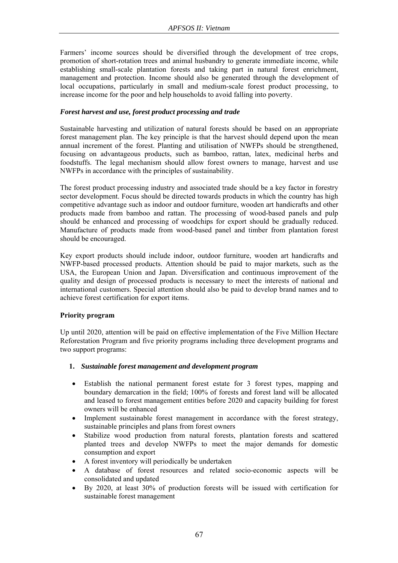Farmers' income sources should be diversified through the development of tree crops, promotion of short-rotation trees and animal husbandry to generate immediate income, while establishing small-scale plantation forests and taking part in natural forest enrichment, management and protection. Income should also be generated through the development of local occupations, particularly in small and medium-scale forest product processing, to increase income for the poor and help households to avoid falling into poverty.

### *Forest harvest and use, forest product processing and trade*

Sustainable harvesting and utilization of natural forests should be based on an appropriate forest management plan. The key principle is that the harvest should depend upon the mean annual increment of the forest. Planting and utilisation of NWFPs should be strengthened, focusing on advantageous products, such as bamboo, rattan, latex, medicinal herbs and foodstuffs. The legal mechanism should allow forest owners to manage, harvest and use NWFPs in accordance with the principles of sustainability.

The forest product processing industry and associated trade should be a key factor in forestry sector development. Focus should be directed towards products in which the country has high competitive advantage such as indoor and outdoor furniture, wooden art handicrafts and other products made from bamboo and rattan. The processing of wood-based panels and pulp should be enhanced and processing of woodchips for export should be gradually reduced. Manufacture of products made from wood-based panel and timber from plantation forest should be encouraged.

Key export products should include indoor, outdoor furniture, wooden art handicrafts and NWFP-based processed products. Attention should be paid to major markets, such as the USA, the European Union and Japan. Diversification and continuous improvement of the quality and design of processed products is necessary to meet the interests of national and international customers. Special attention should also be paid to develop brand names and to achieve forest certification for export items.

### **Priority program**

Up until 2020, attention will be paid on effective implementation of the Five Million Hectare Reforestation Program and five priority programs including three development programs and two support programs:

### **1.** *Sustainable forest management and development program*

- Establish the national permanent forest estate for 3 forest types, mapping and boundary demarcation in the field; 100% of forests and forest land will be allocated and leased to forest management entities before 2020 and capacity building for forest owners will be enhanced
- Implement sustainable forest management in accordance with the forest strategy, sustainable principles and plans from forest owners
- Stabilize wood production from natural forests, plantation forests and scattered planted trees and develop NWFPs to meet the major demands for domestic consumption and export
- A forest inventory will periodically be undertaken
- A database of forest resources and related socio-economic aspects will be consolidated and updated
- By 2020, at least 30% of production forests will be issued with certification for sustainable forest management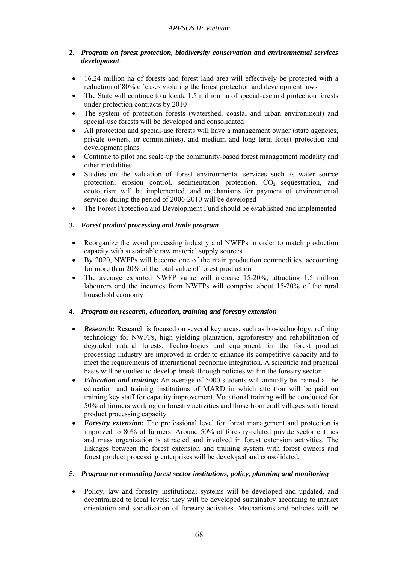# **2.** *Program on forest protection, biodiversity conservation and environmental services development*

- 16.24 million ha of forests and forest land area will effectively be protected with a reduction of 80% of cases violating the forest protection and development laws
- The State will continue to allocate 1.5 million ha of special-use and protection forests under protection contracts by 2010
- The system of protection forests (watershed, coastal and urban environment) and special-use forests will be developed and consolidated
- All protection and special-use forests will have a management owner (state agencies, private owners, or communities), and medium and long term forest protection and development plans
- Continue to pilot and scale-up the community-based forest management modality and other modalities
- Studies on the valuation of forest environmental services such as water source protection, erosion control, sedimentation protection,  $CO<sub>2</sub>$  sequestration, and ecotourism will be implemented, and mechanisms for payment of environmental services during the period of 2006-2010 will be developed
- The Forest Protection and Development Fund should be established and implemented

# **3.** *Forest product processing and trade program*

- Reorganize the wood processing industry and NWFPs in order to match production capacity with sustainable raw material supply sources
- By 2020, NWFPs will become one of the main production commodities, accounting for more than 20% of the total value of forest production
- The average exported NWFP value will increase 15-20%, attracting 1.5 million labourers and the incomes from NWFPs will comprise about 15-20% of the rural household economy

# **4.** *Program on research, education, training and forestry extension*

- *Research*: Research is focused on several key areas, such as bio-technology, refining technology for NWFPs, high yielding plantation, agroforestry and rehabilitation of degraded natural forests. Technologies and equipment for the forest product processing industry are improved in order to enhance its competitive capacity and to meet the requirements of international economic integration. A scientific and practical basis will be studied to develop break-through policies within the forestry sector
- *Education and training***:** An average of 5000 students will annually be trained at the education and training institutions of MARD in which attention will be paid on training key staff for capacity improvement. Vocational training will be conducted for 50% of farmers working on forestry activities and those from craft villages with forest product processing capacity
- *Forestry extension*: The professional level for forest management and protection is improved to 80% of farmers. Around 50% of forestry-related private sector entities and mass organization is attracted and involved in forest extension activities. The linkages between the forest extension and training system with forest owners and forest product processing enterprises will be developed and consolidated.

# **5.** *Program on renovating forest sector institutions, policy, planning and monitoring*

• Policy, law and forestry institutional systems will be developed and updated, and decentralized to local levels; they will be developed sustainably according to market orientation and socialization of forestry activities. Mechanisms and policies will be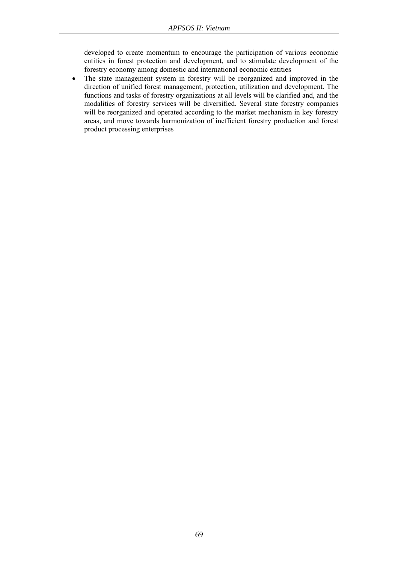developed to create momentum to encourage the participation of various economic entities in forest protection and development, and to stimulate development of the forestry economy among domestic and international economic entities

• The state management system in forestry will be reorganized and improved in the direction of unified forest management, protection, utilization and development. The functions and tasks of forestry organizations at all levels will be clarified and, and the modalities of forestry services will be diversified. Several state forestry companies will be reorganized and operated according to the market mechanism in key forestry areas, and move towards harmonization of inefficient forestry production and forest product processing enterprises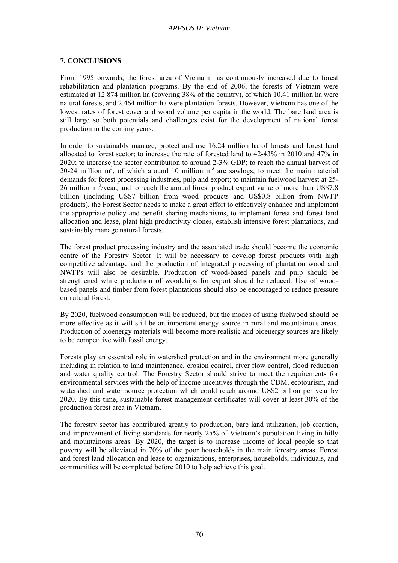### **7. CONCLUSIONS**

From 1995 onwards, the forest area of Vietnam has continuously increased due to forest rehabilitation and plantation programs. By the end of 2006, the forests of Vietnam were estimated at 12.874 million ha (covering 38% of the country), of which 10.41 million ha were natural forests, and 2.464 million ha were plantation forests. However, Vietnam has one of the lowest rates of forest cover and wood volume per capita in the world. The bare land area is still large so both potentials and challenges exist for the development of national forest production in the coming years.

In order to sustainably manage, protect and use 16.24 million ha of forests and forest land allocated to forest sector; to increase the rate of forested land to 42-43% in 2010 and 47% in 2020; to increase the sector contribution to around 2-3% GDP; to reach the annual harvest of 20-24 million  $m^3$ , of which around 10 million  $m^3$  are sawlogs; to meet the main material demands for forest processing industries, pulp and export; to maintain fuelwood harvest at 25-  $26$  million m<sup>3</sup>/year; and to reach the annual forest product export value of more than US\$7.8 billion (including US\$7 billion from wood products and US\$0.8 billion from NWFP products), the Forest Sector needs to make a great effort to effectively enhance and implement the appropriate policy and benefit sharing mechanisms, to implement forest and forest land allocation and lease, plant high productivity clones, establish intensive forest plantations, and sustainably manage natural forests.

The forest product processing industry and the associated trade should become the economic centre of the Forestry Sector. It will be necessary to develop forest products with high competitive advantage and the production of integrated processing of plantation wood and NWFPs will also be desirable. Production of wood-based panels and pulp should be strengthened while production of woodchips for export should be reduced. Use of woodbased panels and timber from forest plantations should also be encouraged to reduce pressure on natural forest.

By 2020, fuelwood consumption will be reduced, but the modes of using fuelwood should be more effective as it will still be an important energy source in rural and mountainous areas. Production of bioenergy materials will become more realistic and bioenergy sources are likely to be competitive with fossil energy.

Forests play an essential role in watershed protection and in the environment more generally including in relation to land maintenance, erosion control, river flow control, flood reduction and water quality control. The Forestry Sector should strive to meet the requirements for environmental services with the help of income incentives through the CDM, ecotourism, and watershed and water source protection which could reach around US\$2 billion per year by 2020. By this time, sustainable forest management certificates will cover at least 30% of the production forest area in Vietnam.

The forestry sector has contributed greatly to production, bare land utilization, job creation, and improvement of living standards for nearly 25% of Vietnam's population living in hilly and mountainous areas. By 2020, the target is to increase income of local people so that poverty will be alleviated in 70% of the poor households in the main forestry areas. Forest and forest land allocation and lease to organizations, enterprises, households, individuals, and communities will be completed before 2010 to help achieve this goal.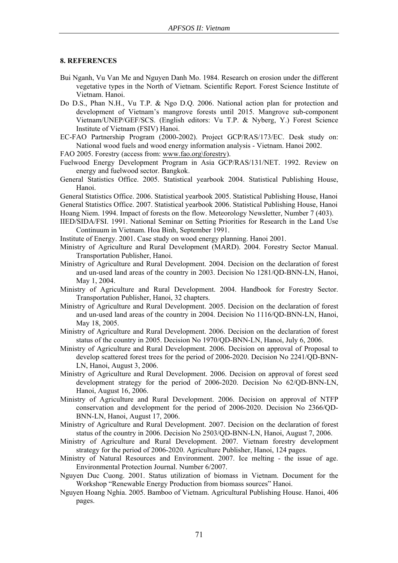#### **8. REFERENCES**

- Bui Nganh, Vu Van Me and Nguyen Danh Mo. 1984. Research on erosion under the different vegetative types in the North of Vietnam. Scientific Report. Forest Science Institute of Vietnam. Hanoi.
- Do D.S., Phan N.H., Vu T.P. & Ngo D.Q. 2006. National action plan for protection and development of Vietnam's mangrove forests until 2015. Mangrove sub-component Vietnam/UNEP/GEF/SCS. (English editors: Vu T.P. & Nyberg, Y.) Forest Science Institute of Vietnam (FSIV) Hanoi.
- EC-FAO Partnership Program (2000-2002). Project GCP/RAS/173/EC. Desk study on: National wood fuels and wood energy information analysis - Vietnam. Hanoi 2002.
- FAO 2005. Forestry (access from: www.fao.org\forestry).
- Fuelwood Energy Development Program in Asia GCP/RAS/131/NET. 1992. Review on energy and fuelwood sector. Bangkok.
- General Statistics Office. 2005. Statistical yearbook 2004. Statistical Publishing House, Hanoi.

General Statistics Office. 2006. Statistical yearbook 2005. Statistical Publishing House, Hanoi General Statistics Office. 2007. Statistical yearbook 2006. Statistical Publishing House, Hanoi Hoang Niem. 1994. Impact of forests on the flow. Meteorology Newsletter, Number 7 (403).

- IIED/SIDA/FSI. 1991. National Seminar on Setting Priorities for Research in the Land Use Continuum in Vietnam. Hoa Binh, September 1991.
- Institute of Energy. 2001. Case study on wood energy planning. Hanoi 2001.
- Ministry of Agriculture and Rural Development (MARD). 2004. Forestry Sector Manual. Transportation Publisher, Hanoi.
- Ministry of Agriculture and Rural Development. 2004. Decision on the declaration of forest and un-used land areas of the country in 2003. Decision No 1281/QD-BNN-LN, Hanoi, May 1, 2004.
- Ministry of Agriculture and Rural Development. 2004. Handbook for Forestry Sector. Transportation Publisher, Hanoi, 32 chapters.
- Ministry of Agriculture and Rural Development. 2005. Decision on the declaration of forest and un-used land areas of the country in 2004. Decision No 1116/QD-BNN-LN, Hanoi, May 18, 2005.
- Ministry of Agriculture and Rural Development. 2006. Decision on the declaration of forest status of the country in 2005. Decision No 1970/QD-BNN-LN, Hanoi, July 6, 2006.
- Ministry of Agriculture and Rural Development. 2006. Decision on approval of Proposal to develop scattered forest trees for the period of 2006-2020. Decision No 2241/QD-BNN-LN, Hanoi, August 3, 2006.
- Ministry of Agriculture and Rural Development. 2006. Decision on approval of forest seed development strategy for the period of 2006-2020. Decision No 62/QD-BNN-LN, Hanoi, August 16, 2006.
- Ministry of Agriculture and Rural Development. 2006. Decision on approval of NTFP conservation and development for the period of 2006-2020. Decision No 2366/QD-BNN-LN, Hanoi, August 17, 2006.
- Ministry of Agriculture and Rural Development. 2007. Decision on the declaration of forest status of the country in 2006. Decision No 2503/QD-BNN-LN, Hanoi, August 7, 2006.
- Ministry of Agriculture and Rural Development. 2007. Vietnam forestry development strategy for the period of 2006-2020. Agriculture Publisher, Hanoi, 124 pages.
- Ministry of Natural Resources and Environment. 2007. Ice melting the issue of age. Environmental Protection Journal. Number 6/2007.
- Nguyen Duc Cuong. 2001. Status utilization of biomass in Vietnam. Document for the Workshop "Renewable Energy Production from biomass sources" Hanoi.
- Nguyen Hoang Nghia. 2005. Bamboo of Vietnam. Agricultural Publishing House. Hanoi, 406 pages.